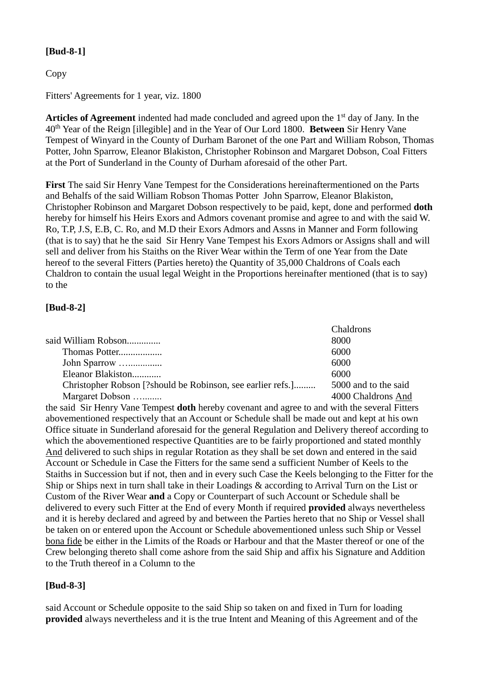# **[Bud-8-1]**

# Copy

Fitters' Agreements for 1 year, viz. 1800

**Articles of Agreement** indented had made concluded and agreed upon the 1st day of Jany. In the 40th Year of the Reign [illegible] and in the Year of Our Lord 1800. **Between** Sir Henry Vane Tempest of Winyard in the County of Durham Baronet of the one Part and William Robson, Thomas Potter, John Sparrow, Eleanor Blakiston, Christopher Robinson and Margaret Dobson, Coal Fitters at the Port of Sunderland in the County of Durham aforesaid of the other Part.

**First** The said Sir Henry Vane Tempest for the Considerations hereinaftermentioned on the Parts and Behalfs of the said William Robson Thomas Potter John Sparrow, Eleanor Blakiston, Christopher Robinson and Margaret Dobson respectively to be paid, kept, done and performed **doth** hereby for himself his Heirs Exors and Admors covenant promise and agree to and with the said W. Ro, T.P, J.S, E.B, C. Ro, and M.D their Exors Admors and Assns in Manner and Form following (that is to say) that he the said Sir Henry Vane Tempest his Exors Admors or Assigns shall and will sell and deliver from his Staiths on the River Wear within the Term of one Year from the Date hereof to the several Fitters (Parties hereto) the Quantity of 35,000 Chaldrons of Coals each Chaldron to contain the usual legal Weight in the Proportions hereinafter mentioned (that is to say) to the

# **[Bud-8-2]**

|                                                             | Chaldrons            |
|-------------------------------------------------------------|----------------------|
| said William Robson                                         | 8000                 |
| Thomas Potter                                               | 6000                 |
| John Sparrow                                                | 6000                 |
| Eleanor Blakiston                                           | 6000                 |
| Christopher Robson [?should be Robinson, see earlier refs.] | 5000 and to the said |
| Margaret Dobson                                             | 4000 Chaldrons And   |

the said Sir Henry Vane Tempest **doth** hereby covenant and agree to and with the several Fitters abovementioned respectively that an Account or Schedule shall be made out and kept at his own Office situate in Sunderland aforesaid for the general Regulation and Delivery thereof according to which the abovementioned respective Quantities are to be fairly proportioned and stated monthly And delivered to such ships in regular Rotation as they shall be set down and entered in the said Account or Schedule in Case the Fitters for the same send a sufficient Number of Keels to the Staiths in Succession but if not, then and in every such Case the Keels belonging to the Fitter for the Ship or Ships next in turn shall take in their Loadings & according to Arrival Turn on the List or Custom of the River Wear **and** a Copy or Counterpart of such Account or Schedule shall be delivered to every such Fitter at the End of every Month if required **provided** always nevertheless and it is hereby declared and agreed by and between the Parties hereto that no Ship or Vessel shall be taken on or entered upon the Account or Schedule abovementioned unless such Ship or Vessel bona fide be either in the Limits of the Roads or Harbour and that the Master thereof or one of the Crew belonging thereto shall come ashore from the said Ship and affix his Signature and Addition to the Truth thereof in a Column to the

# **[Bud-8-3]**

said Account or Schedule opposite to the said Ship so taken on and fixed in Turn for loading **provided** always nevertheless and it is the true Intent and Meaning of this Agreement and of the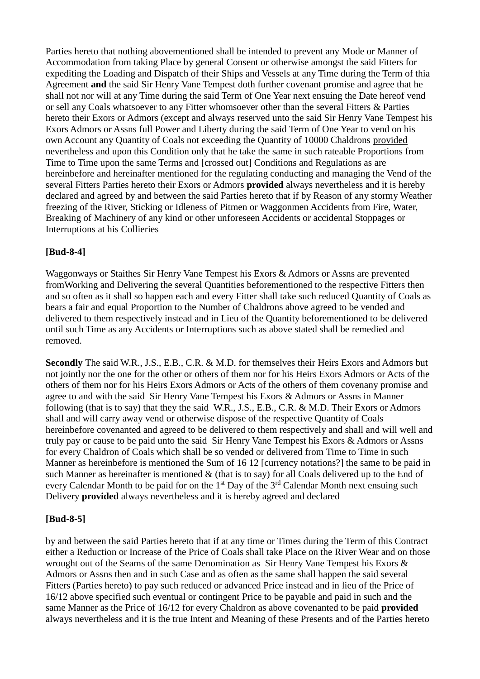Parties hereto that nothing abovementioned shall be intended to prevent any Mode or Manner of Accommodation from taking Place by general Consent or otherwise amongst the said Fitters for expediting the Loading and Dispatch of their Ships and Vessels at any Time during the Term of thia Agreement **and** the said Sir Henry Vane Tempest doth further covenant promise and agree that he shall not nor will at any Time during the said Term of One Year next ensuing the Date hereof vend or sell any Coals whatsoever to any Fitter whomsoever other than the several Fitters & Parties hereto their Exors or Admors (except and always reserved unto the said Sir Henry Vane Tempest his Exors Admors or Assns full Power and Liberty during the said Term of One Year to vend on his own Account any Quantity of Coals not exceeding the Quantity of 10000 Chaldrons provided nevertheless and upon this Condition only that he take the same in such rateable Proportions from Time to Time upon the same Terms and [crossed out] Conditions and Regulations as are hereinbefore and hereinafter mentioned for the regulating conducting and managing the Vend of the several Fitters Parties hereto their Exors or Admors **provided** always nevertheless and it is hereby declared and agreed by and between the said Parties hereto that if by Reason of any stormy Weather freezing of the River, Sticking or Idleness of Pitmen or Waggonmen Accidents from Fire, Water, Breaking of Machinery of any kind or other unforeseen Accidents or accidental Stoppages or Interruptions at his Collieries

# **[Bud-8-4]**

Waggonways or Staithes Sir Henry Vane Tempest his Exors & Admors or Assns are prevented fromWorking and Delivering the several Quantities beforementioned to the respective Fitters then and so often as it shall so happen each and every Fitter shall take such reduced Quantity of Coals as bears a fair and equal Proportion to the Number of Chaldrons above agreed to be vended and delivered to them respectively instead and in Lieu of the Quantity beforementioned to be delivered until such Time as any Accidents or Interruptions such as above stated shall be remedied and removed.

**Secondly** The said W.R., J.S., E.B., C.R. & M.D. for themselves their Heirs Exors and Admors but not jointly nor the one for the other or others of them nor for his Heirs Exors Admors or Acts of the others of them nor for his Heirs Exors Admors or Acts of the others of them covenany promise and agree to and with the said Sir Henry Vane Tempest his Exors & Admors or Assns in Manner following (that is to say) that they the said W.R., J.S., E.B., C.R. & M.D. Their Exors or Admors shall and will carry away vend or otherwise dispose of the respective Quantity of Coals hereinbefore covenanted and agreed to be delivered to them respectively and shall and will well and truly pay or cause to be paid unto the said Sir Henry Vane Tempest his Exors & Admors or Assns for every Chaldron of Coals which shall be so vended or delivered from Time to Time in such Manner as hereinbefore is mentioned the Sum of 16 12 [currency notations?] the same to be paid in such Manner as hereinafter is mentioned  $\&$  (that is to say) for all Coals delivered up to the End of every Calendar Month to be paid for on the 1<sup>st</sup> Day of the 3<sup>rd</sup> Calendar Month next ensuing such Delivery **provided** always nevertheless and it is hereby agreed and declared

# **[Bud-8-5]**

by and between the said Parties hereto that if at any time or Times during the Term of this Contract either a Reduction or Increase of the Price of Coals shall take Place on the River Wear and on those wrought out of the Seams of the same Denomination as Sir Henry Vane Tempest his Exors & Admors or Assns then and in such Case and as often as the same shall happen the said several Fitters (Parties hereto) to pay such reduced or advanced Price instead and in lieu of the Price of 16/12 above specified such eventual or contingent Price to be payable and paid in such and the same Manner as the Price of 16/12 for every Chaldron as above covenanted to be paid **provided** always nevertheless and it is the true Intent and Meaning of these Presents and of the Parties hereto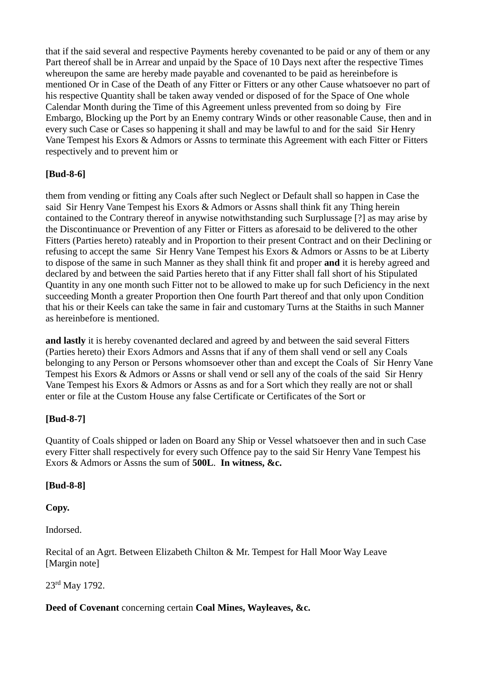that if the said several and respective Payments hereby covenanted to be paid or any of them or any Part thereof shall be in Arrear and unpaid by the Space of 10 Days next after the respective Times whereupon the same are hereby made payable and covenanted to be paid as hereinbefore is mentioned Or in Case of the Death of any Fitter or Fitters or any other Cause whatsoever no part of his respective Quantity shall be taken away vended or disposed of for the Space of One whole Calendar Month during the Time of this Agreement unless prevented from so doing by Fire Embargo, Blocking up the Port by an Enemy contrary Winds or other reasonable Cause, then and in every such Case or Cases so happening it shall and may be lawful to and for the said Sir Henry Vane Tempest his Exors & Admors or Assns to terminate this Agreement with each Fitter or Fitters respectively and to prevent him or

# **[Bud-8-6]**

them from vending or fitting any Coals after such Neglect or Default shall so happen in Case the said Sir Henry Vane Tempest his Exors & Admors or Assns shall think fit any Thing herein contained to the Contrary thereof in anywise notwithstanding such Surplussage [?] as may arise by the Discontinuance or Prevention of any Fitter or Fitters as aforesaid to be delivered to the other Fitters (Parties hereto) rateably and in Proportion to their present Contract and on their Declining or refusing to accept the same Sir Henry Vane Tempest his Exors & Admors or Assns to be at Liberty to dispose of the same in such Manner as they shall think fit and proper **and** it is hereby agreed and declared by and between the said Parties hereto that if any Fitter shall fall short of his Stipulated Quantity in any one month such Fitter not to be allowed to make up for such Deficiency in the next succeeding Month a greater Proportion then One fourth Part thereof and that only upon Condition that his or their Keels can take the same in fair and customary Turns at the Staiths in such Manner as hereinbefore is mentioned.

**and lastly** it is hereby covenanted declared and agreed by and between the said several Fitters (Parties hereto) their Exors Admors and Assns that if any of them shall vend or sell any Coals belonging to any Person or Persons whomsoever other than and except the Coals of Sir Henry Vane Tempest his Exors & Admors or Assns or shall vend or sell any of the coals of the said Sir Henry Vane Tempest his Exors & Admors or Assns as and for a Sort which they really are not or shall enter or file at the Custom House any false Certificate or Certificates of the Sort or

# **[Bud-8-7]**

Quantity of Coals shipped or laden on Board any Ship or Vessel whatsoever then and in such Case every Fitter shall respectively for every such Offence pay to the said Sir Henry Vane Tempest his Exors & Admors or Assns the sum of **500L**. **In witness, &c.**

# **[Bud-8-8]**

# **Copy.**

Indorsed.

Recital of an Agrt. Between Elizabeth Chilton & Mr. Tempest for Hall Moor Way Leave [Margin note]

23rd May 1792.

# **Deed of Covenant** concerning certain **Coal Mines, Wayleaves, &c.**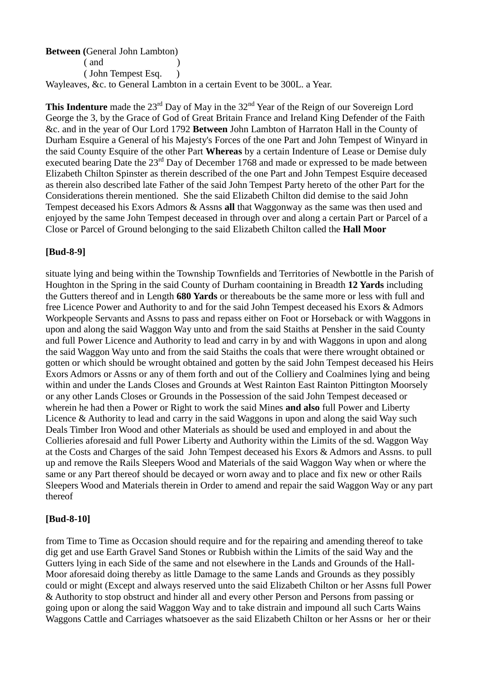**Between (**General John Lambton)  $($  and  $)$  ( John Tempest Esq. ) Wayleaves, &c. to General Lambton in a certain Event to be 300L. a Year.

**This Indenture** made the 23<sup>rd</sup> Day of May in the 32<sup>nd</sup> Year of the Reign of our Sovereign Lord George the 3, by the Grace of God of Great Britain France and Ireland King Defender of the Faith &c. and in the year of Our Lord 1792 **Between** John Lambton of Harraton Hall in the County of Durham Esquire a General of his Majesty's Forces of the one Part and John Tempest of Winyard in the said County Esquire of the other Part **Whereas** by a certain Indenture of Lease or Demise duly executed bearing Date the 23<sup>rd</sup> Day of December 1768 and made or expressed to be made between Elizabeth Chilton Spinster as therein described of the one Part and John Tempest Esquire deceased as therein also described late Father of the said John Tempest Party hereto of the other Part for the Considerations therein mentioned. She the said Elizabeth Chilton did demise to the said John Tempest deceased his Exors Admors & Assns **all** that Waggonway as the same was then used and enjoyed by the same John Tempest deceased in through over and along a certain Part or Parcel of a Close or Parcel of Ground belonging to the said Elizabeth Chilton called the **Hall Moor**

# **[Bud-8-9]**

situate lying and being within the Township Townfields and Territories of Newbottle in the Parish of Houghton in the Spring in the said County of Durham coontaining in Breadth **12 Yards** including the Gutters thereof and in Length **680 Yards** or thereabouts be the same more or less with full and free Licence Power and Authority to and for the said John Tempest deceased his Exors & Admors Workpeople Servants and Assns to pass and repass either on Foot or Horseback or with Waggons in upon and along the said Waggon Way unto and from the said Staiths at Pensher in the said County and full Power Licence and Authority to lead and carry in by and with Waggons in upon and along the said Waggon Way unto and from the said Staiths the coals that were there wrought obtained or gotten or which should be wrought obtained and gotten by the said John Tempest deceased his Heirs Exors Admors or Assns or any of them forth and out of the Colliery and Coalmines lying and being within and under the Lands Closes and Grounds at West Rainton East Rainton Pittington Moorsely or any other Lands Closes or Grounds in the Possession of the said John Tempest deceased or wherein he had then a Power or Right to work the said Mines **and also** full Power and Liberty Licence & Authority to lead and carry in the said Waggons in upon and along the said Way such Deals Timber Iron Wood and other Materials as should be used and employed in and about the Collieries aforesaid and full Power Liberty and Authority within the Limits of the sd. Waggon Way at the Costs and Charges of the said John Tempest deceased his Exors & Admors and Assns. to pull up and remove the Rails Sleepers Wood and Materials of the said Waggon Way when or where the same or any Part thereof should be decayed or worn away and to place and fix new or other Rails Sleepers Wood and Materials therein in Order to amend and repair the said Waggon Way or any part thereof

### **[Bud-8-10]**

from Time to Time as Occasion should require and for the repairing and amending thereof to take dig get and use Earth Gravel Sand Stones or Rubbish within the Limits of the said Way and the Gutters lying in each Side of the same and not elsewhere in the Lands and Grounds of the Hall-Moor aforesaid doing thereby as little Damage to the same Lands and Grounds as they possibly could or might (Except and always reserved unto the said Elizabeth Chilton or her Assns full Power & Authority to stop obstruct and hinder all and every other Person and Persons from passing or going upon or along the said Waggon Way and to take distrain and impound all such Carts Wains Waggons Cattle and Carriages whatsoever as the said Elizabeth Chilton or her Assns or her or their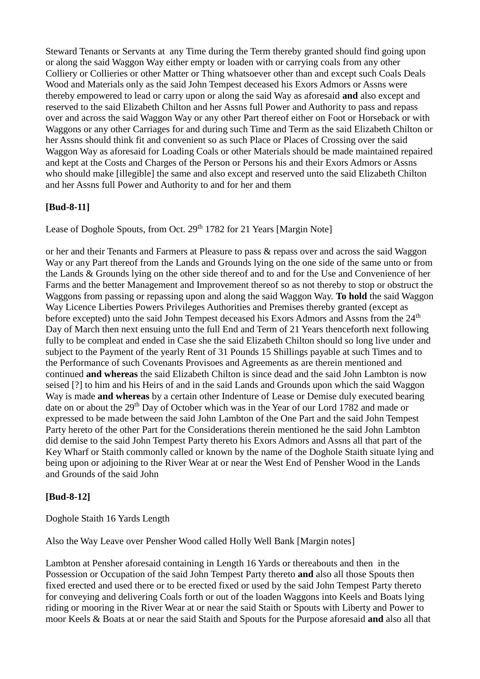Steward Tenants or Servants at any Time during the Term thereby granted should find going upon or along the said Waggon Way either empty or loaden with or carrying coals from any other Colliery or Collieries or other Matter or Thing whatsoever other than and except such Coals Deals Wood and Materials only as the said John Tempest deceased his Exors Admors or Assns were thereby empowered to lead or carry upon or along the said Way as aforesaid **and** also except and reserved to the said Elizabeth Chilton and her Assns full Power and Authority to pass and repass over and across the said Waggon Way or any other Part thereof either on Foot or Horseback or with Waggons or any other Carriages for and during such Time and Term as the said Elizabeth Chilton or her Assns should think fit and convenient so as such Place or Places of Crossing over the said Waggon Way as aforesaid for Loading Coals or other Materials should be made maintained repaired and kept at the Costs and Charges of the Person or Persons his and their Exors Admors or Assns who should make [illegible] the same and also except and reserved unto the said Elizabeth Chilton and her Assns full Power and Authority to and for her and them

# **[Bud-8-11]**

Lease of Doghole Spouts, from Oct. 29<sup>th</sup> 1782 for 21 Years [Margin Note]

or her and their Tenants and Farmers at Pleasure to pass & repass over and across the said Waggon Way or any Part thereof from the Lands and Grounds lying on the one side of the same unto or from the Lands & Grounds lying on the other side thereof and to and for the Use and Convenience of her Farms and the better Management and Improvement thereof so as not thereby to stop or obstruct the Waggons from passing or repassing upon and along the said Waggon Way. **To hold** the said Waggon Way Licence Liberties Powers Privileges Authorities and Premises thereby granted (except as before excepted) unto the said John Tempest deceased his Exors Admors and Assns from the 24<sup>th</sup> Day of March then next ensuing unto the full End and Term of 21 Years thenceforth next following fully to be compleat and ended in Case she the said Elizabeth Chilton should so long live under and subject to the Payment of the yearly Rent of 31 Pounds 15 Shillings payable at such Times and to the Performance of such Covenants Provisoes and Agreements as are therein mentioned and continued **and whereas** the said Elizabeth Chilton is since dead and the said John Lambton is now seised [?] to him and his Heirs of and in the said Lands and Grounds upon which the said Waggon Way is made **and whereas** by a certain other Indenture of Lease or Demise duly executed bearing date on or about the 29<sup>th</sup> Day of October which was in the Year of our Lord 1782 and made or expressed to be made between the said John Lambton of the One Part and the said John Tempest Party hereto of the other Part for the Considerations therein mentioned he the said John Lambton did demise to the said John Tempest Party thereto his Exors Admors and Assns all that part of the Key Wharf or Staith commonly called or known by the name of the Doghole Staith situate lying and being upon or adjoining to the River Wear at or near the West End of Pensher Wood in the Lands and Grounds of the said John

# **[Bud-8-12]**

Doghole Staith 16 Yards Length

Also the Way Leave over Pensher Wood called Holly Well Bank [Margin notes]

Lambton at Pensher aforesaid containing in Length 16 Yards or thereabouts and then in the Possession or Occupation of the said John Tempest Party thereto **and** also all those Spouts then fixed erected and used there or to be erected fixed or used by the said John Tempest Party thereto for conveying and delivering Coals forth or out of the loaden Waggons into Keels and Boats lying riding or mooring in the River Wear at or near the said Staith or Spouts with Liberty and Power to moor Keels & Boats at or near the said Staith and Spouts for the Purpose aforesaid **and** also all that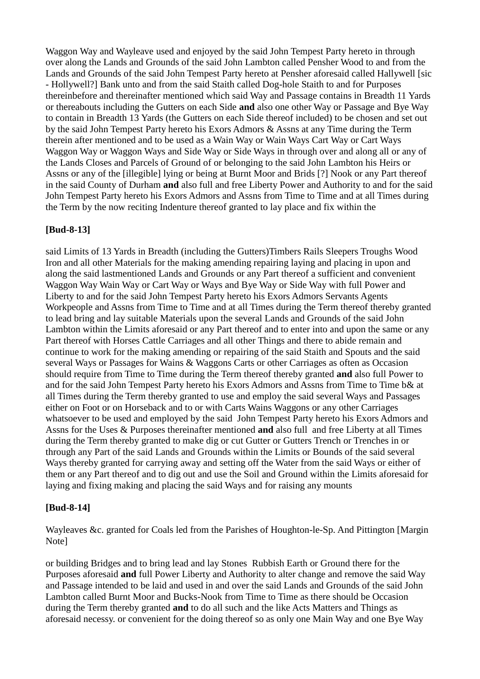Waggon Way and Wayleave used and enjoyed by the said John Tempest Party hereto in through over along the Lands and Grounds of the said John Lambton called Pensher Wood to and from the Lands and Grounds of the said John Tempest Party hereto at Pensher aforesaid called Hallywell [sic - Hollywell?] Bank unto and from the said Staith called Dog-hole Staith to and for Purposes thereinbefore and thereinafter mentioned which said Way and Passage contains in Breadth 11 Yards or thereabouts including the Gutters on each Side **and** also one other Way or Passage and Bye Way to contain in Breadth 13 Yards (the Gutters on each Side thereof included) to be chosen and set out by the said John Tempest Party hereto his Exors Admors & Assns at any Time during the Term therein after mentioned and to be used as a Wain Way or Wain Ways Cart Way or Cart Ways Waggon Way or Waggon Ways and Side Way or Side Ways in through over and along all or any of the Lands Closes and Parcels of Ground of or belonging to the said John Lambton his Heirs or Assns or any of the [illegible] lying or being at Burnt Moor and Brids [?] Nook or any Part thereof in the said County of Durham **and** also full and free Liberty Power and Authority to and for the said John Tempest Party hereto his Exors Admors and Assns from Time to Time and at all Times during the Term by the now reciting Indenture thereof granted to lay place and fix within the

### **[Bud-8-13]**

said Limits of 13 Yards in Breadth (including the Gutters)Timbers Rails Sleepers Troughs Wood Iron and all other Materials for the making amending repairing laying and placing in upon and along the said lastmentioned Lands and Grounds or any Part thereof a sufficient and convenient Waggon Way Wain Way or Cart Way or Ways and Bye Way or Side Way with full Power and Liberty to and for the said John Tempest Party hereto his Exors Admors Servants Agents Workpeople and Assns from Time to Time and at all Times during the Term thereof thereby granted to lead bring and lay suitable Materials upon the several Lands and Grounds of the said John Lambton within the Limits aforesaid or any Part thereof and to enter into and upon the same or any Part thereof with Horses Cattle Carriages and all other Things and there to abide remain and continue to work for the making amending or repairing of the said Staith and Spouts and the said several Ways or Passages for Wains & Waggons Carts or other Carriages as often as Occasion should require from Time to Time during the Term thereof thereby granted **and** also full Power to and for the said John Tempest Party hereto his Exors Admors and Assns from Time to Time b& at all Times during the Term thereby granted to use and employ the said several Ways and Passages either on Foot or on Horseback and to or with Carts Wains Waggons or any other Carriages whatsoever to be used and employed by the said John Tempest Party hereto his Exors Admors and Assns for the Uses & Purposes thereinafter mentioned **and** also full and free Liberty at all Times during the Term thereby granted to make dig or cut Gutter or Gutters Trench or Trenches in or through any Part of the said Lands and Grounds within the Limits or Bounds of the said several Ways thereby granted for carrying away and setting off the Water from the said Ways or either of them or any Part thereof and to dig out and use the Soil and Ground within the Limits aforesaid for laying and fixing making and placing the said Ways and for raising any mounts

### **[Bud-8-14]**

Wayleaves &c. granted for Coals led from the Parishes of Houghton-le-Sp. And Pittington [Margin Note]

or building Bridges and to bring lead and lay Stones Rubbish Earth or Ground there for the Purposes aforesaid **and** full Power Liberty and Authority to alter change and remove the said Way and Passage intended to be laid and used in and over the said Lands and Grounds of the said John Lambton called Burnt Moor and Bucks-Nook from Time to Time as there should be Occasion during the Term thereby granted **and** to do all such and the like Acts Matters and Things as aforesaid necessy. or convenient for the doing thereof so as only one Main Way and one Bye Way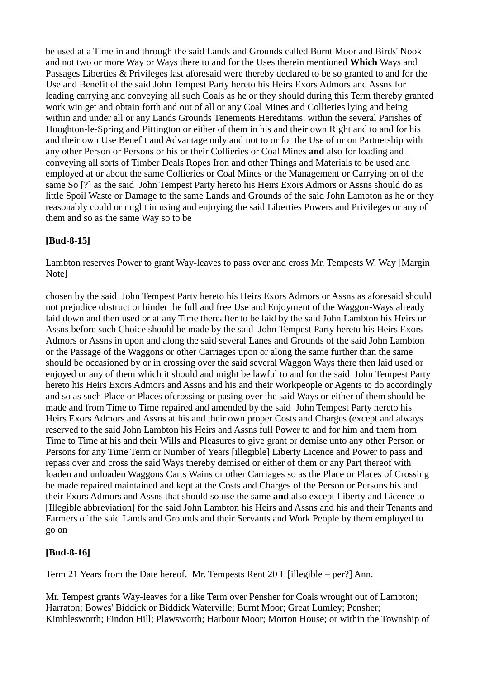be used at a Time in and through the said Lands and Grounds called Burnt Moor and Birds' Nook and not two or more Way or Ways there to and for the Uses therein mentioned **Which** Ways and Passages Liberties & Privileges last aforesaid were thereby declared to be so granted to and for the Use and Benefit of the said John Tempest Party hereto his Heirs Exors Admors and Assns for leading carrying and conveying all such Coals as he or they should during this Term thereby granted work win get and obtain forth and out of all or any Coal Mines and Collieries lying and being within and under all or any Lands Grounds Tenements Hereditams. within the several Parishes of Houghton-le-Spring and Pittington or either of them in his and their own Right and to and for his and their own Use Benefit and Advantage only and not to or for the Use of or on Partnership with any other Person or Persons or his or their Collieries or Coal Mines **and** also for loading and conveying all sorts of Timber Deals Ropes Iron and other Things and Materials to be used and employed at or about the same Collieries or Coal Mines or the Management or Carrying on of the same So [?] as the said John Tempest Party hereto his Heirs Exors Admors or Assns should do as little Spoil Waste or Damage to the same Lands and Grounds of the said John Lambton as he or they reasonably could or might in using and enjoying the said Liberties Powers and Privileges or any of them and so as the same Way so to be

# **[Bud-8-15]**

Lambton reserves Power to grant Way-leaves to pass over and cross Mr. Tempests W. Way [Margin Note]

chosen by the said John Tempest Party hereto his Heirs Exors Admors or Assns as aforesaid should not prejudice obstruct or hinder the full and free Use and Enjoyment of the Waggon**-**Ways already laid down and then used or at any Time thereafter to be laid by the said John Lambton his Heirs or Assns before such Choice should be made by the said John Tempest Party hereto his Heirs Exors Admors or Assns in upon and along the said several Lanes and Grounds of the said John Lambton or the Passage of the Waggons or other Carriages upon or along the same further than the same should be occasioned by or in crossing over the said several Waggon Ways there then laid used or enjoyed or any of them which it should and might be lawful to and for the said John Tempest Party hereto his Heirs Exors Admors and Assns and his and their Workpeople or Agents to do accordingly and so as such Place or Places ofcrossing or pasing over the said Ways or either of them should be made and from Time to Time repaired and amended by the said John Tempest Party hereto his Heirs Exors Admors and Assns at his and their own proper Costs and Charges (except and always reserved to the said John Lambton his Heirs and Assns full Power to and for him and them from Time to Time at his and their Wills and Pleasures to give grant or demise unto any other Person or Persons for any Time Term or Number of Years [illegible] Liberty Licence and Power to pass and repass over and cross the said Ways thereby demised or either of them or any Part thereof with loaden and unloaden Waggons Carts Wains or other Carriages so as the Place or Places of Crossing be made repaired maintained and kept at the Costs and Charges of the Person or Persons his and their Exors Admors and Assns that should so use the same **and** also except Liberty and Licence to [Illegible abbreviation] for the said John Lambton his Heirs and Assns and his and their Tenants and Farmers of the said Lands and Grounds and their Servants and Work People by them employed to go on

# **[Bud-8-16]**

Term 21 Years from the Date hereof. Mr. Tempests Rent 20 L [illegible – per?] Ann.

Mr. Tempest grants Way-leaves for a like Term over Pensher for Coals wrought out of Lambton; Harraton; Bowes' Biddick or Biddick Waterville; Burnt Moor; Great Lumley; Pensher; Kimblesworth; Findon Hill; Plawsworth; Harbour Moor; Morton House; or within the Township of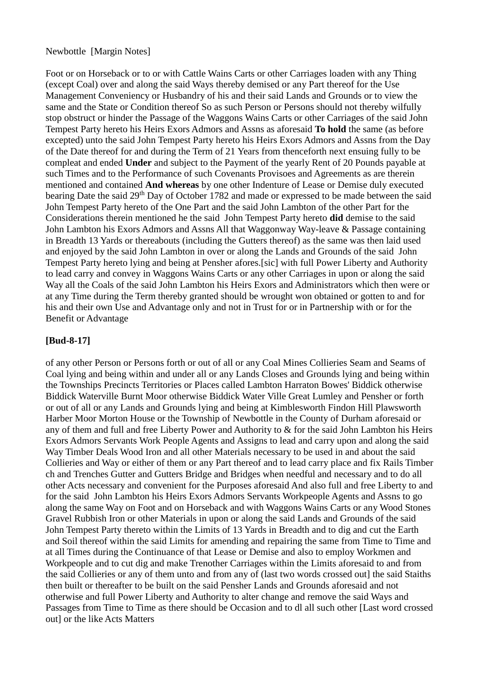### Newbottle [Margin Notes]

Foot or on Horseback or to or with Cattle Wains Carts or other Carriages loaden with any Thing (except Coal) over and along the said Ways thereby demised or any Part thereof for the Use Management Conveniency or Husbandry of his and their said Lands and Grounds or to view the same and the State or Condition thereof So as such Person or Persons should not thereby wilfully stop obstruct or hinder the Passage of the Waggons Wains Carts or other Carriages of the said John Tempest Party hereto his Heirs Exors Admors and Assns as aforesaid **To hold** the same (as before excepted) unto the said John Tempest Party hereto his Heirs Exors Admors and Assns from the Day of the Date thereof for and during the Term of 21 Years from thenceforth next ensuing fully to be compleat and ended **Under** and subject to the Payment of the yearly Rent of 20 Pounds payable at such Times and to the Performance of such Covenants Provisoes and Agreements as are therein mentioned and contained **And whereas** by one other Indenture of Lease or Demise duly executed bearing Date the said 29<sup>th</sup> Day of October 1782 and made or expressed to be made between the said John Tempest Party hereto of the One Part and the said John Lambton of the other Part for the Considerations therein mentioned he the said John Tempest Party hereto **did** demise to the said John Lambton his Exors Admors and Assns All that Waggonway Way-leave & Passage containing in Breadth 13 Yards or thereabouts (including the Gutters thereof) as the same was then laid used and enjoyed by the said John Lambton in over or along the Lands and Grounds of the said John Tempest Party hereto lying and being at Pensher afores.[sic] with full Power Liberty and Authority to lead carry and convey in Waggons Wains Carts or any other Carriages in upon or along the said Way all the Coals of the said John Lambton his Heirs Exors and Administrators which then were or at any Time during the Term thereby granted should be wrought won obtained or gotten to and for his and their own Use and Advantage only and not in Trust for or in Partnership with or for the Benefit or Advantage

# **[Bud-8-17]**

of any other Person or Persons forth or out of all or any Coal Mines Collieries Seam and Seams of Coal lying and being within and under all or any Lands Closes and Grounds lying and being within the Townships Precincts Territories or Places called Lambton Harraton Bowes' Biddick otherwise Biddick Waterville Burnt Moor otherwise Biddick Water Ville Great Lumley and Pensher or forth or out of all or any Lands and Grounds lying and being at Kimblesworth Findon Hill Plawsworth Harber Moor Morton House or the Township of Newbottle in the County of Durham aforesaid or any of them and full and free Liberty Power and Authority to & for the said John Lambton his Heirs Exors Admors Servants Work People Agents and Assigns to lead and carry upon and along the said Way Timber Deals Wood Iron and all other Materials necessary to be used in and about the said Collieries and Way or either of them or any Part thereof and to lead carry place and fix Rails Timber ch and Trenches Gutter and Gutters Bridge and Bridges when needful and necessary and to do all other Acts necessary and convenient for the Purposes aforesaid And also full and free Liberty to and for the said John Lambton his Heirs Exors Admors Servants Workpeople Agents and Assns to go along the same Way on Foot and on Horseback and with Waggons Wains Carts or any Wood Stones Gravel Rubbish Iron or other Materials in upon or along the said Lands and Grounds of the said John Tempest Party thereto within the Limits of 13 Yards in Breadth and to dig and cut the Earth and Soil thereof within the said Limits for amending and repairing the same from Time to Time and at all Times during the Continuance of that Lease or Demise and also to employ Workmen and Workpeople and to cut dig and make Trenother Carriages within the Limits aforesaid to and from the said Collieries or any of them unto and from any of (last two words crossed out] the said Staiths then built or thereafter to be built on the said Pensher Lands and Grounds aforesaid and not otherwise and full Power Liberty and Authority to alter change and remove the said Ways and Passages from Time to Time as there should be Occasion and to dl all such other [Last word crossed out] or the like Acts Matters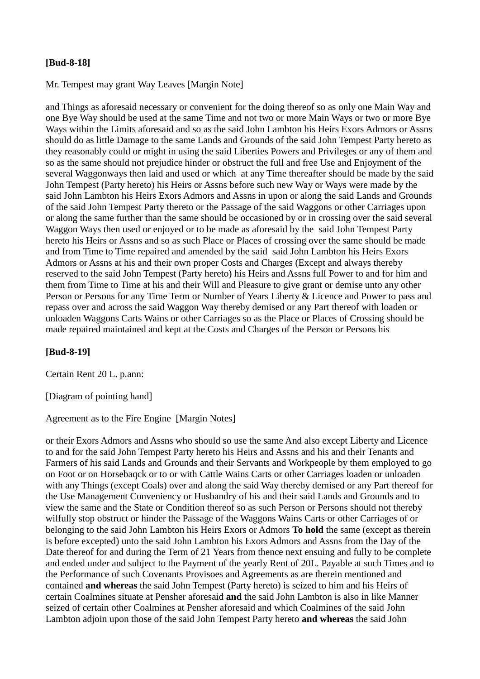### **[Bud-8-18]**

Mr. Tempest may grant Way Leaves [Margin Note]

and Things as aforesaid necessary or convenient for the doing thereof so as only one Main Way and one Bye Way should be used at the same Time and not two or more Main Ways or two or more Bye Ways within the Limits aforesaid and so as the said John Lambton his Heirs Exors Admors or Assns should do as little Damage to the same Lands and Grounds of the said John Tempest Party hereto as they reasonably could or might in using the said Liberties Powers and Privileges or any of them and so as the same should not prejudice hinder or obstruct the full and free Use and Enjoyment of the several Waggonways then laid and used or which at any Time thereafter should be made by the said John Tempest (Party hereto) his Heirs or Assns before such new Way or Ways were made by the said John Lambton his Heirs Exors Admors and Assns in upon or along the said Lands and Grounds of the said John Tempest Party thereto or the Passage of the said Waggons or other Carriages upon or along the same further than the same should be occasioned by or in crossing over the said several Waggon Ways then used or enjoyed or to be made as aforesaid by the said John Tempest Party hereto his Heirs or Assns and so as such Place or Places of crossing over the same should be made and from Time to Time repaired and amended by the said said John Lambton his Heirs Exors Admors or Assns at his and their own proper Costs and Charges (Except and always thereby reserved to the said John Tempest (Party hereto) his Heirs and Assns full Power to and for him and them from Time to Time at his and their Will and Pleasure to give grant or demise unto any other Person or Persons for any Time Term or Number of Years Liberty & Licence and Power to pass and repass over and across the said Waggon Way thereby demised or any Part thereof with loaden or unloaden Waggons Carts Wains or other Carriages so as the Place or Places of Crossing should be made repaired maintained and kept at the Costs and Charges of the Person or Persons his

### **[Bud-8-19]**

Certain Rent 20 L. p.ann:

[Diagram of pointing hand]

Agreement as to the Fire Engine [Margin Notes]

or their Exors Admors and Assns who should so use the same And also except Liberty and Licence to and for the said John Tempest Party hereto his Heirs and Assns and his and their Tenants and Farmers of his said Lands and Grounds and their Servants and Workpeople by them employed to go on Foot or on Horsebaqck or to or with Cattle Wains Carts or other Carriages loaden or unloaden with any Things (except Coals) over and along the said Way thereby demised or any Part thereof for the Use Management Conveniency or Husbandry of his and their said Lands and Grounds and to view the same and the State or Condition thereof so as such Person or Persons should not thereby wilfully stop obstruct or hinder the Passage of the Waggons Wains Carts or other Carriages of or belonging to the said John Lambton his Heirs Exors or Admors **To hold** the same (except as therein is before excepted) unto the said John Lambton his Exors Admors and Assns from the Day of the Date thereof for and during the Term of 21 Years from thence next ensuing and fully to be complete and ended under and subject to the Payment of the yearly Rent of 20L. Payable at such Times and to the Performance of such Covenants Provisoes and Agreements as are therein mentioned and contained **and whereas** the said John Tempest (Party hereto) is seized to him and his Heirs of certain Coalmines situate at Pensher aforesaid **and** the said John Lambton is also in like Manner seized of certain other Coalmines at Pensher aforesaid and which Coalmines of the said John Lambton adjoin upon those of the said John Tempest Party hereto **and whereas** the said John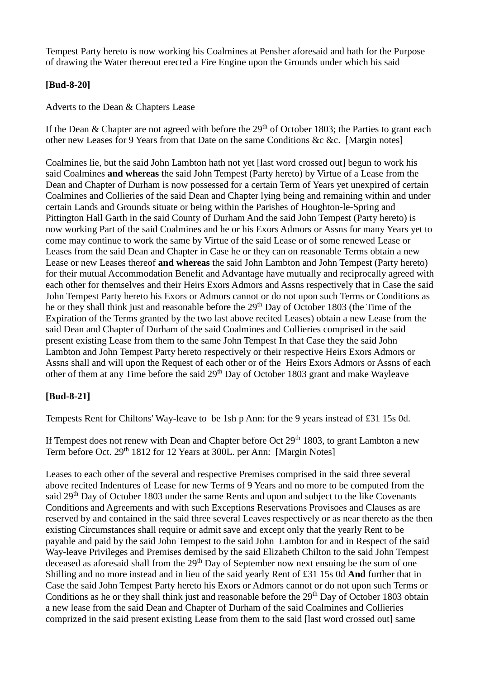Tempest Party hereto is now working his Coalmines at Pensher aforesaid and hath for the Purpose of drawing the Water thereout erected a Fire Engine upon the Grounds under which his said

# **[Bud-8-20]**

Adverts to the Dean & Chapters Lease

If the Dean & Chapter are not agreed with before the  $29<sup>th</sup>$  of October 1803; the Parties to grant each other new Leases for 9 Years from that Date on the same Conditions &c &c. [Margin notes]

Coalmines lie, but the said John Lambton hath not yet [last word crossed out] begun to work his said Coalmines **and whereas** the said John Tempest (Party hereto) by Virtue of a Lease from the Dean and Chapter of Durham is now possessed for a certain Term of Years yet unexpired of certain Coalmines and Collieries of the said Dean and Chapter lying being and remaining within and under certain Lands and Grounds situate or being within the Parishes of Houghton-le-Spring and Pittington Hall Garth in the said County of Durham And the said John Tempest (Party hereto) is now working Part of the said Coalmines and he or his Exors Admors or Assns for many Years yet to come may continue to work the same by Virtue of the said Lease or of some renewed Lease or Leases from the said Dean and Chapter in Case he or they can on reasonable Terms obtain a new Lease or new Leases thereof **and whereas** the said John Lambton and John Tempest (Party hereto) for their mutual Accommodation Benefit and Advantage have mutually and reciprocally agreed with each other for themselves and their Heirs Exors Admors and Assns respectively that in Case the said John Tempest Party hereto his Exors or Admors cannot or do not upon such Terms or Conditions as he or they shall think just and reasonable before the 29<sup>th</sup> Day of October 1803 (the Time of the Expiration of the Terms granted by the two last above recited Leases) obtain a new Lease from the said Dean and Chapter of Durham of the said Coalmines and Collieries comprised in the said present existing Lease from them to the same John Tempest In that Case they the said John Lambton and John Tempest Party hereto respectively or their respective Heirs Exors Admors or Assns shall and will upon the Request of each other or of the Heirs Exors Admors or Assns of each other of them at any Time before the said 29<sup>th</sup> Day of October 1803 grant and make Wayleave

# **[Bud-8-21]**

Tempests Rent for Chiltons' Way-leave to be 1sh p Ann: for the 9 years instead of £31 15s 0d.

If Tempest does not renew with Dean and Chapter before Oct  $29<sup>th</sup> 1803$ , to grant Lambton a new Term before Oct. 29<sup>th</sup> 1812 for 12 Years at 300L. per Ann: [Margin Notes]

Leases to each other of the several and respective Premises comprised in the said three several above recited Indentures of Lease for new Terms of 9 Years and no more to be computed from the said 29<sup>th</sup> Day of October 1803 under the same Rents and upon and subject to the like Covenants Conditions and Agreements and with such Exceptions Reservations Provisoes and Clauses as are reserved by and contained in the said three several Leaves respectively or as near thereto as the then existing Circumstances shall require or admit save and except only that the yearly Rent to be payable and paid by the said John Tempest to the said John Lambton for and in Respect of the said Way-leave Privileges and Premises demised by the said Elizabeth Chilton to the said John Tempest deceased as aforesaid shall from the  $29<sup>th</sup>$  Day of September now next ensuing be the sum of one Shilling and no more instead and in lieu of the said yearly Rent of £31 15s 0d **And** further that in Case the said John Tempest Party hereto his Exors or Admors cannot or do not upon such Terms or Conditions as he or they shall think just and reasonable before the 29<sup>th</sup> Day of October 1803 obtain a new lease from the said Dean and Chapter of Durham of the said Coalmines and Collieries comprized in the said present existing Lease from them to the said [last word crossed out] same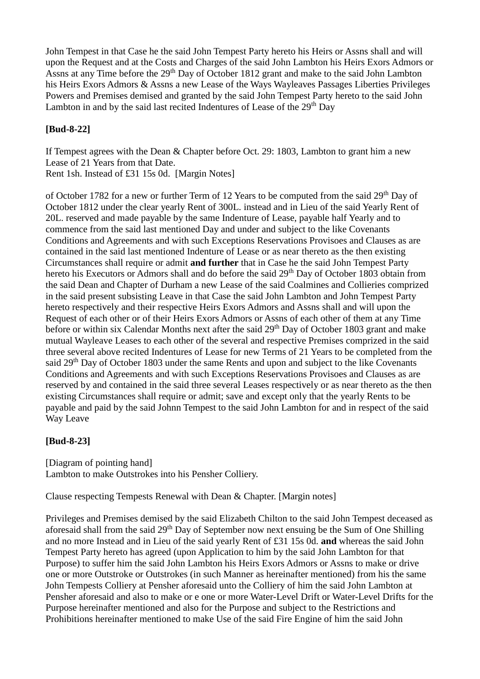John Tempest in that Case he the said John Tempest Party hereto his Heirs or Assns shall and will upon the Request and at the Costs and Charges of the said John Lambton his Heirs Exors Admors or Assns at any Time before the 29<sup>th</sup> Day of October 1812 grant and make to the said John Lambton his Heirs Exors Admors & Assns a new Lease of the Ways Wayleaves Passages Liberties Privileges Powers and Premises demised and granted by the said John Tempest Party hereto to the said John Lambton in and by the said last recited Indentures of Lease of the 29<sup>th</sup> Day

# **[Bud-8-22]**

If Tempest agrees with the Dean & Chapter before Oct. 29: 1803, Lambton to grant him a new Lease of 21 Years from that Date. Rent 1sh. Instead of £31 15s 0d. [Margin Notes]

of October 1782 for a new or further Term of 12 Years to be computed from the said 29<sup>th</sup> Day of October 1812 under the clear yearly Rent of 300L. instead and in Lieu of the said Yearly Rent of 20L. reserved and made payable by the same Indenture of Lease, payable half Yearly and to commence from the said last mentioned Day and under and subject to the like Covenants Conditions and Agreements and with such Exceptions Reservations Provisoes and Clauses as are contained in the said last mentioned Indenture of Lease or as near thereto as the then existing Circumstances shall require or admit **and further** that in Case he the said John Tempest Party hereto his Executors or Admors shall and do before the said 29<sup>th</sup> Day of October 1803 obtain from the said Dean and Chapter of Durham a new Lease of the said Coalmines and Collieries comprized in the said present subsisting Leave in that Case the said John Lambton and John Tempest Party hereto respectively and their respective Heirs Exors Admors and Assns shall and will upon the Request of each other or of their Heirs Exors Admors or Assns of each other of them at any Time before or within six Calendar Months next after the said 29<sup>th</sup> Day of October 1803 grant and make mutual Wayleave Leases to each other of the several and respective Premises comprized in the said three several above recited Indentures of Lease for new Terms of 21 Years to be completed from the said 29<sup>th</sup> Day of October 1803 under the same Rents and upon and subject to the like Covenants Conditions and Agreements and with such Exceptions Reservations Provisoes and Clauses as are reserved by and contained in the said three several Leases respectively or as near thereto as the then existing Circumstances shall require or admit; save and except only that the yearly Rents to be payable and paid by the said Johnn Tempest to the said John Lambton for and in respect of the said Way Leave

# **[Bud-8-23]**

[Diagram of pointing hand] Lambton to make Outstrokes into his Pensher Colliery.

Clause respecting Tempests Renewal with Dean & Chapter. [Margin notes]

Privileges and Premises demised by the said Elizabeth Chilton to the said John Tempest deceased as aforesaid shall from the said 29th Day of September now next ensuing be the Sum of One Shilling and no more Instead and in Lieu of the said yearly Rent of £31 15s 0d. **and** whereas the said John Tempest Party hereto has agreed (upon Application to him by the said John Lambton for that Purpose) to suffer him the said John Lambton his Heirs Exors Admors or Assns to make or drive one or more Outstroke or Outstrokes (in such Manner as hereinafter mentioned) from his the same John Tempests Colliery at Pensher aforesaid unto the Colliery of him the said John Lambton at Pensher aforesaid and also to make or e one or more Water-Level Drift or Water-Level Drifts for the Purpose hereinafter mentioned and also for the Purpose and subject to the Restrictions and Prohibitions hereinafter mentioned to make Use of the said Fire Engine of him the said John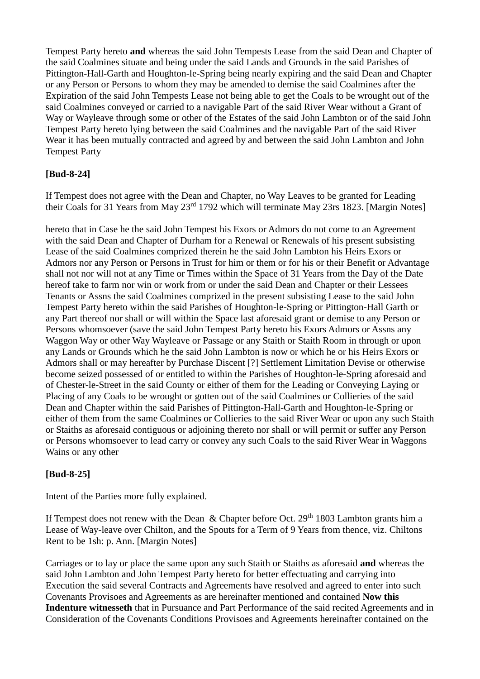Tempest Party hereto **and** whereas the said John Tempests Lease from the said Dean and Chapter of the said Coalmines situate and being under the said Lands and Grounds in the said Parishes of Pittington-Hall-Garth and Houghton-le-Spring being nearly expiring and the said Dean and Chapter or any Person or Persons to whom they may be amended to demise the said Coalmines after the Expiration of the said John Tempests Lease not being able to get the Coals to be wrought out of the said Coalmines conveyed or carried to a navigable Part of the said River Wear without a Grant of Way or Wayleave through some or other of the Estates of the said John Lambton or of the said John Tempest Party hereto lying between the said Coalmines and the navigable Part of the said River Wear it has been mutually contracted and agreed by and between the said John Lambton and John Tempest Party

# **[Bud-8-24]**

If Tempest does not agree with the Dean and Chapter, no Way Leaves to be granted for Leading their Coals for 31 Years from May 23rd 1792 which will terminate May 23rs 1823. [Margin Notes]

hereto that in Case he the said John Tempest his Exors or Admors do not come to an Agreement with the said Dean and Chapter of Durham for a Renewal or Renewals of his present subsisting Lease of the said Coalmines comprized therein he the said John Lambton his Heirs Exors or Admors nor any Person or Persons in Trust for him or them or for his or their Benefit or Advantage shall not nor will not at any Time or Times within the Space of 31 Years from the Day of the Date hereof take to farm nor win or work from or under the said Dean and Chapter or their Lessees Tenants or Assns the said Coalmines comprized in the present subsisting Lease to the said John Tempest Party hereto within the said Parishes of Houghton-le-Spring or Pittington-Hall Garth or any Part thereof nor shall or will within the Space last aforesaid grant or demise to any Person or Persons whomsoever (save the said John Tempest Party hereto his Exors Admors or Assns any Waggon Way or other Way Wayleave or Passage or any Staith or Staith Room in through or upon any Lands or Grounds which he the said John Lambton is now or which he or his Heirs Exors or Admors shall or may hereafter by Purchase Discent [?] Settlement Limitation Devise or otherwise become seized possessed of or entitled to within the Parishes of Houghton-le-Spring aforesaid and of Chester-le-Street in the said County or either of them for the Leading or Conveying Laying or Placing of any Coals to be wrought or gotten out of the said Coalmines or Collieries of the said Dean and Chapter within the said Parishes of Pittington-Hall-Garth and Houghton-le-Spring or either of them from the same Coalmines or Collieries to the said River Wear or upon any such Staith or Staiths as aforesaid contiguous or adjoining thereto nor shall or will permit or suffer any Person or Persons whomsoever to lead carry or convey any such Coals to the said River Wear in Waggons Wains or any other

# **[Bud-8-25]**

Intent of the Parties more fully explained.

If Tempest does not renew with the Dean & Chapter before Oct.  $29<sup>th</sup> 1803$  Lambton grants him a Lease of Way-leave over Chilton, and the Spouts for a Term of 9 Years from thence, viz. Chiltons Rent to be 1sh: p. Ann. [Margin Notes]

Carriages or to lay or place the same upon any such Staith or Staiths as aforesaid **and** whereas the said John Lambton and John Tempest Party hereto for better effectuating and carrying into Execution the said several Contracts and Agreements have resolved and agreed to enter into such Covenants Provisoes and Agreements as are hereinafter mentioned and contained **Now this Indenture witnesseth** that in Pursuance and Part Performance of the said recited Agreements and in Consideration of the Covenants Conditions Provisoes and Agreements hereinafter contained on the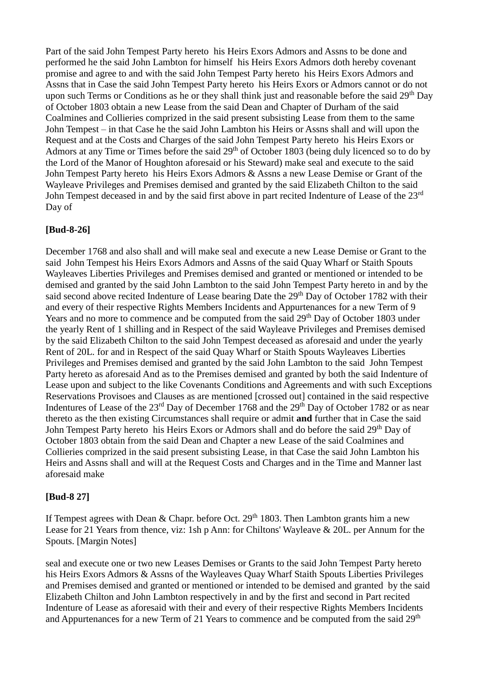Part of the said John Tempest Party hereto his Heirs Exors Admors and Assns to be done and performed he the said John Lambton for himself his Heirs Exors Admors doth hereby covenant promise and agree to and with the said John Tempest Party hereto his Heirs Exors Admors and Assns that in Case the said John Tempest Party hereto his Heirs Exors or Admors cannot or do not upon such Terms or Conditions as he or they shall think just and reasonable before the said 29<sup>th</sup> Day of October 1803 obtain a new Lease from the said Dean and Chapter of Durham of the said Coalmines and Collieries comprized in the said present subsisting Lease from them to the same John Tempest – in that Case he the said John Lambton his Heirs or Assns shall and will upon the Request and at the Costs and Charges of the said John Tempest Party hereto his Heirs Exors or Admors at any Time or Times before the said 29<sup>th</sup> of October 1803 (being duly licenced so to do by the Lord of the Manor of Houghton aforesaid or his Steward) make seal and execute to the said John Tempest Party hereto his Heirs Exors Admors & Assns a new Lease Demise or Grant of the Wayleave Privileges and Premises demised and granted by the said Elizabeth Chilton to the said John Tempest deceased in and by the said first above in part recited Indenture of Lease of the 23rd Day of

# **[Bud-8-26]**

December 1768 and also shall and will make seal and execute a new Lease Demise or Grant to the said John Tempest his Heirs Exors Admors and Assns of the said Quay Wharf or Staith Spouts Wayleaves Liberties Privileges and Premises demised and granted or mentioned or intended to be demised and granted by the said John Lambton to the said John Tempest Party hereto in and by the said second above recited Indenture of Lease bearing Date the 29<sup>th</sup> Day of October 1782 with their and every of their respective Rights Members Incidents and Appurtenances for a new Term of 9 Years and no more to commence and be computed from the said 29<sup>th</sup> Day of October 1803 under the yearly Rent of 1 shilling and in Respect of the said Wayleave Privileges and Premises demised by the said Elizabeth Chilton to the said John Tempest deceased as aforesaid and under the yearly Rent of 20L. for and in Respect of the said Quay Wharf or Staith Spouts Wayleaves Liberties Privileges and Premises demised and granted by the said John Lambton to the said John Tempest Party hereto as aforesaid And as to the Premises demised and granted by both the said Indenture of Lease upon and subject to the like Covenants Conditions and Agreements and with such Exceptions Reservations Provisoes and Clauses as are mentioned [crossed out] contained in the said respective Indentures of Lease of the 23<sup>rd</sup> Day of December 1768 and the 29<sup>th</sup> Day of October 1782 or as near thereto as the then existing Circumstances shall require or admit **and** further that in Case the said John Tempest Party hereto his Heirs Exors or Admors shall and do before the said 29<sup>th</sup> Day of October 1803 obtain from the said Dean and Chapter a new Lease of the said Coalmines and Collieries comprized in the said present subsisting Lease, in that Case the said John Lambton his Heirs and Assns shall and will at the Request Costs and Charges and in the Time and Manner last aforesaid make

### **[Bud-8 27]**

If Tempest agrees with Dean & Chapr. before Oct.  $29<sup>th</sup> 1803$ . Then Lambton grants him a new Lease for 21 Years from thence, viz: 1sh p Ann: for Chiltons' Wayleave & 20L. per Annum for the Spouts. [Margin Notes]

seal and execute one or two new Leases Demises or Grants to the said John Tempest Party hereto his Heirs Exors Admors & Assns of the Wayleaves Quay Wharf Staith Spouts Liberties Privileges and Premises demised and granted or mentioned or intended to be demised and granted by the said Elizabeth Chilton and John Lambton respectively in and by the first and second in Part recited Indenture of Lease as aforesaid with their and every of their respective Rights Members Incidents and Appurtenances for a new Term of 21 Years to commence and be computed from the said 29<sup>th</sup>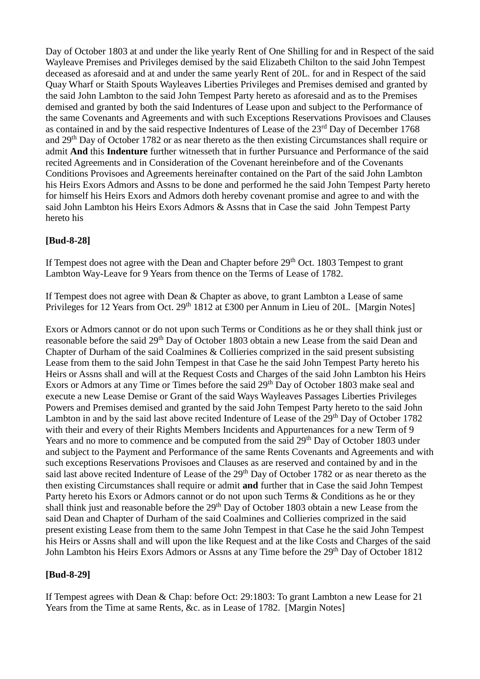Day of October 1803 at and under the like yearly Rent of One Shilling for and in Respect of the said Wayleave Premises and Privileges demised by the said Elizabeth Chilton to the said John Tempest deceased as aforesaid and at and under the same yearly Rent of 20L. for and in Respect of the said Quay Wharf or Staith Spouts Wayleaves Liberties Privileges and Premises demised and granted by the said John Lambton to the said John Tempest Party hereto as aforesaid and as to the Premises demised and granted by both the said Indentures of Lease upon and subject to the Performance of the same Covenants and Agreements and with such Exceptions Reservations Provisoes and Clauses as contained in and by the said respective Indentures of Lease of the 23rd Day of December 1768 and 29th Day of October 1782 or as near thereto as the then existing Circumstances shall require or admit **And** this **Indenture** further witnesseth that in further Pursuance and Performance of the said recited Agreements and in Consideration of the Covenant hereinbefore and of the Covenants Conditions Provisoes and Agreements hereinafter contained on the Part of the said John Lambton his Heirs Exors Admors and Assns to be done and performed he the said John Tempest Party hereto for himself his Heirs Exors and Admors doth hereby covenant promise and agree to and with the said John Lambton his Heirs Exors Admors & Assns that in Case the said John Tempest Party hereto his

# **[Bud-8-28]**

If Tempest does not agree with the Dean and Chapter before  $29<sup>th</sup>$  Oct. 1803 Tempest to grant Lambton Way-Leave for 9 Years from thence on the Terms of Lease of 1782.

If Tempest does not agree with Dean & Chapter as above, to grant Lambton a Lease of same Privileges for 12 Years from Oct. 29<sup>th</sup> 1812 at £300 per Annum in Lieu of 20L. [Margin Notes]

Exors or Admors cannot or do not upon such Terms or Conditions as he or they shall think just or reasonable before the said 29<sup>th</sup> Day of October 1803 obtain a new Lease from the said Dean and Chapter of Durham of the said Coalmines & Collieries comprized in the said present subsisting Lease from them to the said John Tempest in that Case he the said John Tempest Party hereto his Heirs or Assns shall and will at the Request Costs and Charges of the said John Lambton his Heirs Exors or Admors at any Time or Times before the said 29<sup>th</sup> Day of October 1803 make seal and execute a new Lease Demise or Grant of the said Ways Wayleaves Passages Liberties Privileges Powers and Premises demised and granted by the said John Tempest Party hereto to the said John Lambton in and by the said last above recited Indenture of Lease of the 29<sup>th</sup> Day of October 1782 with their and every of their Rights Members Incidents and Appurtenances for a new Term of 9 Years and no more to commence and be computed from the said 29<sup>th</sup> Day of October 1803 under and subject to the Payment and Performance of the same Rents Covenants and Agreements and with such exceptions Reservations Provisoes and Clauses as are reserved and contained by and in the said last above recited Indenture of Lease of the 29<sup>th</sup> Day of October 1782 or as near thereto as the then existing Circumstances shall require or admit **and** further that in Case the said John Tempest Party hereto his Exors or Admors cannot or do not upon such Terms & Conditions as he or they shall think just and reasonable before the 29<sup>th</sup> Day of October 1803 obtain a new Lease from the said Dean and Chapter of Durham of the said Coalmines and Collieries comprized in the said present existing Lease from them to the same John Tempest in that Case he the said John Tempest his Heirs or Assns shall and will upon the like Request and at the like Costs and Charges of the said John Lambton his Heirs Exors Admors or Assns at any Time before the 29<sup>th</sup> Day of October 1812

# **[Bud-8-29]**

If Tempest agrees with Dean & Chap: before Oct: 29:1803: To grant Lambton a new Lease for 21 Years from the Time at same Rents, &c. as in Lease of 1782. [Margin Notes]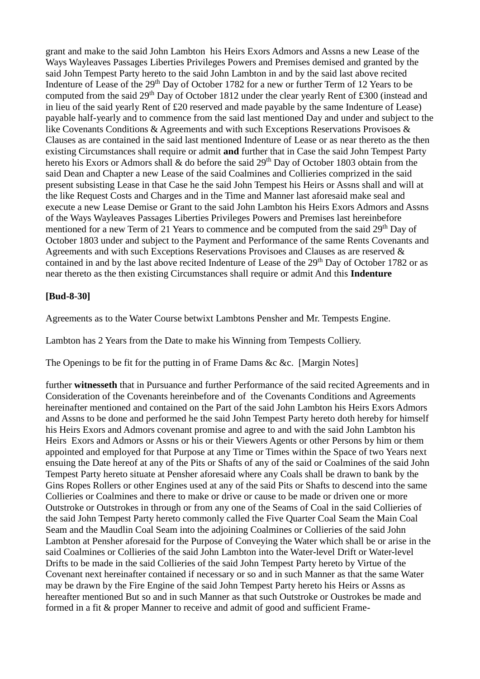grant and make to the said John Lambton his Heirs Exors Admors and Assns a new Lease of the Ways Wayleaves Passages Liberties Privileges Powers and Premises demised and granted by the said John Tempest Party hereto to the said John Lambton in and by the said last above recited Indenture of Lease of the 29<sup>th</sup> Day of October 1782 for a new or further Term of 12 Years to be computed from the said 29th Day of October 1812 under the clear yearly Rent of £300 (instead and in lieu of the said yearly Rent of £20 reserved and made payable by the same Indenture of Lease) payable half-yearly and to commence from the said last mentioned Day and under and subject to the like Covenants Conditions & Agreements and with such Exceptions Reservations Provisoes & Clauses as are contained in the said last mentioned Indenture of Lease or as near thereto as the then existing Circumstances shall require or admit **and** further that in Case the said John Tempest Party hereto his Exors or Admors shall  $\&$  do before the said 29<sup>th</sup> Day of October 1803 obtain from the said Dean and Chapter a new Lease of the said Coalmines and Collieries comprized in the said present subsisting Lease in that Case he the said John Tempest his Heirs or Assns shall and will at the like Request Costs and Charges and in the Time and Manner last aforesaid make seal and execute a new Lease Demise or Grant to the said John Lambton his Heirs Exors Admors and Assns of the Ways Wayleaves Passages Liberties Privileges Powers and Premises last hereinbefore mentioned for a new Term of 21 Years to commence and be computed from the said 29<sup>th</sup> Day of October 1803 under and subject to the Payment and Performance of the same Rents Covenants and Agreements and with such Exceptions Reservations Provisoes and Clauses as are reserved & contained in and by the last above recited Indenture of Lease of the 29<sup>th</sup> Day of October 1782 or as near thereto as the then existing Circumstances shall require or admit And this **Indenture**

### **[Bud-8-30]**

Agreements as to the Water Course betwixt Lambtons Pensher and Mr. Tempests Engine.

Lambton has 2 Years from the Date to make his Winning from Tempests Colliery.

The Openings to be fit for the putting in of Frame Dams &c &c. [Margin Notes]

further **witnesseth** that in Pursuance and further Performance of the said recited Agreements and in Consideration of the Covenants hereinbefore and of the Covenants Conditions and Agreements hereinafter mentioned and contained on the Part of the said John Lambton his Heirs Exors Admors and Assns to be done and performed he the said John Tempest Party hereto doth hereby for himself his Heirs Exors and Admors covenant promise and agree to and with the said John Lambton his Heirs Exors and Admors or Assns or his or their Viewers Agents or other Persons by him or them appointed and employed for that Purpose at any Time or Times within the Space of two Years next ensuing the Date hereof at any of the Pits or Shafts of any of the said or Coalmines of the said John Tempest Party hereto situate at Pensher aforesaid where any Coals shall be drawn to bank by the Gins Ropes Rollers or other Engines used at any of the said Pits or Shafts to descend into the same Collieries or Coalmines and there to make or drive or cause to be made or driven one or more Outstroke or Outstrokes in through or from any one of the Seams of Coal in the said Collieries of the said John Tempest Party hereto commonly called the Five Quarter Coal Seam the Main Coal Seam and the Maudlin Coal Seam into the adjoining Coalmines or Collieries of the said John Lambton at Pensher aforesaid for the Purpose of Conveying the Water which shall be or arise in the said Coalmines or Collieries of the said John Lambton into the Water-level Drift or Water-level Drifts to be made in the said Collieries of the said John Tempest Party hereto by Virtue of the Covenant next hereinafter contained if necessary or so and in such Manner as that the same Water may be drawn by the Fire Engine of the said John Tempest Party hereto his Heirs or Assns as hereafter mentioned But so and in such Manner as that such Outstroke or Oustrokes be made and formed in a fit & proper Manner to receive and admit of good and sufficient Frame-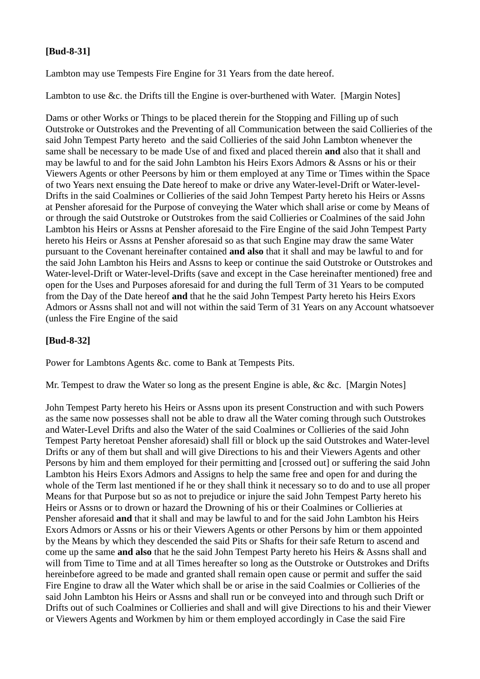# **[Bud-8-31]**

Lambton may use Tempests Fire Engine for 31 Years from the date hereof.

Lambton to use &c. the Drifts till the Engine is over-burthened with Water. [Margin Notes]

Dams or other Works or Things to be placed therein for the Stopping and Filling up of such Outstroke or Outstrokes and the Preventing of all Communication between the said Collieries of the said John Tempest Party hereto and the said Collieries of the said John Lambton whenever the same shall be necessary to be made Use of and fixed and placed therein **and** also that it shall and may be lawful to and for the said John Lambton his Heirs Exors Admors & Assns or his or their Viewers Agents or other Peersons by him or them employed at any Time or Times within the Space of two Years next ensuing the Date hereof to make or drive any Water-level-Drift or Water-level-Drifts in the said Coalmines or Collieries of the said John Tempest Party hereto his Heirs or Assns at Pensher aforesaid for the Purpose of conveying the Water which shall arise or come by Means of or through the said Outstroke or Outstrokes from the said Collieries or Coalmines of the said John Lambton his Heirs or Assns at Pensher aforesaid to the Fire Engine of the said John Tempest Party hereto his Heirs or Assns at Pensher aforesaid so as that such Engine may draw the same Water pursuant to the Covenant hereinafter contained **and also** that it shall and may be lawful to and for the said John Lambton his Heirs and Assns to keep or continue the said Outstroke or Outstrokes and Water-level-Drift or Water-level-Drifts (save and except in the Case hereinafter mentioned) free and open for the Uses and Purposes aforesaid for and during the full Term of 31 Years to be computed from the Day of the Date hereof **and** that he the said John Tempest Party hereto his Heirs Exors Admors or Assns shall not and will not within the said Term of 31 Years on any Account whatsoever (unless the Fire Engine of the said

# **[Bud-8-32]**

Power for Lambtons Agents &c. come to Bank at Tempests Pits.

Mr. Tempest to draw the Water so long as the present Engine is able, &c &c. [Margin Notes]

John Tempest Party hereto his Heirs or Assns upon its present Construction and with such Powers as the same now possesses shall not be able to draw all the Water coming through such Outstrokes and Water-Level Drifts and also the Water of the said Coalmines or Collieries of the said John Tempest Party heretoat Pensher aforesaid) shall fill or block up the said Outstrokes and Water-level Drifts or any of them but shall and will give Directions to his and their Viewers Agents and other Persons by him and them employed for their permitting and [crossed out] or suffering the said John Lambton his Heirs Exors Admors and Assigns to help the same free and open for and during the whole of the Term last mentioned if he or they shall think it necessary so to do and to use all proper Means for that Purpose but so as not to prejudice or injure the said John Tempest Party hereto his Heirs or Assns or to drown or hazard the Drowning of his or their Coalmines or Collieries at Pensher aforesaid **and** that it shall and may be lawful to and for the said John Lambton his Heirs Exors Admors or Assns or his or their Viewers Agents or other Persons by him or them appointed by the Means by which they descended the said Pits or Shafts for their safe Return to ascend and come up the same **and also** that he the said John Tempest Party hereto his Heirs & Assns shall and will from Time to Time and at all Times hereafter so long as the Outstroke or Outstrokes and Drifts hereinbefore agreed to be made and granted shall remain open cause or permit and suffer the said Fire Engine to draw all the Water which shall be or arise in the said Coalmies or Collieries of the said John Lambton his Heirs or Assns and shall run or be conveyed into and through such Drift or Drifts out of such Coalmines or Collieries and shall and will give Directions to his and their Viewer or Viewers Agents and Workmen by him or them employed accordingly in Case the said Fire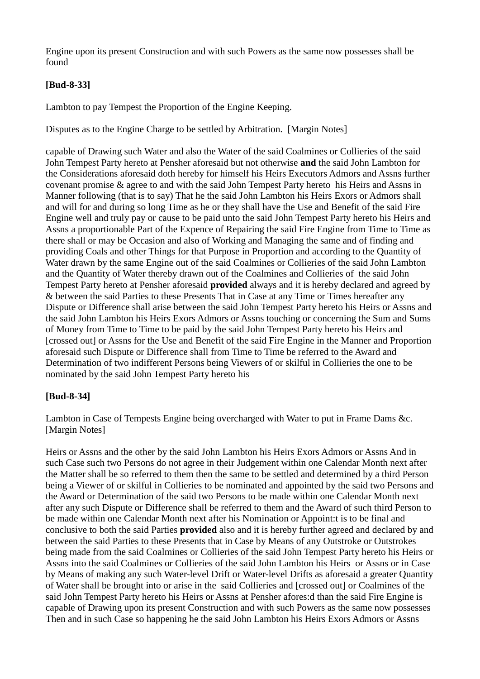Engine upon its present Construction and with such Powers as the same now possesses shall be found

# **[Bud-8-33]**

Lambton to pay Tempest the Proportion of the Engine Keeping.

Disputes as to the Engine Charge to be settled by Arbitration. [Margin Notes]

capable of Drawing such Water and also the Water of the said Coalmines or Collieries of the said John Tempest Party hereto at Pensher aforesaid but not otherwise **and** the said John Lambton for the Considerations aforesaid doth hereby for himself his Heirs Executors Admors and Assns further covenant promise & agree to and with the said John Tempest Party hereto his Heirs and Assns in Manner following (that is to say) That he the said John Lambton his Heirs Exors or Admors shall and will for and during so long Time as he or they shall have the Use and Benefit of the said Fire Engine well and truly pay or cause to be paid unto the said John Tempest Party hereto his Heirs and Assns a proportionable Part of the Expence of Repairing the said Fire Engine from Time to Time as there shall or may be Occasion and also of Working and Managing the same and of finding and providing Coals and other Things for that Purpose in Proportion and according to the Quantity of Water drawn by the same Engine out of the said Coalmines or Collieries of the said John Lambton and the Quantity of Water thereby drawn out of the Coalmines and Collieries of the said John Tempest Party hereto at Pensher aforesaid **provided** always and it is hereby declared and agreed by & between the said Parties to these Presents That in Case at any Time or Times hereafter any Dispute or Difference shall arise between the said John Tempest Party hereto his Heirs or Assns and the said John Lambton his Heirs Exors Admors or Assns touching or concerning the Sum and Sums of Money from Time to Time to be paid by the said John Tempest Party hereto his Heirs and [crossed out] or Assns for the Use and Benefit of the said Fire Engine in the Manner and Proportion aforesaid such Dispute or Difference shall from Time to Time be referred to the Award and Determination of two indifferent Persons being Viewers of or skilful in Collieries the one to be nominated by the said John Tempest Party hereto his

# **[Bud-8-34]**

Lambton in Case of Tempests Engine being overcharged with Water to put in Frame Dams &c. [Margin Notes]

Heirs or Assns and the other by the said John Lambton his Heirs Exors Admors or Assns And in such Case such two Persons do not agree in their Judgement within one Calendar Month next after the Matter shall be so referred to them then the same to be settled and determined by a third Person being a Viewer of or skilful in Collieries to be nominated and appointed by the said two Persons and the Award or Determination of the said two Persons to be made within one Calendar Month next after any such Dispute or Difference shall be referred to them and the Award of such third Person to be made within one Calendar Month next after his Nomination or Appoint:t is to be final and conclusive to both the said Parties **provided** also and it is hereby further agreed and declared by and between the said Parties to these Presents that in Case by Means of any Outstroke or Outstrokes being made from the said Coalmines or Collieries of the said John Tempest Party hereto his Heirs or Assns into the said Coalmines or Collieries of the said John Lambton his Heirs or Assns or in Case by Means of making any such Water-level Drift or Water-level Drifts as aforesaid a greater Quantity of Water shall be brought into or arise in the said Collieries and [crossed out] or Coalmines of the said John Tempest Party hereto his Heirs or Assns at Pensher afores:d than the said Fire Engine is capable of Drawing upon its present Construction and with such Powers as the same now possesses Then and in such Case so happening he the said John Lambton his Heirs Exors Admors or Assns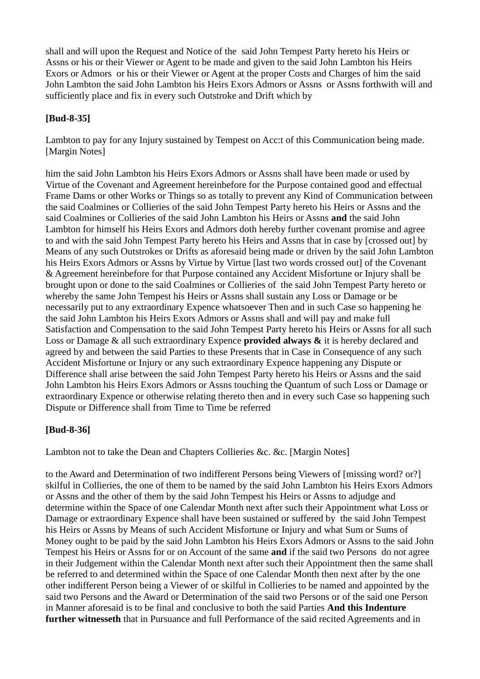shall and will upon the Request and Notice of the said John Tempest Party hereto his Heirs or Assns or his or their Viewer or Agent to be made and given to the said John Lambton his Heirs Exors or Admors or his or their Viewer or Agent at the proper Costs and Charges of him the said John Lambton the said John Lambton his Heirs Exors Admors or Assns or Assns forthwith will and sufficiently place and fix in every such Outstroke and Drift which by

# **[Bud-8-35]**

Lambton to pay for any Injury sustained by Tempest on Acc:t of this Communication being made. [Margin Notes]

him the said John Lambton his Heirs Exors Admors or Assns shall have been made or used by Virtue of the Covenant and Agreement hereinbefore for the Purpose contained good and effectual Frame Dams or other Works or Things so as totally to prevent any Kind of Communication between the said Coalmines or Collieries of the said John Tempest Party hereto his Heirs or Assns and the said Coalmines or Collieries of the said John Lambton his Heirs or Assns **and** the said John Lambton for himself his Heirs Exors and Admors doth hereby further covenant promise and agree to and with the said John Tempest Party hereto his Heirs and Assns that in case by [crossed out] by Means of any such Outstrokes or Drifts as aforesaid being made or driven by the said John Lambton his Heirs Exors Admors or Assns by Virtue by Virtue [last two words crossed out] of the Covenant & Agreement hereinbefore for that Purpose contained any Accident Misfortune or Injury shall be brought upon or done to the said Coalmines or Collieries of the said John Tempest Party hereto or whereby the same John Tempest his Heirs or Assns shall sustain any Loss or Damage or be necessarily put to any extraordinary Expence whatsoever Then and in such Case so happening he the said John Lambton his Heirs Exors Admors or Assns shall and will pay and make full Satisfaction and Compensation to the said John Tempest Party hereto his Heirs or Assns for all such Loss or Damage & all such extraordinary Expence **provided always &** it is hereby declared and agreed by and between the said Parties to these Presents that in Case in Consequence of any such Accident Misfortune or Injury or any such extraordinary Expence happening any Dispute or Difference shall arise between the said John Tempest Party hereto his Heirs or Assns and the said John Lambton his Heirs Exors Admors or Assns touching the Quantum of such Loss or Damage or extraordinary Expence or otherwise relating thereto then and in every such Case so happening such Dispute or Difference shall from Time to Time be referred

# **[Bud-8-36]**

Lambton not to take the Dean and Chapters Collieries &c. &c. [Margin Notes]

to the Award and Determination of two indifferent Persons being Viewers of [missing word? or?] skilful in Collieries, the one of them to be named by the said John Lambton his Heirs Exors Admors or Assns and the other of them by the said John Tempest his Heirs or Assns to adjudge and determine within the Space of one Calendar Month next after such their Appointment what Loss or Damage or extraordinary Expence shall have been sustained or suffered by the said John Tempest his Heirs or Assns by Means of such Accident Misfortune or Injury and what Sum or Sums of Money ought to be paid by the said John Lambton his Heirs Exors Admors or Assns to the said John Tempest his Heirs or Assns for or on Account of the same **and** if the said two Persons do not agree in their Judgement within the Calendar Month next after such their Appointment then the same shall be referred to and determined within the Space of one Calendar Month then next after by the one other indifferent Person being a Viewer of or skilful in Collieries to be named and appointed by the said two Persons and the Award or Determination of the said two Persons or of the said one Person in Manner aforesaid is to be final and conclusive to both the said Parties **And this Indenture further witnesseth** that in Pursuance and full Performance of the said recited Agreements and in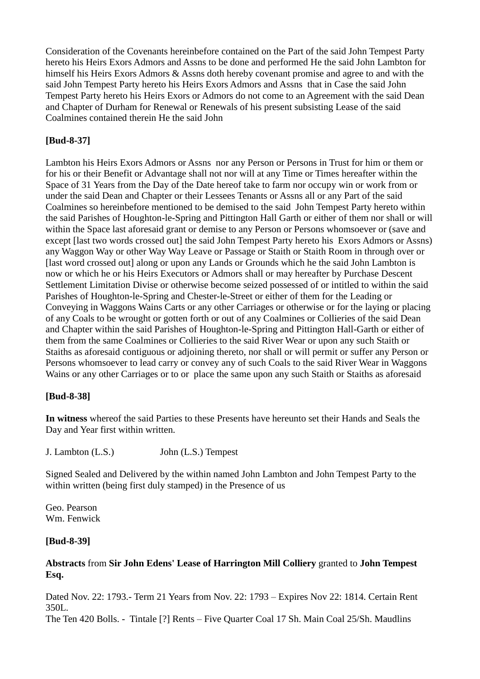Consideration of the Covenants hereinbefore contained on the Part of the said John Tempest Party hereto his Heirs Exors Admors and Assns to be done and performed He the said John Lambton for himself his Heirs Exors Admors & Assns doth hereby covenant promise and agree to and with the said John Tempest Party hereto his Heirs Exors Admors and Assns that in Case the said John Tempest Party hereto his Heirs Exors or Admors do not come to an Agreement with the said Dean and Chapter of Durham for Renewal or Renewals of his present subsisting Lease of the said Coalmines contained therein He the said John

# **[Bud-8-37]**

Lambton his Heirs Exors Admors or Assns nor any Person or Persons in Trust for him or them or for his or their Benefit or Advantage shall not nor will at any Time or Times hereafter within the Space of 31 Years from the Day of the Date hereof take to farm nor occupy win or work from or under the said Dean and Chapter or their Lessees Tenants or Assns all or any Part of the said Coalmines so hereinbefore mentioned to be demised to the said John Tempest Party hereto within the said Parishes of Houghton-le-Spring and Pittington Hall Garth or either of them nor shall or will within the Space last aforesaid grant or demise to any Person or Persons whomsoever or (save and except [last two words crossed out] the said John Tempest Party hereto his Exors Admors or Assns) any Waggon Way or other Way Way Leave or Passage or Staith or Staith Room in through over or [last word crossed out] along or upon any Lands or Grounds which he the said John Lambton is now or which he or his Heirs Executors or Admors shall or may hereafter by Purchase Descent Settlement Limitation Divise or otherwise become seized possessed of or intitled to within the said Parishes of Houghton-le-Spring and Chester-le-Street or either of them for the Leading or Conveying in Waggons Wains Carts or any other Carriages or otherwise or for the laying or placing of any Coals to be wrought or gotten forth or out of any Coalmines or Collieries of the said Dean and Chapter within the said Parishes of Houghton-le-Spring and Pittington Hall-Garth or either of them from the same Coalmines or Collieries to the said River Wear or upon any such Staith or Staiths as aforesaid contiguous or adjoining thereto, nor shall or will permit or suffer any Person or Persons whomsoever to lead carry or convey any of such Coals to the said River Wear in Waggons Wains or any other Carriages or to or place the same upon any such Staith or Staiths as aforesaid

### **[Bud-8-38]**

**In witness** whereof the said Parties to these Presents have hereunto set their Hands and Seals the Day and Year first within written.

J. Lambton (L.S.) John (L.S.) Tempest

Signed Sealed and Delivered by the within named John Lambton and John Tempest Party to the within written (being first duly stamped) in the Presence of us

Geo. Pearson Wm. Fenwick

### **[Bud-8-39]**

# **Abstracts** from **Sir John Edens' Lease of Harrington Mill Colliery** granted to **John Tempest Esq.**

Dated Nov. 22: 1793.- Term 21 Years from Nov. 22: 1793 – Expires Nov 22: 1814. Certain Rent 350L.

The Ten 420 Bolls. - Tintale [?] Rents – Five Quarter Coal 17 Sh. Main Coal 25/Sh. Maudlins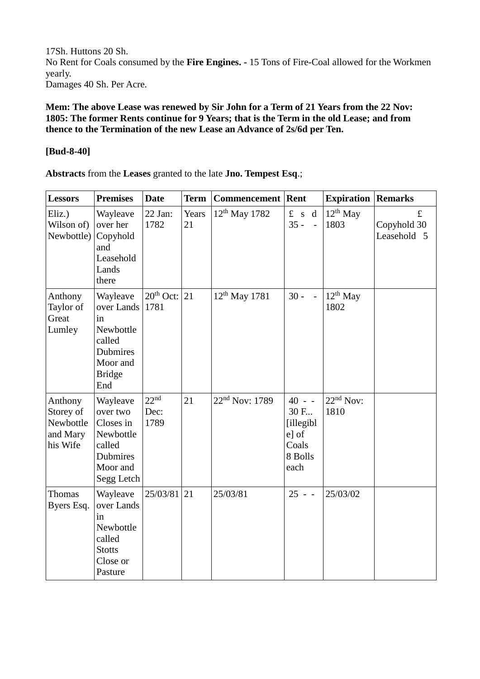17Sh. Huttons 20 Sh. No Rent for Coals consumed by the **Fire Engines. -** 15 Tons of Fire-Coal allowed for the Workmen yearly. Damages 40 Sh. Per Acre.

**Mem: The above Lease was renewed by Sir John for a Term of 21 Years from the 22 Nov: 1805: The former Rents continue for 9 Years; that is the Term in the old Lease; and from thence to the Termination of the new Lease an Advance of 2s/6d per Ten.**

### **[Bud-8-40]**

**Abstracts** from the **Leases** granted to the late **Jno. Tempest Esq**.;

| <b>Lessors</b>                                            | <b>Premises</b>                                                                                       | <b>Date</b>                      | <b>Term</b> | <b>Commencement</b> Rent |                                                                     | <b>Expiration Remarks</b> |                                         |
|-----------------------------------------------------------|-------------------------------------------------------------------------------------------------------|----------------------------------|-------------|--------------------------|---------------------------------------------------------------------|---------------------------|-----------------------------------------|
| Eliz.)<br>Wilson of)<br>Newbottle)                        | Wayleave<br>over her<br>Copyhold<br>and<br>Leasehold<br>Lands<br>there                                | 22 Jan:<br>1782                  | Years<br>21 | $12^{th}$ May 1782       | $f$ s d<br>$35 -$<br>$\overline{\phantom{a}}$                       | $12^{th}$ May<br>1803     | $\pounds$<br>Copyhold 30<br>Leasehold 5 |
| Anthony<br>Taylor of<br>Great<br>Lumley                   | Wayleave<br>over Lands<br>in<br>Newbottle<br>called<br>Dubmires<br>Moor and<br><b>Bridge</b><br>End   | $20th$ Oct:<br>1781              | 21          | $12^{th}$ May 1781       | $30 -$<br>$\overline{a}$                                            | $12^{th}$ May<br>1802     |                                         |
| Anthony<br>Storey of<br>Newbottle<br>and Mary<br>his Wife | Wayleave<br>over two<br>Closes in<br>Newbottle<br>called<br><b>Dubmires</b><br>Moor and<br>Segg Letch | 22 <sup>nd</sup><br>Dec:<br>1789 | 21          | $22nd$ Nov: 1789         | $40 - -$<br>30 F<br>[illegibl]<br>e] of<br>Coals<br>8 Bolls<br>each | $22nd$ Nov:<br>1810       |                                         |
| Thomas<br>Byers Esq.                                      | Wayleave<br>over Lands<br>in<br>Newbottle<br>called<br><b>Stotts</b><br>Close or<br>Pasture           | 25/03/81                         | 21          | 25/03/81                 | $25 - -$                                                            | 25/03/02                  |                                         |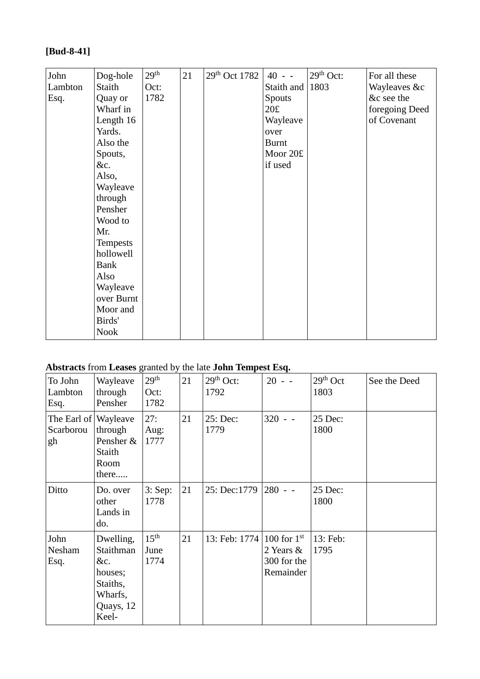# **[Bud-8-41]**

| John    | Dog-hole    | 29 <sup>th</sup> | 21 | 29 <sup>th</sup> Oct 1782 | $40 - -$     | $29th$ Oct: | For all these  |
|---------|-------------|------------------|----|---------------------------|--------------|-------------|----------------|
| Lambton | Staith      | Oct:             |    |                           | Staith and   | 1803        | Wayleaves &c   |
| Esq.    | Quay or     | 1782             |    |                           | Spouts       |             | &c see the     |
|         | Wharf in    |                  |    |                           | 20f          |             | foregoing Deed |
|         | Length 16   |                  |    |                           | Wayleave     |             | of Covenant    |
|         | Yards.      |                  |    |                           | over         |             |                |
|         | Also the    |                  |    |                           | <b>Burnt</b> |             |                |
|         | Spouts,     |                  |    |                           | Moor 20£     |             |                |
|         | &c.         |                  |    |                           | if used      |             |                |
|         | Also,       |                  |    |                           |              |             |                |
|         | Wayleave    |                  |    |                           |              |             |                |
|         | through     |                  |    |                           |              |             |                |
|         | Pensher     |                  |    |                           |              |             |                |
|         | Wood to     |                  |    |                           |              |             |                |
|         | Mr.         |                  |    |                           |              |             |                |
|         | Tempests    |                  |    |                           |              |             |                |
|         | hollowell   |                  |    |                           |              |             |                |
|         | <b>Bank</b> |                  |    |                           |              |             |                |
|         | Also        |                  |    |                           |              |             |                |
|         | Wayleave    |                  |    |                           |              |             |                |
|         | over Burnt  |                  |    |                           |              |             |                |
|         | Moor and    |                  |    |                           |              |             |                |
|         | Birds'      |                  |    |                           |              |             |                |
|         | <b>Nook</b> |                  |    |                           |              |             |                |

# **Abstracts** from **Leases** granted by the late **John Tempest Esq.**

| To John<br>Lambton<br>Esq.              | Wayleave<br>through<br>Pensher                                                        | 29 <sup>th</sup><br>Oct:<br>1782 | 21 | 29 <sup>th</sup> Oct:<br>1792 | $20 - -$                                                  | $29th$ Oct<br>1803 | See the Deed |
|-----------------------------------------|---------------------------------------------------------------------------------------|----------------------------------|----|-------------------------------|-----------------------------------------------------------|--------------------|--------------|
| The Earl of Wayleave<br>Scarborou<br>gh | through<br>Pensher &<br>Staith<br>Room<br>there                                       | 27:<br>Aug:<br>1777              | 21 | 25: Dec:<br>1779              | $320 - -$                                                 | 25 Dec:<br>1800    |              |
| Ditto                                   | Do. over<br>other<br>Lands in<br>do.                                                  | $3:$ Sep:<br>1778                | 21 | $25: Dec:1779$  280 - -       |                                                           | 25 Dec:<br>1800    |              |
| John<br>Nesham<br>Esq.                  | Dwelling,<br>Staithman<br>&c.<br>houses;<br>Staiths,<br>Wharfs,<br>Quays, 12<br>Keel- | $15^{\text{th}}$<br>June<br>1774 | 21 | 13: Feb: 1774                 | 100 for $1st$<br>2 Years $\&$<br>300 for the<br>Remainder | 13: Feb:<br>1795   |              |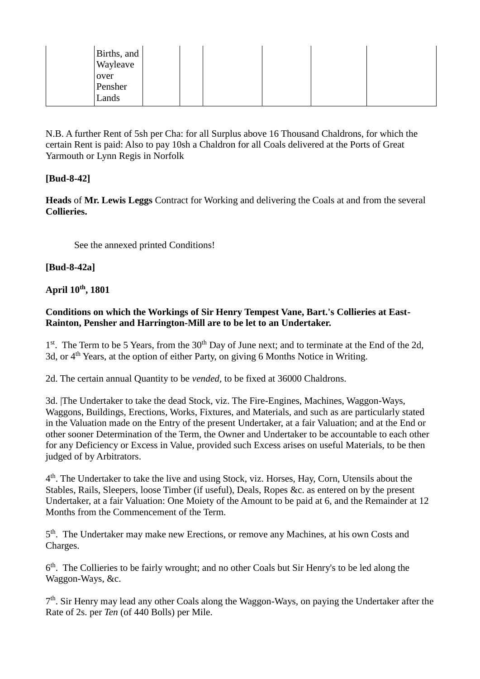| Births, and<br>Wayleave<br>over<br>Pensher |  |  |  |  |
|--------------------------------------------|--|--|--|--|
| Lands                                      |  |  |  |  |

N.B. A further Rent of 5sh per Cha: for all Surplus above 16 Thousand Chaldrons, for which the certain Rent is paid: Also to pay 10sh a Chaldron for all Coals delivered at the Ports of Great Yarmouth or Lynn Regis in Norfolk

# **[Bud-8-42]**

**Heads** of **Mr. Lewis Leggs** Contract for Working and delivering the Coals at and from the several **Collieries.**

See the annexed printed Conditions!

# **[Bud-8-42a]**

# **April 10th, 1801**

# **Conditions on which the Workings of Sir Henry Tempest Vane, Bart.'s Collieries at East-Rainton, Pensher and Harrington-Mill are to be let to an Undertaker.**

1<sup>st</sup>. The Term to be 5 Years, from the 30<sup>th</sup> Day of June next; and to terminate at the End of the 2d, 3d, or  $4<sup>th</sup> Years$ , at the option of either Party, on giving 6 Months Notice in Writing.

2d. The certain annual Quantity to be *vended,* to be fixed at 36000 Chaldrons.

3d. |The Undertaker to take the dead Stock, viz. The Fire-Engines, Machines, Waggon-Ways, Waggons, Buildings, Erections, Works, Fixtures, and Materials, and such as are particularly stated in the Valuation made on the Entry of the present Undertaker, at a fair Valuation; and at the End or other sooner Determination of the Term, the Owner and Undertaker to be accountable to each other for any Deficiency or Excess in Value, provided such Excess arises on useful Materials, to be then judged of by Arbitrators.

4<sup>th</sup>. The Undertaker to take the live and using Stock, viz. Horses, Hay, Corn, Utensils about the Stables, Rails, Sleepers, loose Timber (if useful), Deals, Ropes &c. as entered on by the present Undertaker, at a fair Valuation: One Moiety of the Amount to be paid at 6, and the Remainder at 12 Months from the Commencement of the Term.

5<sup>th</sup>. The Undertaker may make new Erections, or remove any Machines, at his own Costs and Charges.

6<sup>th</sup>. The Collieries to be fairly wrought; and no other Coals but Sir Henry's to be led along the Waggon-Ways, &c.

7<sup>th</sup>. Sir Henry may lead any other Coals along the Waggon-Ways, on paying the Undertaker after the Rate of 2s. per *Ten* (of 440 Bolls) per Mile.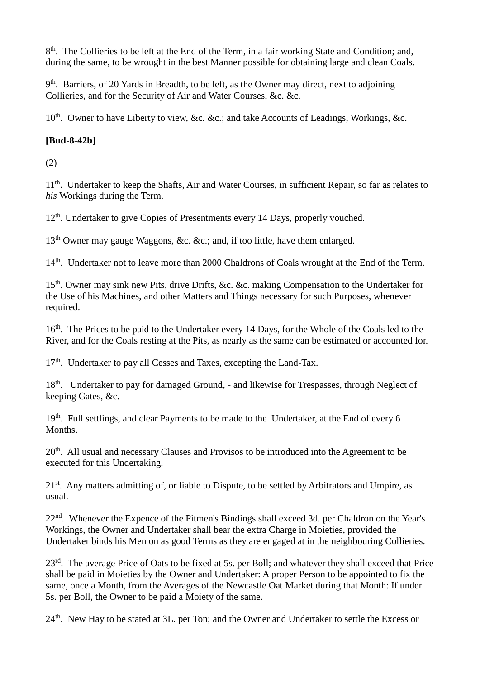8<sup>th</sup>. The Collieries to be left at the End of the Term, in a fair working State and Condition; and, during the same, to be wrought in the best Manner possible for obtaining large and clean Coals.

9<sup>th</sup>. Barriers, of 20 Yards in Breadth, to be left, as the Owner may direct, next to adjoining Collieries, and for the Security of Air and Water Courses, &c. &c.

 $10<sup>th</sup>$ . Owner to have Liberty to view, &c. &c.; and take Accounts of Leadings, Workings, &c.

# **[Bud-8-42b]**

(2)

11<sup>th</sup>. Undertaker to keep the Shafts, Air and Water Courses, in sufficient Repair, so far as relates to *his* Workings during the Term.

12<sup>th</sup>. Undertaker to give Copies of Presentments every 14 Days, properly vouched.

13<sup>th</sup> Owner may gauge Waggons, &c. &c.; and, if too little, have them enlarged.

14<sup>th</sup>. Undertaker not to leave more than 2000 Chaldrons of Coals wrought at the End of the Term.

15<sup>th</sup>. Owner may sink new Pits, drive Drifts, &c. &c. making Compensation to the Undertaker for the Use of his Machines, and other Matters and Things necessary for such Purposes, whenever required.

16<sup>th</sup>. The Prices to be paid to the Undertaker every 14 Days, for the Whole of the Coals led to the River, and for the Coals resting at the Pits, as nearly as the same can be estimated or accounted for.

 $17<sup>th</sup>$ . Undertaker to pay all Cesses and Taxes, excepting the Land-Tax.

18<sup>th</sup>. Undertaker to pay for damaged Ground, - and likewise for Trespasses, through Neglect of keeping Gates, &c.

19<sup>th</sup>. Full settlings, and clear Payments to be made to the Undertaker, at the End of every 6 Months.

20<sup>th</sup>. All usual and necessary Clauses and Provisos to be introduced into the Agreement to be executed for this Undertaking.

21<sup>st</sup>. Any matters admitting of, or liable to Dispute, to be settled by Arbitrators and Umpire, as usual.

22<sup>nd</sup>. Whenever the Expence of the Pitmen's Bindings shall exceed 3d. per Chaldron on the Year's Workings, the Owner and Undertaker shall bear the extra Charge in Moieties, provided the Undertaker binds his Men on as good Terms as they are engaged at in the neighbouring Collieries.

23<sup>rd</sup>. The average Price of Oats to be fixed at 5s. per Boll; and whatever they shall exceed that Price shall be paid in Moieties by the Owner and Undertaker: A proper Person to be appointed to fix the same, once a Month, from the Averages of the Newcastle Oat Market during that Month: If under 5s. per Boll, the Owner to be paid a Moiety of the same.

24<sup>th</sup>. New Hay to be stated at 3L. per Ton; and the Owner and Undertaker to settle the Excess or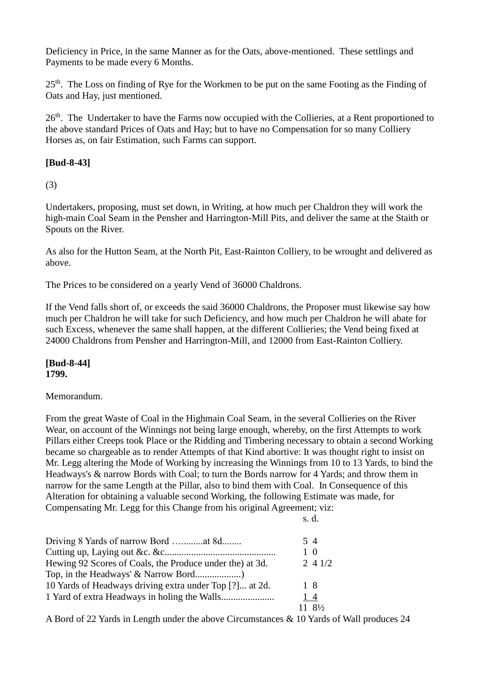Deficiency in Price, in the same Manner as for the Oats, above-mentioned. These settlings and Payments to be made every 6 Months.

25<sup>th</sup>. The Loss on finding of Rye for the Workmen to be put on the same Footing as the Finding of Oats and Hay, just mentioned.

26<sup>th</sup>. The Undertaker to have the Farms now occupied with the Collieries, at a Rent proportioned to the above standard Prices of Oats and Hay; but to have no Compensation for so many Colliery Horses as, on fair Estimation, such Farms can support.

# **[Bud-8-43]**

(3)

Undertakers, proposing, must set down, in Writing, at how much per Chaldron they will work the high-main Coal Seam in the Pensher and Harrington-Mill Pits, and deliver the same at the Staith or Spouts on the River.

As also for the Hutton Seam, at the North Pit, East-Rainton Colliery, to be wrought and delivered as above.

The Prices to be considered on a yearly Vend of 36000 Chaldrons.

If the Vend falls short of, or exceeds the said 36000 Chaldrons, the Proposer must likewise say how much per Chaldron he will take for such Deficiency, and how much per Chaldron he will abate for such Excess, whenever the same shall happen, at the different Collieries; the Vend being fixed at 24000 Chaldrons from Pensher and Harrington-Mill, and 12000 from East-Rainton Colliery.

**[Bud-8-44] 1799.**

Memorandum.

From the great Waste of Coal in the Highmain Coal Seam, in the several Collieries on the River Wear, on account of the Winnings not being large enough, whereby, on the first Attempts to work Pillars either Creeps took Place or the Ridding and Timbering necessary to obtain a second Working became so chargeable as to render Attempts of that Kind abortive: It was thought right to insist on Mr. Legg altering the Mode of Working by increasing the Winnings from 10 to 13 Yards, to bind the Headways's & narrow Bords with Coal; to turn the Bords narrow for 4 Yards; and throw them in narrow for the same Length at the Pillar, also to bind them with Coal. In Consequence of this Alteration for obtaining a valuable second Working, the following Estimate was made, for Compensating Mr. Legg for this Change from his original Agreement; viz:

| Driving 8 Yards of narrow Bord at 8d                     | 54          |
|----------------------------------------------------------|-------------|
|                                                          | $1\,0$      |
| Hewing 92 Scores of Coals, the Produce under the) at 3d. | $2\;4\;1/2$ |
|                                                          |             |
| 10 Yards of Headways driving extra under Top [?] at 2d.  | 18          |
|                                                          | 14          |
|                                                          |             |

A Bord of 22 Yards in Length under the above Circumstances & 10 Yards of Wall produces 24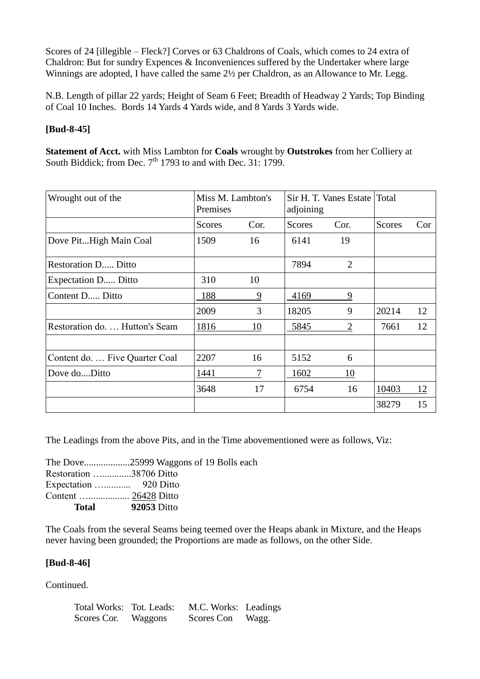Scores of 24 [illegible – Fleck?] Corves or 63 Chaldrons of Coals, which comes to 24 extra of Chaldron: But for sundry Expences & Inconveniences suffered by the Undertaker where large Winnings are adopted, I have called the same 2½ per Chaldron, as an Allowance to Mr. Legg.

N.B. Length of pillar 22 yards; Height of Seam 6 Feet; Breadth of Headway 2 Yards; Top Binding of Coal 10 Inches. Bords 14 Yards 4 Yards wide, and 8 Yards 3 Yards wide.

### **[Bud-8-45]**

**Statement of Acct.** with Miss Lambton for **Coals** wrought by **Outstrokes** from her Colliery at South Biddick; from Dec.  $7<sup>th</sup>$  1793 to and with Dec. 31: 1799.

| Wrought out of the             | Miss M. Lambton's<br>Premises |      | adjoining     | Sir H. T. Vanes Estate | Total         |     |
|--------------------------------|-------------------------------|------|---------------|------------------------|---------------|-----|
|                                | <b>Scores</b>                 | Cor. | <b>Scores</b> | Cor.                   | <b>Scores</b> | Cor |
| Dove PitHigh Main Coal         | 1509                          | 16   | 6141          | 19                     |               |     |
| <b>Restoration D Ditto</b>     |                               |      | 7894          | $\overline{2}$         |               |     |
| <b>Expectation D Ditto</b>     | 310                           | 10   |               |                        |               |     |
| Content D Ditto                | 188                           | 9    | 4169          | 9                      |               |     |
|                                | 2009                          | 3    | 18205         | 9                      | 20214         | 12  |
| Restoration do.  Hutton's Seam | 1816                          | 10   | 5845          | $\overline{2}$         | 7661          | 12  |
|                                |                               |      |               |                        |               |     |
| Content do.  Five Quarter Coal | 2207                          | 16   | 5152          | 6                      |               |     |
| Dove doDitto                   | 1441                          | 7    | 1602          | 10                     |               |     |
|                                | 3648                          | 17   | 6754          | 16                     | 10403         | 12  |
|                                |                               |      |               |                        | 38279         | 15  |

The Leadings from the above Pits, and in the Time abovementioned were as follows, Viz:

| Restoration 38706 Ditto  |  |
|--------------------------|--|
|                          |  |
|                          |  |
| <b>Total</b> 92053 Ditto |  |

The Coals from the several Seams being teemed over the Heaps abank in Mixture, and the Heaps never having been grounded; the Proportions are made as follows, on the other Side.

### **[Bud-8-46]**

Continued.

| Total Works: Tot. Leads: |         | M.C. Works: Leadings |  |
|--------------------------|---------|----------------------|--|
| Scores Cor.              | Waggons | Scores Con Wagg.     |  |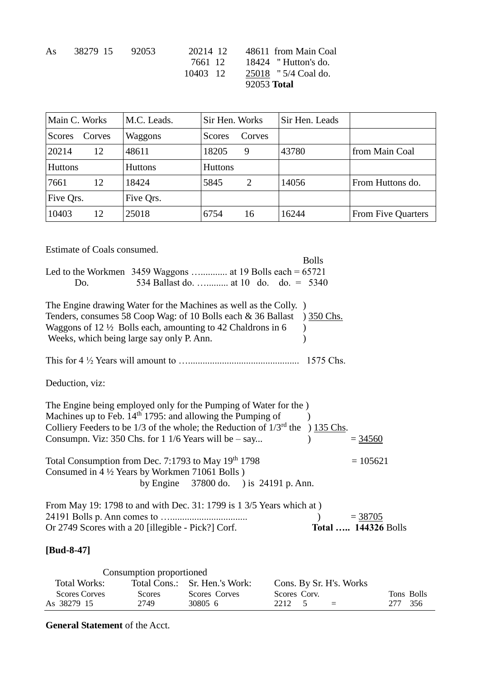| As | 38279 15 | - 92053 | 20214 12 | 48611 from Main Coal     |
|----|----------|---------|----------|--------------------------|
|    |          |         | 7661 12  | $18424$ "Hutton's do.    |
|    |          |         | 10403 12 | $25018$ " $5/4$ Coal do. |
|    |          |         |          | 92053 <b>Total</b>       |

| Main C. Works  |        | M.C. Leads.    | Sir Hen. Works |        | Sir Hen. Leads |                    |
|----------------|--------|----------------|----------------|--------|----------------|--------------------|
| Scores         | Corves | Waggons        | Scores         | Corves |                |                    |
| 20214          | 12     | 48611          | 18205          | 9      | 43780          | from Main Coal     |
| <b>Huttons</b> |        | <b>Huttons</b> | Huttons        |        |                |                    |
| 7661           | 12     | 18424          | 5845           | 2      | 14056          | From Huttons do.   |
| Five Qrs.      |        | Five Qrs.      |                |        |                |                    |
| 10403          | 12     | 25018          | 6754           | 16     | 16244          | From Five Quarters |

Estimate of Coals consumed.

| <b>Bolls</b><br>Led to the Workmen $3459$ Waggons  at 19 Bolls each = $65721$<br>534 Ballast do.  at 10 do. do. = 5340<br>Do.                                                                                                                                                                      |                                  |
|----------------------------------------------------------------------------------------------------------------------------------------------------------------------------------------------------------------------------------------------------------------------------------------------------|----------------------------------|
| The Engine drawing Water for the Machines as well as the Colly. )<br>Tenders, consumes 58 Coop Wag: of 10 Bolls each & 36 Ballast<br>$\rightarrow$ 350 Chs.<br>Waggons of $12\frac{1}{2}$ Bolls each, amounting to 42 Chaldrons in 6<br>Weeks, which being large say only P. Ann.                  |                                  |
|                                                                                                                                                                                                                                                                                                    |                                  |
| Deduction, viz:                                                                                                                                                                                                                                                                                    |                                  |
| The Engine being employed only for the Pumping of Water for the )<br>Machines up to Feb. $14th 1795$ : and allowing the Pumping of<br>Colliery Feeders to be $1/3$ of the whole; the Reduction of $1/3^{rd}$ the ) $135 \text{ Chs}$ .<br>Consumpn. Viz: 350 Chs. for $11/6$ Years will be $-$ say | $= 34560$                        |
| Total Consumption from Dec. 7:1793 to May 19th 1798<br>Consumed in 4 1/2 Years by Workmen 71061 Bolls)<br>by Engine $37800$ do. ) is 24191 p. Ann.                                                                                                                                                 | $= 105621$                       |
| From May 19: 1798 to and with Dec. 31: 1799 is 1 3/5 Years which at )<br>Or 2749 Scores with a 20 [illegible - Pick?] Corf.                                                                                                                                                                        | $= 38705$<br>Total  144326 Bolls |

# **[Bud-8-47]**

| Consumption proportioned |               |                               |                         |            |
|--------------------------|---------------|-------------------------------|-------------------------|------------|
| Total Works:             |               | Total Cons.: Sr. Hen.'s Work: | Cons. By Sr. H's. Works |            |
| <b>Scores Corves</b>     | <b>Scores</b> | Scores Corves                 | Scores Corv.            | Tons Bolls |
| As 38279 15              | 2749          | 30805 6                       | 2212<br>-5<br>$=$       | 277 356    |

**General Statement** of the Acct.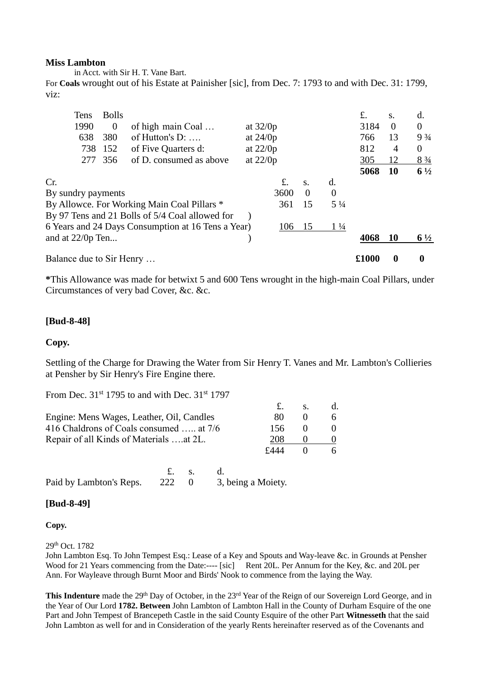### **Miss Lambton**

in Acct. with Sir H. T. Vane Bart.

For **Coals** wrought out of his Estate at Painisher [sic], from Dec. 7: 1793 to and with Dec. 31: 1799, viz:

| Tens                     | <b>Bolls</b>   |                                                    |            |      |          |                | £.    | S.             | d.             |
|--------------------------|----------------|----------------------------------------------------|------------|------|----------|----------------|-------|----------------|----------------|
| 1990                     | $\overline{0}$ | of high main Coal                                  | at $32/0p$ |      |          |                | 3184  | $\Omega$       | $\overline{0}$ |
| 638                      | 380            | of Hutton's $D: \ldots$                            | at $24/0p$ |      |          |                | 766   | 13             | $9\frac{3}{4}$ |
| 738                      | 152            | of Five Quarters d:                                | at $22/0p$ |      |          |                | 812   | $\overline{4}$ | $\theta$       |
| 277                      | 356            | of D. consumed as above                            | at $22/0p$ |      |          |                | 305   | 12             | $8\frac{3}{4}$ |
|                          |                |                                                    |            |      |          |                | 5068  | 10             | $6\frac{1}{2}$ |
| Cr.                      |                |                                                    |            | £.   | S.       | d.             |       |                |                |
| By sundry payments       |                |                                                    |            | 3600 | $\Omega$ | $\theta$       |       |                |                |
|                          |                | By Allowce. For Working Main Coal Pillars *        |            | 361  | 15       | $5\frac{1}{4}$ |       |                |                |
|                          |                | By 97 Tens and 21 Bolls of 5/4 Coal allowed for    |            |      |          |                |       |                |                |
|                          |                | 6 Years and 24 Days Consumption at 16 Tens a Year) |            | 106  | 15       | $1\frac{1}{4}$ |       |                |                |
| and at $22/0p$ Ten       |                |                                                    |            |      |          |                | 4068  | <b>10</b>      | $6\frac{1}{2}$ |
| Balance due to Sir Henry |                |                                                    |            |      |          |                | £1000 | 0              | 0              |

**\***This Allowance was made for betwixt 5 and 600 Tens wrought in the high-main Coal Pillars, under Circumstances of very bad Cover, &c. &c.

### **[Bud-8-48]**

### **Copy.**

Settling of the Charge for Drawing the Water from Sir Henry T. Vanes and Mr. Lambton's Collieries at Pensher by Sir Henry's Fire Engine there.

From Dec.  $31<sup>st</sup> 1795$  to and with Dec.  $31<sup>st</sup> 1797$ 

|                                           |     |            |  | £.                 |          | d. |
|-------------------------------------------|-----|------------|--|--------------------|----------|----|
| Engine: Mens Wages, Leather, Oil, Candles |     |            |  | 80                 | $\theta$ | 6  |
| 416 Chaldrons of Coals consumed  at 7/6   | 156 | $\theta$   |  |                    |          |    |
| Repair of all Kinds of Materials at 2L.   | 208 |            |  |                    |          |    |
|                                           |     |            |  | f444               |          |    |
|                                           | £.  | $S_{\tau}$ |  |                    |          |    |
| Paid by Lambton's Reps.                   | 222 | $\theta$   |  | 3, being a Moiety. |          |    |

### **[Bud-8-49]**

### **Copy.**

29th Oct. 1782

John Lambton Esq. To John Tempest Esq.: Lease of a Key and Spouts and Way-leave &c. in Grounds at Pensher Wood for 21 Years commencing from the Date:---- [sic] Rent 20L. Per Annum for the Key, &c. and 20L per Ann. For Wayleave through Burnt Moor and Birds' Nook to commence from the laying the Way.

**This Indenture** made the 29<sup>th</sup> Day of October, in the 23<sup>rd</sup> Year of the Reign of our Sovereign Lord George, and in the Year of Our Lord **1782. Between** John Lambton of Lambton Hall in the County of Durham Esquire of the one Part and John Tempest of Brancepeth Castle in the said County Esquire of the other Part **Witnesseth** that the said John Lambton as well for and in Consideration of the yearly Rents hereinafter reserved as of the Covenants and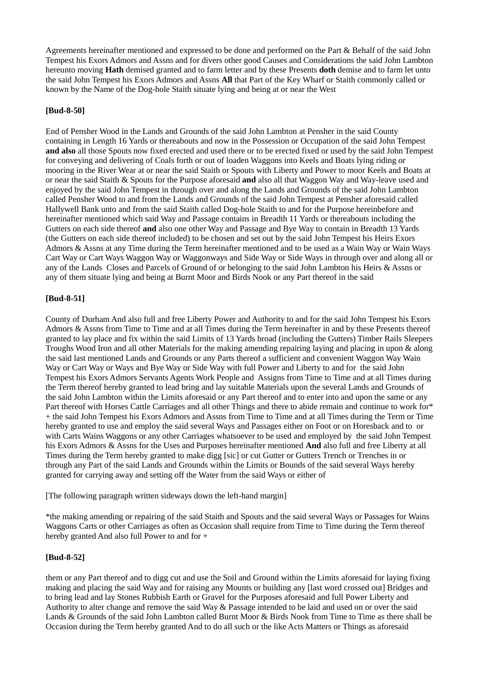Agreements hereinafter mentioned and expressed to be done and performed on the Part & Behalf of the said John Tempest his Exors Admors and Assns and for divers other good Causes and Considerations the said John Lambton hereunto moving **Hath** demised granted and to farm letter and by these Presents **doth** demise and to farm let unto the said John Tempest his Exors Admors and Assns **All** that Part of the Key Wharf or Staith commonly called or known by the Name of the Dog-hole Staith situate lying and being at or near the West

### **[Bud-8-50]**

End of Pensher Wood in the Lands and Grounds of the said John Lambton at Pensher in the said County containing in Length 16 Yards or thereabouts and now in the Possession or Occupation of the said John Tempest **and also** all those Spouts now fixed erected and used there or to be erected fixed or used by the said John Tempest for conveying and delivering of Coals forth or out of loaden Waggons into Keels and Boats lying riding or mooring in the River Wear at or near the said Staith or Spouts with Liberty and Power to moor Keels and Boats at or near the said Staith & Spouts for the Purpose aforesaid **and** also all that Waggon Way and Way-leave used and enjoyed by the said John Tempest in through over and along the Lands and Grounds of the said John Lambton called Pensher Wood to and from the Lands and Grounds of the said John Tempest at Pensher aforesaid called Hallywell Bank unto and from the said Staith called Dog-hole Staith to and for the Purpose hereinbefore and hereinafter mentioned which said Way and Passage contains in Breadth 11 Yards or thereabouts including the Gutters on each side thereof **and** also one other Way and Passage and Bye Way to contain in Breadth 13 Yards (the Gutters on each side thereof included) to be chosen and set out by the said John Tempest his Heirs Exors Admors & Assns at any Time during the Term hereinafter mentioned and to be used as a Wain Way or Wain Ways Cart Way or Cart Ways Waggon Way or Waggonways and Side Way or Side Ways in through over and along all or any of the Lands Closes and Parcels of Ground of or belonging to the said John Lambton his Heirs & Assns or any of them situate lying and being at Burnt Moor and Birds Nook or any Part thereof in the said

### **[Bud-8-51]**

County of Durham And also full and free Liberty Power and Authority to and for the said John Tempest his Exors Admors & Assns from Time to Time and at all Times during the Term hereinafter in and by these Presents thereof granted to lay place and fix within the said Limits of 13 Yards broad (including the Gutters) Timber Rails Sleepers Troughs Wood Iron and all other Materials for the making amending repairing laying and placing in upon & along the said last mentioned Lands and Grounds or any Parts thereof a sufficient and convenient Waggon Way Wain Way or Cart Way or Ways and Bye Way or Side Way with full Power and Liberty to and for the said John Tempest his Exors Admors Servants Agents Work People and Assigns from Time to Time and at all Times during the Term thereof hereby granted to lead bring and lay suitable Materials upon the several Lands and Grounds of the said John Lambton within the Limits aforesaid or any Part thereof and to enter into and upon the same or any Part thereof with Horses Cattle Carriages and all other Things and there to abide remain and continue to work for\* + the said John Tempest his Exors Admors and Assns from Time to Time and at all Times during the Term or Time hereby granted to use and employ the said several Ways and Passages either on Foot or on Horesback and to or with Carts Wains Waggons or any other Carriages whatsoever to be used and employed by the said John Tempest his Exors Admors & Assns for the Uses and Purposes hereinafter mentioned **And** also full and free Liberty at all Times during the Term hereby granted to make digg [sic] or cut Gutter or Gutters Trench or Trenches in or through any Part of the said Lands and Grounds within the Limits or Bounds of the said several Ways hereby granted for carrying away and setting off the Water from the said Ways or either of

[The following paragraph written sideways down the left-hand margin]

\*the making amending or repairing of the said Staith and Spouts and the said several Ways or Passages for Wains Waggons Carts or other Carriages as often as Occasion shall require from Time to Time during the Term thereof hereby granted And also full Power to and for +

### **[Bud-8-52]**

them or any Part thereof and to digg cut and use the Soil and Ground within the Limits aforesaid for laying fixing making and placing the said Way and for raising any Mounts or building any [last word crossed out] Bridges and to bring lead and lay Stones Rubbish Earth or Gravel for the Purposes aforesaid and full Power Liberty and Authority to alter change and remove the said Way & Passage intended to be laid and used on or over the said Lands & Grounds of the said John Lambton called Burnt Moor & Birds Nook from Time to Time as there shall be Occasion during the Term hereby granted And to do all such or the like Acts Matters or Things as aforesaid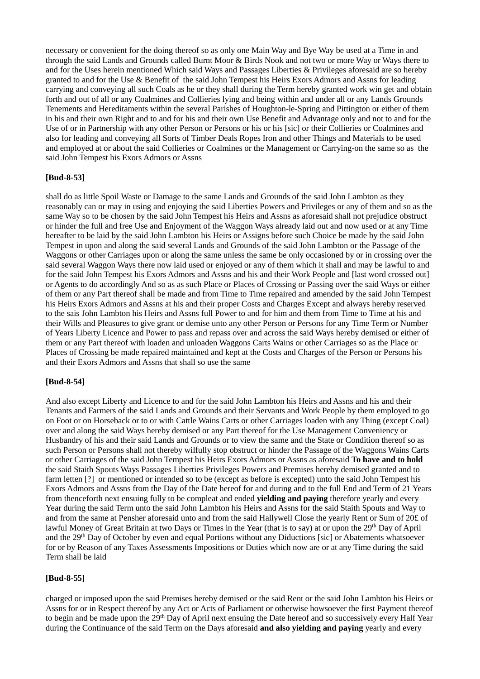necessary or convenient for the doing thereof so as only one Main Way and Bye Way be used at a Time in and through the said Lands and Grounds called Burnt Moor & Birds Nook and not two or more Way or Ways there to and for the Uses herein mentioned Which said Ways and Passages Liberties & Privileges aforesaid are so hereby granted to and for the Use & Benefit of the said John Tempest his Heirs Exors Admors and Assns for leading carrying and conveying all such Coals as he or they shall during the Term hereby granted work win get and obtain forth and out of all or any Coalmines and Collieries lying and being within and under all or any Lands Grounds Tenements and Hereditaments within the several Parishes of Houghton-le-Spring and Pittington or either of them in his and their own Right and to and for his and their own Use Benefit and Advantage only and not to and for the Use of or in Partnership with any other Person or Persons or his or his [sic] or their Collieries or Coalmines and also for leading and conveying all Sorts of Timber Deals Ropes Iron and other Things and Materials to be used and employed at or about the said Collieries or Coalmines or the Management or Carrying-on the same so as the said John Tempest his Exors Admors or Assns

### **[Bud-8-53]**

shall do as little Spoil Waste or Damage to the same Lands and Grounds of the said John Lambton as they reasonably can or may in using and enjoying the said Liberties Powers and Privileges or any of them and so as the same Way so to be chosen by the said John Tempest his Heirs and Assns as aforesaid shall not prejudice obstruct or hinder the full and free Use and Enjoyment of the Waggon Ways already laid out and now used or at any Time hereafter to be laid by the said John Lambton his Heirs or Assigns before such Choice be made by the said John Tempest in upon and along the said several Lands and Grounds of the said John Lambton or the Passage of the Waggons or other Carriages upon or along the same unless the same be only occasioned by or in crossing over the said several Waggon Ways there now laid used or enjoyed or any of them which it shall and may be lawful to and for the said John Tempest his Exors Admors and Assns and his and their Work People and [last word crossed out] or Agents to do accordingly And so as as such Place or Places of Crossing or Passing over the said Ways or either of them or any Part thereof shall be made and from Time to Time repaired and amended by the said John Tempest his Heirs Exors Admors and Assns at his and their proper Costs and Charges Except and always hereby reserved to the sais John Lambton his Heirs and Assns full Power to and for him and them from Time to Time at his and their Wills and Pleasures to give grant or demise unto any other Person or Persons for any Time Term or Number of Years Liberty Licence and Power to pass and repass over and across the said Ways hereby demised or either of them or any Part thereof with loaden and unloaden Waggons Carts Wains or other Carriages so as the Place or Places of Crossing be made repaired maintained and kept at the Costs and Charges of the Person or Persons his and their Exors Admors and Assns that shall so use the same

#### **[Bud-8-54]**

And also except Liberty and Licence to and for the said John Lambton his Heirs and Assns and his and their Tenants and Farmers of the said Lands and Grounds and their Servants and Work People by them employed to go on Foot or on Horseback or to or with Cattle Wains Carts or other Carriages loaden with any Thing (except Coal) over and along the said Ways hereby demised or any Part thereof for the Use Management Conveniency or Husbandry of his and their said Lands and Grounds or to view the same and the State or Condition thereof so as such Person or Persons shall not thereby wilfully stop obstruct or hinder the Passage of the Waggons Wains Carts or other Carriages of the said John Tempest his Heirs Exors Admors or Assns as aforesaid **To have and to hold**  the said Staith Spouts Ways Passages Liberties Privileges Powers and Premises hereby demised granted and to farm letten [?] or mentioned or intended so to be (except as before is excepted) unto the said John Tempest his Exors Admors and Assns from the Day of the Date hereof for and during and to the full End and Term of 21 Years from thenceforth next ensuing fully to be compleat and ended **yielding and paying** therefore yearly and every Year during the said Term unto the said John Lambton his Heirs and Assns for the said Staith Spouts and Way to and from the same at Pensher aforesaid unto and from the said Hallywell Close the yearly Rent or Sum of 20£ of lawful Money of Great Britain at two Days or Times in the Year (that is to say) at or upon the 29<sup>th</sup> Day of April and the 29th Day of October by even and equal Portions without any Diductions [sic] or Abatements whatsoever for or by Reason of any Taxes Assessments Impositions or Duties which now are or at any Time during the said Term shall be laid

#### **[Bud-8-55]**

charged or imposed upon the said Premises hereby demised or the said Rent or the said John Lambton his Heirs or Assns for or in Respect thereof by any Act or Acts of Parliament or otherwise howsoever the first Payment thereof to begin and be made upon the 29<sup>th</sup> Day of April next ensuing the Date hereof and so successively every Half Year during the Continuance of the said Term on the Days aforesaid **and also yielding and paying** yearly and every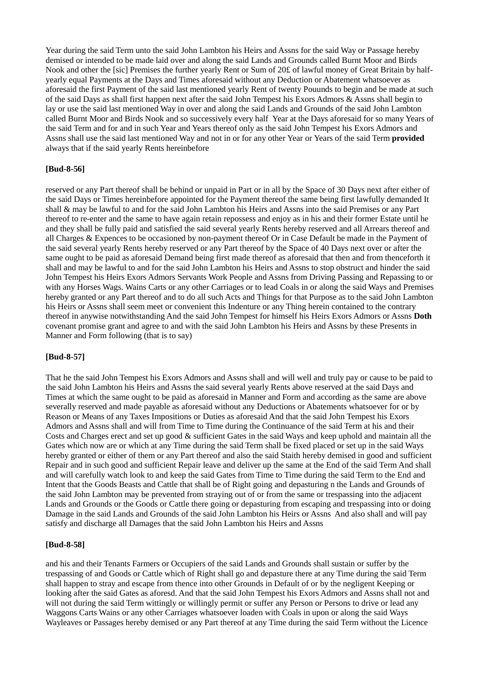Year during the said Term unto the said John Lambton his Heirs and Assns for the said Way or Passage hereby demised or intended to be made laid over and along the said Lands and Grounds called Burnt Moor and Birds Nook and other the [sic] Premises the further yearly Rent or Sum of 20£ of lawful money of Great Britain by halfyearly equal Payments at the Days and Times aforesaid without any Deduction or Abatement whatsoever as aforesaid the first Payment of the said last mentioned yearly Rent of twenty Pouunds to begin and be made at such of the said Days as shall first happen next after the said John Tempest his Exors Admors & Assns shall begin to lay or use the said last mentioned Way in over and along the said Lands and Grounds of the said John Lambton called Burnt Moor and Birds Nook and so successively every half Year at the Days aforesaid for so many Years of the said Term and for and in such Year and Years thereof only as the said John Tempest his Exors Admors and Assns shall use the said last mentioned Way and not in or for any other Year or Years of the said Term **provided**  always that if the said yearly Rents hereinbefore

#### **[Bud-8-56]**

reserved or any Part thereof shall be behind or unpaid in Part or in all by the Space of 30 Days next after either of the said Days or Times hereinbefore appointed for the Payment thereof the same being first lawfully demanded It shall & may be lawful to and for the said John Lambton his Heirs and Assns into the said Premises or any Part thereof to re-enter and the same to have again retain repossess and enjoy as in his and their former Estate until he and they shall be fully paid and satisfied the said several yearly Rents hereby reserved and all Arrears thereof and all Charges & Expences to be occasioned by non-payment thereof Or in Case Default be made in the Payment of the said several yearly Rents hereby reserved or any Part thereof by the Space of 40 Days next over or after the same ought to be paid as aforesaid Demand being first made thereof as aforesaid that then and from thenceforth it shall and may be lawful to and for the said John Lambton his Heirs and Assns to stop obstruct and hinder the said John Tempest his Heirs Exors Admors Servants Work People and Assns from Driving Passing and Repassing to or with any Horses Wags. Wains Carts or any other Carriages or to lead Coals in or along the said Ways and Premises hereby granted or any Part thereof and to do all such Acts and Things for that Purpose as to the said John Lambton his Heirs or Assns shall seem meet or convenient this Indenture or any Thing herein contained to the contrary thereof in anywise notwithstanding And the said John Tempest for himself his Heirs Exors Admors or Assns **Doth** covenant promise grant and agree to and with the said John Lambton his Heirs and Assns by these Presents in Manner and Form following (that is to say)

#### **[Bud-8-57]**

That he the said John Tempest his Exors Admors and Assns shall and will well and truly pay or cause to be paid to the said John Lambton his Heirs and Assns the said several yearly Rents above reserved at the said Days and Times at which the same ought to be paid as aforesaid in Manner and Form and according as the same are above severally reserved and made payable as aforesaid without any Deductions or Abatements whatsoever for or by Reason or Means of any Taxes Impositions or Duties as aforesaid And that the said John Tempest his Exors Admors and Assns shall and will from Time to Time during the Continuance of the said Term at his and their Costs and Charges erect and set up good & sufficient Gates in the said Ways and keep uphold and maintain all the Gates which now are or which at any Time during the said Term shall be fixed placed or set up in the said Ways hereby granted or either of them or any Part thereof and also the said Staith hereby demised in good and sufficient Repair and in such good and sufficient Repair leave and deliver up the same at the End of the said Term And shall and will carefully watch look to and keep the said Gates from Time to Time during the said Term to the End and Intent that the Goods Beasts and Cattle that shall be of Right going and depasturing n the Lands and Grounds of the said John Lambton may be prevented from straying out of or from the same or trespassing into the adjacent Lands and Grounds or the Goods or Cattle there going or depasturing from escaping and trespassing into or doing Damage in the said Lands and Grounds of the said John Lambton his Heirs or Assns And also shall and will pay satisfy and discharge all Damages that the said John Lambton his Heirs and Assns

#### **[Bud-8-58]**

and his and their Tenants Farmers or Occupiers of the said Lands and Grounds shall sustain or suffer by the trespassing of and Goods or Cattle which of Right shall go and depasture there at any Time during the said Term shall happen to stray and escape from thence into other Grounds in Default of or by the negligent Keeping or looking after the said Gates as aforesd. And that the said John Tempest his Exors Admors and Assns shall not and will not during the said Term wittingly or willingly permit or suffer any Person or Persons to drive or lead any Waggons Carts Wains or any other Carriages whatsoever loaden with Coals in upon or along the said Ways Wayleaves or Passages hereby demised or any Part thereof at any Time during the said Term without the Licence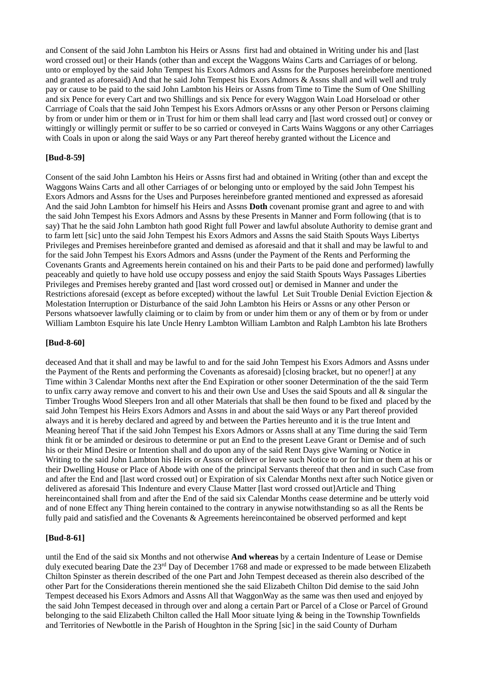and Consent of the said John Lambton his Heirs or Assns first had and obtained in Writing under his and [last word crossed out] or their Hands (other than and except the Waggons Wains Carts and Carriages of or belong. unto or employed by the said John Tempest his Exors Admors and Assns for the Purposes hereinbefore mentioned and granted as aforesaid) And that he said John Tempest his Exors Admors & Assns shall and will well and truly pay or cause to be paid to the said John Lambton his Heirs or Assns from Time to Time the Sum of One Shilling and six Pence for every Cart and two Shillings and six Pence for every Waggon Wain Load Horseload or other Carrriage of Coals that the said John Tempest his Exors Admors orAssns or any other Person or Persons claiming by from or under him or them or in Trust for him or them shall lead carry and [last word crossed out] or convey or wittingly or willingly permit or suffer to be so carried or conveyed in Carts Wains Waggons or any other Carriages with Coals in upon or along the said Ways or any Part thereof hereby granted without the Licence and

### **[Bud-8-59]**

Consent of the said John Lambton his Heirs or Assns first had and obtained in Writing (other than and except the Waggons Wains Carts and all other Carriages of or belonging unto or employed by the said John Tempest his Exors Admors and Assns for the Uses and Purposes hereinbefore granted mentioned and expressed as aforesaid And the said John Lambton for himself his Heirs and Assns **Doth** covenant promise grant and agree to and with the said John Tempest his Exors Admors and Assns by these Presents in Manner and Form following (that is to say) That he the said John Lambton hath good Right full Power and lawful absolute Authority to demise grant and to farm lett [sic] unto the said John Tempest his Exors Admors and Assns the said Staith Spouts Ways Libertys Privileges and Premises hereinbefore granted and demised as aforesaid and that it shall and may be lawful to and for the said John Tempest his Exors Admors and Assns (under the Payment of the Rents and Performing the Covenants Grants and Agreements herein contained on his and their Parts to be paid done and performed) lawfully peaceably and quietly to have hold use occupy possess and enjoy the said Staith Spouts Ways Passages Liberties Privileges and Premises hereby granted and [last word crossed out] or demised in Manner and under the Restrictions aforesaid (except as before excepted) without the lawful Let Suit Trouble Denial Eviction Ejection & Molestation Interruption or Disturbance of the said John Lambton his Heirs or Assns or any other Person or Persons whatsoever lawfully claiming or to claim by from or under him them or any of them or by from or under William Lambton Esquire his late Uncle Henry Lambton William Lambton and Ralph Lambton his late Brothers

#### **[Bud-8-60]**

deceased And that it shall and may be lawful to and for the said John Tempest his Exors Admors and Assns under the Payment of the Rents and performing the Covenants as aforesaid) [closing bracket, but no opener!] at any Time within 3 Calendar Months next after the End Expiration or other sooner Determination of the the said Term to unfix carry away remove and convert to his and their own Use and Uses the said Spouts and all  $\&$  singular the Timber Troughs Wood Sleepers Iron and all other Materials that shall be then found to be fixed and placed by the said John Tempest his Heirs Exors Admors and Assns in and about the said Ways or any Part thereof provided always and it is hereby declared and agreed by and between the Parties hereunto and it is the true Intent and Meaning hereof That if the said John Tempest his Exors Admors or Assns shall at any Time during the said Term think fit or be aminded or desirous to determine or put an End to the present Leave Grant or Demise and of such his or their Mind Desire or Intention shall and do upon any of the said Rent Days give Warning or Notice in Writing to the said John Lambton his Heirs or Assns or deliver or leave such Notice to or for him or them at his or their Dwelling House or Place of Abode with one of the principal Servants thereof that then and in such Case from and after the End and [last word crossed out] or Expiration of six Calendar Months next after such Notice given or delivered as aforesaid This Indenture and every Clause Matter [last word crossed out]Article and Thing hereincontained shall from and after the End of the said six Calendar Months cease determine and be utterly void and of none Effect any Thing herein contained to the contrary in anywise notwithstanding so as all the Rents be fully paid and satisfied and the Covenants & Agreements hereincontained be observed performed and kept

#### **[Bud-8-61]**

until the End of the said six Months and not otherwise **And whereas** by a certain Indenture of Lease or Demise duly executed bearing Date the 23<sup>rd</sup> Day of December 1768 and made or expressed to be made between Elizabeth Chilton Spinster as therein described of the one Part and John Tempest deceased as therein also described of the other Part for the Considerations therein mentioned she the said Elizabeth Chilton Did demise to the said John Tempest deceased his Exors Admors and Assns All that WaggonWay as the same was then used and enjoyed by the said John Tempest deceased in through over and along a certain Part or Parcel of a Close or Parcel of Ground belonging to the said Elizabeth Chilton called the Hall Moor situate lying & being in the Township Townfields and Territories of Newbottle in the Parish of Houghton in the Spring [sic] in the said County of Durham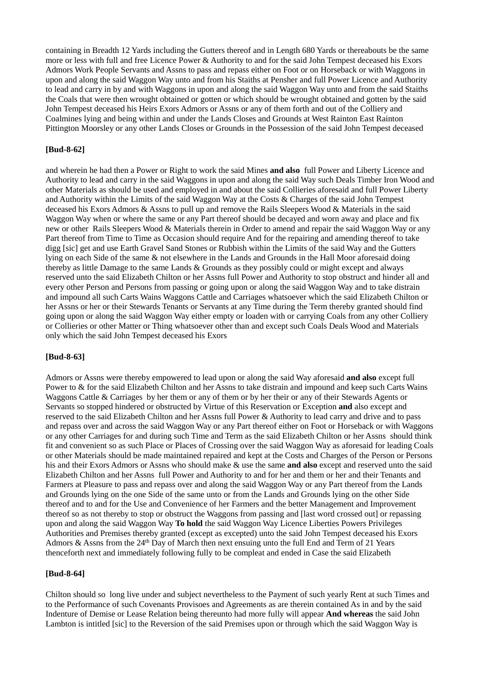containing in Breadth 12 Yards including the Gutters thereof and in Length 680 Yards or thereabouts be the same more or less with full and free Licence Power & Authority to and for the said John Tempest deceased his Exors Admors Work People Servants and Assns to pass and repass either on Foot or on Horseback or with Waggons in upon and along the said Waggon Way unto and from his Staiths at Pensher and full Power Licence and Authority to lead and carry in by and with Waggons in upon and along the said Waggon Way unto and from the said Staiths the Coals that were then wrought obtained or gotten or which should be wrought obtained and gotten by the said John Tempest deceased his Heirs Exors Admors or Assns or any of them forth and out of the Colliery and Coalmines lying and being within and under the Lands Closes and Grounds at West Rainton East Rainton Pittington Moorsley or any other Lands Closes or Grounds in the Possession of the said John Tempest deceased

### **[Bud-8-62]**

and wherein he had then a Power or Right to work the said Mines **and also** full Power and Liberty Licence and Authority to lead and carry in the said Waggons in upon and along the said Way such Deals Timber Iron Wood and other Materials as should be used and employed in and about the said Collieries aforesaid and full Power Liberty and Authority within the Limits of the said Waggon Way at the Costs & Charges of the said John Tempest deceased his Exors Admors & Assns to pull up and remove the Rails Sleepers Wood & Materials in the said Waggon Way when or where the same or any Part thereof should be decayed and worn away and place and fix new or other Rails Sleepers Wood & Materials therein in Order to amend and repair the said Waggon Way or any Part thereof from Time to Time as Occasion should require And for the repairing and amending thereof to take digg [sic] get and use Earth Gravel Sand Stones or Rubbish within the Limits of the said Way and the Gutters lying on each Side of the same & not elsewhere in the Lands and Grounds in the Hall Moor aforesaid doing thereby as little Damage to the same Lands & Grounds as they possibly could or might except and always reserved unto the said Elizabeth Chilton or her Assns full Power and Authority to stop obstruct and hinder all and every other Person and Persons from passing or going upon or along the said Waggon Way and to take distrain and impound all such Carts Wains Waggons Cattle and Carriages whatsoever which the said Elizabeth Chilton or her Assns or her or their Stewards Tenants or Servants at any Time during the Term thereby granted should find going upon or along the said Waggon Way either empty or loaden with or carrying Coals from any other Colliery or Collieries or other Matter or Thing whatsoever other than and except such Coals Deals Wood and Materials only which the said John Tempest deceased his Exors

### **[Bud-8-63]**

Admors or Assns were thereby empowered to lead upon or along the said Way aforesaid **and also** except full Power to & for the said Elizabeth Chilton and her Assns to take distrain and impound and keep such Carts Wains Waggons Cattle & Carriages by her them or any of them or by her their or any of their Stewards Agents or Servants so stopped hindered or obstructed by Virtue of this Reservation or Exception **and** also except and reserved to the said Elizabeth Chilton and her Assns full Power & Authority to lead carry and drive and to pass and repass over and across the said Waggon Way or any Part thereof either on Foot or Horseback or with Waggons or any other Carriages for and during such Time and Term as the said Elizabeth Chilton or her Assns should think fit and convenient so as such Place or Places of Crossing over the said Waggon Way as aforesaid for leading Coals or other Materials should be made maintained repaired and kept at the Costs and Charges of the Person or Persons his and their Exors Admors or Assns who should make & use the same **and also** except and reserved unto the said Elizabeth Chilton and her Assns full Power and Authority to and for her and them or her and their Tenants and Farmers at Pleasure to pass and repass over and along the said Waggon Way or any Part thereof from the Lands and Grounds lying on the one Side of the same unto or from the Lands and Grounds lying on the other Side thereof and to and for the Use and Convenience of her Farmers and the better Management and Improvement thereof so as not thereby to stop or obstruct the Waggons from passing and [last word crossed out] or repassing upon and along the said Waggon Way **To hold** the said Waggon Way Licence Liberties Powers Privileges Authorities and Premises thereby granted (except as excepted) unto the said John Tempest deceased his Exors Admors & Assns from the 24<sup>th</sup> Day of March then next ensuing unto the full End and Term of 21 Years thenceforth next and immediately following fully to be compleat and ended in Case the said Elizabeth

#### **[Bud-8-64]**

Chilton should so long live under and subject nevertheless to the Payment of such yearly Rent at such Times and to the Performance of such Covenants Provisoes and Agreements as are therein contained As in and by the said Indenture of Demise or Lease Relation being thereunto had more fully will appear **And whereas** the said John Lambton is intitled [sic] to the Reversion of the said Premises upon or through which the said Waggon Way is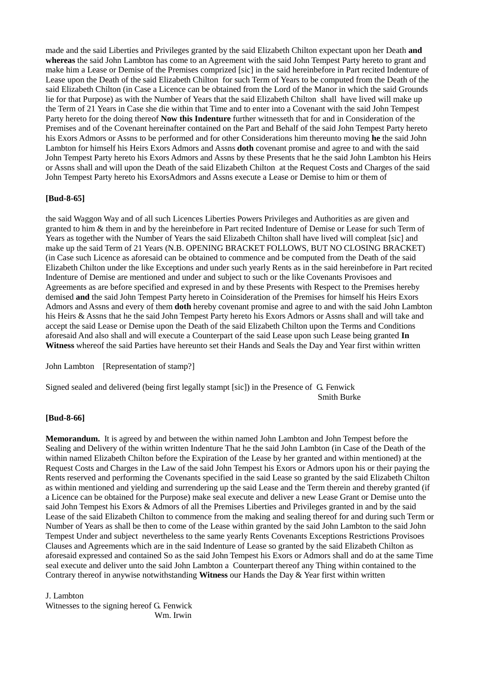made and the said Liberties and Privileges granted by the said Elizabeth Chilton expectant upon her Death **and whereas** the said John Lambton has come to an Agreement with the said John Tempest Party hereto to grant and make him a Lease or Demise of the Premises comprized [sic] in the said hereinbefore in Part recited Indenture of Lease upon the Death of the said Elizabeth Chilton for such Term of Years to be computed from the Death of the said Elizabeth Chilton (in Case a Licence can be obtained from the Lord of the Manor in which the said Grounds lie for that Purpose) as with the Number of Years that the said Elizabeth Chilton shall have lived will make up the Term of 21 Years in Case she die within that Time and to enter into a Covenant with the said John Tempest Party hereto for the doing thereof **Now this Indenture** further witnesseth that for and in Consideration of the Premises and of the Covenant hereinafter contained on the Part and Behalf of the said John Tempest Party hereto his Exors Admors or Assns to be performed and for other Considerations him thereunto moving **he** the said John Lambton for himself his Heirs Exors Admors and Assns **doth** covenant promise and agree to and with the said John Tempest Party hereto his Exors Admors and Assns by these Presents that he the said John Lambton his Heirs or Assns shall and will upon the Death of the said Elizabeth Chilton at the Request Costs and Charges of the said John Tempest Party hereto his ExorsAdmors and Assns execute a Lease or Demise to him or them of

#### **[Bud-8-65]**

the said Waggon Way and of all such Licences Liberties Powers Privileges and Authorities as are given and granted to him & them in and by the hereinbefore in Part recited Indenture of Demise or Lease for such Term of Years as together with the Number of Years the said Elizabeth Chilton shall have lived will compleat [sic] and make up the said Term of 21 Years (N.B. OPENING BRACKET FOLLOWS, BUT NO CLOSING BRACKET) (in Case such Licence as aforesaid can be obtained to commence and be computed from the Death of the said Elizabeth Chilton under the like Exceptions and under such yearly Rents as in the said hereinbefore in Part recited Indenture of Demise are mentioned and under and subject to such or the like Covenants Provisoes and Agreements as are before specified and expresed in and by these Presents with Respect to the Premises hereby demised **and** the said John Tempest Party hereto in Coinsideration of the Premises for himself his Heirs Exors Admors and Assns and every of them **doth** hereby covenant promise and agree to and with the said John Lambton his Heirs & Assns that he the said John Tempest Party hereto his Exors Admors or Assns shall and will take and accept the said Lease or Demise upon the Death of the said Elizabeth Chilton upon the Terms and Conditions aforesaid And also shall and will execute a Counterpart of the said Lease upon such Lease being granted **In Witness** whereof the said Parties have hereunto set their Hands and Seals the Day and Year first within written

John Lambton [Representation of stamp?]

Signed sealed and delivered (being first legally stampt [sic]) in the Presence of G. Fenwick Smith Burke

#### **[Bud-8-66]**

**Memorandum.** It is agreed by and between the within named John Lambton and John Tempest before the Sealing and Delivery of the within written Indenture That he the said John Lambton (in Case of the Death of the within named Elizabeth Chilton before the Expiration of the Lease by her granted and within mentioned) at the Request Costs and Charges in the Law of the said John Tempest his Exors or Admors upon his or their paying the Rents reserved and performing the Covenants specified in the said Lease so granted by the said Elizabeth Chilton as within mentioned and yielding and surrendering up the said Lease and the Term therein and thereby granted (if a Licence can be obtained for the Purpose) make seal execute and deliver a new Lease Grant or Demise unto the said John Tempest his Exors & Admors of all the Premises Liberties and Privileges granted in and by the said Lease of the said Elizabeth Chilton to commence from the making and sealing thereof for and during such Term or Number of Years as shall be then to come of the Lease within granted by the said John Lambton to the said John Tempest Under and subject nevertheless to the same yearly Rents Covenants Exceptions Restrictions Provisoes Clauses and Agreements which are in the said Indenture of Lease so granted by the said Elizabeth Chilton as aforesaid expressed and contained So as the said John Tempest his Exors or Admors shall and do at the same Time seal execute and deliver unto the said John Lambton a Counterpart thereof any Thing within contained to the Contrary thereof in anywise notwithstanding **Witness** our Hands the Day & Year first within written

#### J. Lambton

Witnesses to the signing hereof G. Fenwick Wm. Irwin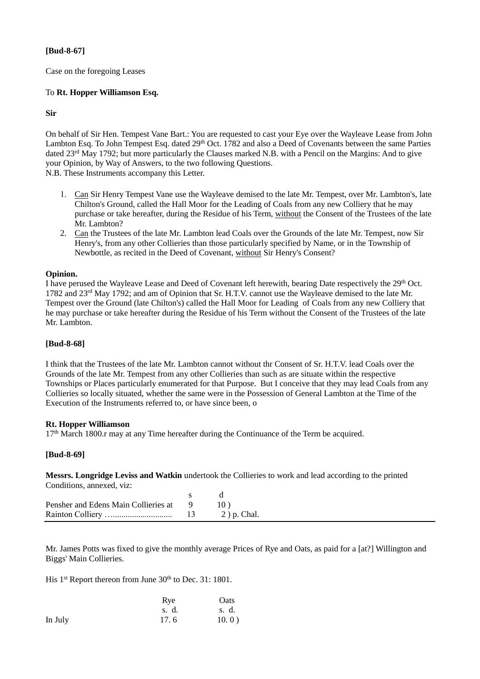### **[Bud-8-67]**

Case on the foregoing Leases

### To **Rt. Hopper Williamson Esq.**

### **Sir**

On behalf of Sir Hen. Tempest Vane Bart.: You are requested to cast your Eye over the Wayleave Lease from John Lambton Esq. To John Tempest Esq. dated 29<sup>th</sup> Oct. 1782 and also a Deed of Covenants between the same Parties dated 23rd May 1792; but more particularly the Clauses marked N.B. with a Pencil on the Margins: And to give your Opinion, by Way of Answers, to the two following Questions.

N.B. These Instruments accompany this Letter.

- Can Sir Henry Tempest Vane use the Wayleave demised to the late Mr. Tempest, over Mr. Lambton's, late Chilton's Ground, called the Hall Moor for the Leading of Coals from any new Colliery that he may purchase or take hereafter, during the Residue of his Term, without the Consent of the Trustees of the late Mr. Lambton?
- 2. Can the Trustees of the late Mr. Lambton lead Coals over the Grounds of the late Mr. Tempest, now Sir Henry's, from any other Collieries than those particularly specified by Name, or in the Township of Newbottle, as recited in the Deed of Covenant, without Sir Henry's Consent?

### **Opinion.**

I have perused the Wayleave Lease and Deed of Covenant left herewith, bearing Date respectively the 29th Oct. 1782 and 23rd May 1792; and am of Opinion that Sr. H.T.V. cannot use the Wayleave demised to the late Mr. Tempest over the Ground (late Chilton's) called the Hall Moor for Leading of Coals from any new Colliery that he may purchase or take hereafter during the Residue of his Term without the Consent of the Trustees of the late Mr. Lambton.

### **[Bud-8-68]**

I think that the Trustees of the late Mr. Lambton cannot without thr Consent of Sr. H.T.V. lead Coals over the Grounds of the late Mr. Tempest from any other Collieries than such as are situate within the respective Townships or Places particularly enumerated for that Purpose. But I conceive that they may lead Coals from any Collieries so locally situated, whether the same were in the Possession of General Lambton at the Time of the Execution of the Instruments referred to, or have since been, o

### **Rt. Hopper Williamson**

17<sup>th</sup> March 1800.r may at any Time hereafter during the Continuance of the Term be acquired.

### **[Bud-8-69]**

**Messrs. Longridge Leviss and Watkin** undertook the Collieries to work and lead according to the printed Conditions, annexed, viz:

| Pensher and Edens Main Collieries at 9 |  |
|----------------------------------------|--|
|                                        |  |

Mr. James Potts was fixed to give the monthly average Prices of Rye and Oats, as paid for a [at?] Willington and Biggs' Main Collieries.

His  $1<sup>st</sup>$  Report thereon from June  $30<sup>th</sup>$  to Dec. 31: 1801.

|         | Rye   | Oats  |
|---------|-------|-------|
|         | s. d. | s. d. |
| In July | 17.6  | 10.0) |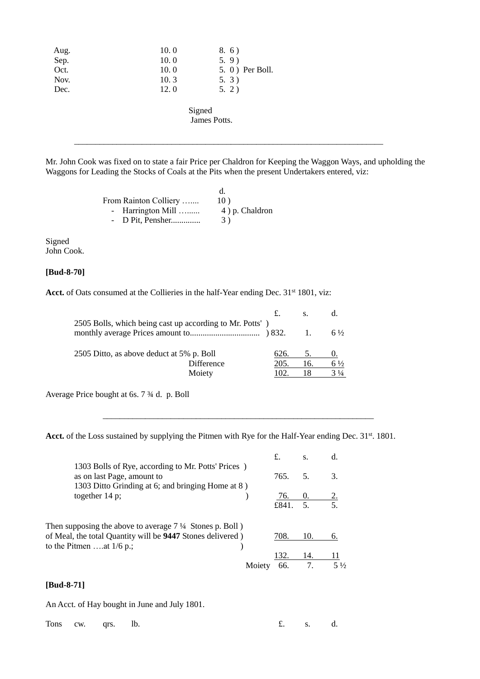| Aug. | 10.0 | 8.6)             |
|------|------|------------------|
| Sep. | 10.0 | 5.9)             |
| Oct. | 10.0 | 5. 0 ) Per Boll. |
| Nov. | 10.3 | 5.3)             |
| Dec. | 12.0 | 5.2)             |
|      |      |                  |

Signed James Potts.

Mr. John Cook was fixed on to state a fair Price per Chaldron for Keeping the Waggon Ways, and upholding the Waggons for Leading the Stocks of Coals at the Pits when the present Undertakers entered, viz:

 $\_$  , and the set of the set of the set of the set of the set of the set of the set of the set of the set of the set of the set of the set of the set of the set of the set of the set of the set of the set of the set of th

| From Rainton Colliery | 10 <sub>2</sub> |
|-----------------------|-----------------|
| - Harrington Mill     | 4) p. Chaldron  |
| - D Pit, Pensher      | 3)              |

Signed John Cook.

### **[Bud-8-70]**

Acct. of Oats consumed at the Collieries in the half-Year ending Dec. 31<sup>st</sup> 1801, viz:

| 2505 Bolls, which being cast up according to Mr. Potts') |      |     | $6\frac{1}{2}$ |
|----------------------------------------------------------|------|-----|----------------|
| 2505 Ditto, as above deduct at 5% p. Boll                | 626. | 5.  | O.             |
| Difference                                               | 205. | 16. | $6\frac{1}{2}$ |
| Moiety                                                   | 102. | 18  | $3\frac{1}{4}$ |
|                                                          |      |     |                |

Average Price bought at 6s. 7 ¾ d. p. Boll

Acct. of the Loss sustained by supplying the Pitmen with Rye for the Half-Year ending Dec. 31<sup>st</sup>. 1801.

\_\_\_\_\_\_\_\_\_\_\_\_\_\_\_\_\_\_\_\_\_\_\_\_\_\_\_\_\_\_\_\_\_\_\_\_\_\_\_\_\_\_\_\_\_\_\_\_\_\_\_\_\_\_\_\_\_\_\_\_\_\_\_\_

|                                                                                                                                        |        | £.       | S.         | d.             |
|----------------------------------------------------------------------------------------------------------------------------------------|--------|----------|------------|----------------|
| 1303 Bolls of Rye, according to Mr. Potts' Prices )<br>as on last Page, amount to<br>1303 Ditto Grinding at 6; and bringing Home at 8) |        | 765.     | 5.         | 3.             |
| together $14$ p;                                                                                                                       |        | 76.      | $\theta$ . | 2.             |
|                                                                                                                                        |        | £841. 5. |            | 5.             |
| Then supposing the above to average $7\frac{1}{4}$ Stones p. Boll)                                                                     |        |          |            |                |
| of Meal, the total Quantity will be 9447 Stones delivered)                                                                             |        | 708.     | 10.        | 6.             |
| to the Pitmen at $1/6$ p.;                                                                                                             |        |          |            |                |
|                                                                                                                                        |        | 132.     | 14.        |                |
|                                                                                                                                        | Moiety | 66.      | 7.         | $5\frac{1}{2}$ |
|                                                                                                                                        |        |          |            |                |

### **[Bud-8-71]**

An Acct. of Hay bought in June and July 1801.

Tons cw. qrs. lb.  $\qquad \qquad$  £. s. d.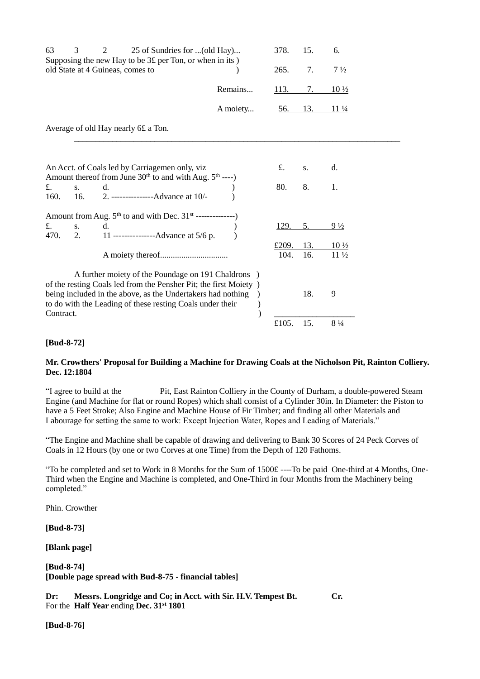| 3<br>63<br>2<br>25 of Sundries for  (old Hay)<br>Supposing the new Hay to be $3£$ per Ton, or when in its $)$                   |     |    |                                                                                                                                    |          | 378.  | 15.               | 6.              |
|---------------------------------------------------------------------------------------------------------------------------------|-----|----|------------------------------------------------------------------------------------------------------------------------------------|----------|-------|-------------------|-----------------|
|                                                                                                                                 |     |    | old State at 4 Guineas, comes to                                                                                                   |          | 265.  | 7.                | $7\frac{1}{2}$  |
|                                                                                                                                 |     |    |                                                                                                                                    | Remains  | 113.  | 7.                | $10\frac{1}{2}$ |
|                                                                                                                                 |     |    |                                                                                                                                    | A moiety |       | $\frac{56.}{13.}$ | $11\frac{1}{4}$ |
|                                                                                                                                 |     |    | Average of old Hay nearly 6£ a Ton.                                                                                                |          |       |                   |                 |
|                                                                                                                                 |     |    |                                                                                                                                    |          |       |                   |                 |
|                                                                                                                                 |     |    | An Acct. of Coals led by Carriagemen only, viz<br>Amount thereof from June 30 <sup>th</sup> to and with Aug. 5 <sup>th</sup> ----) |          | £.    | S <sub>1</sub>    | d.              |
| f(x)                                                                                                                            | S.  | d. |                                                                                                                                    |          | 80.   | 8.                | 1.              |
| 160.                                                                                                                            | 16. |    | d.<br>2. ----------------Advance at 10/-                                                                                           |          |       |                   |                 |
|                                                                                                                                 |     |    | Amount from Aug. 5 <sup>th</sup> to and with Dec. 31 <sup>st</sup> ---------------)                                                |          |       |                   |                 |
| £.                                                                                                                              |     | d. | s. d.<br>2. 11 ----------------Advance at 5/6 p.                                                                                   |          | 129.  | 5.                | $9\frac{1}{2}$  |
| 470.                                                                                                                            |     |    |                                                                                                                                    |          | £209. | 13.               | $10\frac{1}{2}$ |
|                                                                                                                                 |     |    |                                                                                                                                    |          | 104.  | 16.               | $11\frac{1}{2}$ |
|                                                                                                                                 |     |    | A further moiety of the Poundage on 191 Chaldrons )                                                                                |          |       |                   |                 |
| of the resting Coals led from the Pensher Pit; the first Moiety)<br>being included in the above, as the Undertakers had nothing |     |    |                                                                                                                                    |          |       | 18.               | 9               |
|                                                                                                                                 |     |    | to do with the Leading of these resting Coals under their                                                                          |          |       |                   |                 |
| Contract.                                                                                                                       |     |    |                                                                                                                                    |          |       |                   |                 |
|                                                                                                                                 |     |    |                                                                                                                                    |          | £105. | 15.               | $8\frac{1}{4}$  |

#### **[Bud-8-72]**

#### **Mr. Crowthers' Proposal for Building a Machine for Drawing Coals at the Nicholson Pit, Rainton Colliery. Dec. 12:1804**

"I agree to build at the Pit, East Rainton Colliery in the County of Durham, a double-powered Steam Engine (and Machine for flat or round Ropes) which shall consist of a Cylinder 30in. In Diameter: the Piston to have a 5 Feet Stroke; Also Engine and Machine House of Fir Timber; and finding all other Materials and Labourage for setting the same to work: Except Injection Water, Ropes and Leading of Materials."

"The Engine and Machine shall be capable of drawing and delivering to Bank 30 Scores of 24 Peck Corves of Coals in 12 Hours (by one or two Corves at one Time) from the Depth of 120 Fathoms.

"To be completed and set to Work in 8 Months for the Sum of 1500£ ----To be paid One-third at 4 Months, One-Third when the Engine and Machine is completed, and One-Third in four Months from the Machinery being completed."

Phin. Crowther

**[Bud-8-73]**

**[Blank page]**

**[Bud-8-74] [Double page spread with Bud-8-75 - financial tables]**

**Dr: Messrs. Longridge and Co; in Acct. with Sir. H.V. Tempest Bt. Cr.** For the **Half Year** ending **Dec. 31st 1801**

**[Bud-8-76]**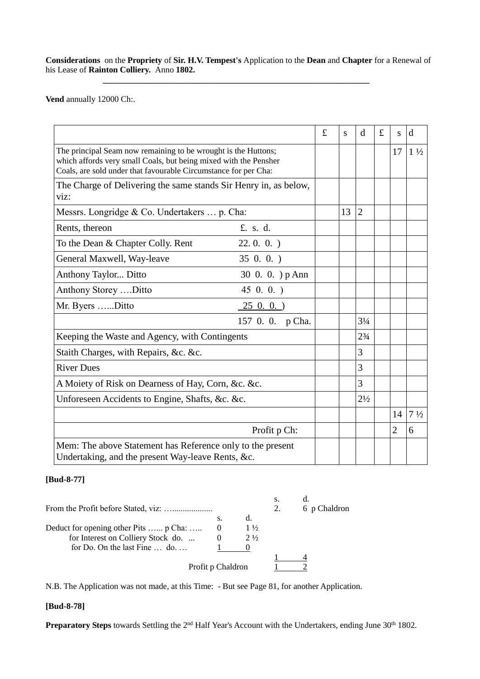**Considerations** on the **Propriety** of **Sir. H.V. Tempest's** Application to the **Dean** and **Chapter** for a Renewal of his Lease of **Rainton Colliery.** Anno **1802.**

**\_\_\_\_\_\_\_\_\_\_\_\_\_\_\_\_\_\_\_\_\_\_\_\_\_\_\_\_\_\_\_\_\_\_\_\_\_\_\_\_\_\_\_\_\_\_\_\_\_\_\_\_\_\_\_\_\_\_\_\_\_\_\_**

**Vend** annually 12000 Ch:.

|                                                                                                                                                                                                       | £ | S  | d              | £ | S              | d              |
|-------------------------------------------------------------------------------------------------------------------------------------------------------------------------------------------------------|---|----|----------------|---|----------------|----------------|
| The principal Seam now remaining to be wrought is the Huttons;<br>which affords very small Coals, but being mixed with the Pensher<br>Coals, are sold under that favourable Circumstance for per Cha: |   |    |                |   | 17             | $1\frac{1}{2}$ |
| The Charge of Delivering the same stands Sir Henry in, as below,<br>viz:                                                                                                                              |   |    |                |   |                |                |
| Messrs. Longridge & Co. Undertakers  p. Cha:                                                                                                                                                          |   | 13 | $\overline{2}$ |   |                |                |
| Rents, thereon<br>£, s, d.                                                                                                                                                                            |   |    |                |   |                |                |
| 22.0.0.<br>To the Dean & Chapter Colly. Rent                                                                                                                                                          |   |    |                |   |                |                |
| 350.0.<br>General Maxwell, Way-leave                                                                                                                                                                  |   |    |                |   |                |                |
| 30 0. 0. ) p Ann<br>Anthony Taylor Ditto                                                                                                                                                              |   |    |                |   |                |                |
| $45$ 0. 0. $)$<br>Anthony Storey Ditto                                                                                                                                                                |   |    |                |   |                |                |
| $25$ 0. 0. )<br>Mr. Byers Ditto                                                                                                                                                                       |   |    |                |   |                |                |
| 157 0. 0. p Cha.                                                                                                                                                                                      |   |    | $3\frac{1}{4}$ |   |                |                |
| Keeping the Waste and Agency, with Contingents                                                                                                                                                        |   |    | $2\frac{3}{4}$ |   |                |                |
| Staith Charges, with Repairs, &c. &c.                                                                                                                                                                 |   |    | 3              |   |                |                |
| <b>River Dues</b>                                                                                                                                                                                     |   |    | 3              |   |                |                |
| A Moiety of Risk on Dearness of Hay, Corn, &c. &c.                                                                                                                                                    |   |    | 3              |   |                |                |
| Unforeseen Accidents to Engine, Shafts, &c. &c.                                                                                                                                                       |   |    | $2\frac{1}{2}$ |   |                |                |
|                                                                                                                                                                                                       |   |    |                |   | 14             | $7\frac{1}{2}$ |
| Profit p Ch:                                                                                                                                                                                          |   |    |                |   | $\overline{2}$ | 6              |
| Mem: The above Statement has Reference only to the present<br>Undertaking, and the present Way-leave Rents, &c.                                                                                       |   |    |                |   |                |                |

### **[Bud-8-77]**

|                                       |  |                | S. |  |
|---------------------------------------|--|----------------|----|--|
|                                       |  | 6 p Chaldron   |    |  |
|                                       |  |                |    |  |
| Deduct for opening other Pits  p Cha: |  | $1\frac{1}{2}$ |    |  |
| for Interest on Colliery Stock do.    |  | $2\frac{1}{2}$ |    |  |
| for Do. On the last Fine  do.         |  |                |    |  |
|                                       |  |                |    |  |
| Profit p Chaldron                     |  |                |    |  |
|                                       |  |                |    |  |

N.B. The Application was not made, at this Time: - But see Page 81, for another Application.

### **[Bud-8-78]**

**Preparatory Steps** towards Settling the 2<sup>nd</sup> Half Year's Account with the Undertakers, ending June 30<sup>th</sup> 1802.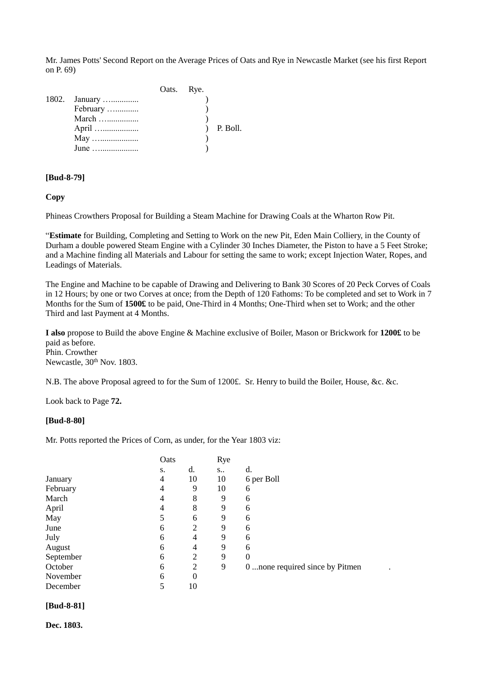Mr. James Potts' Second Report on the Average Prices of Oats and Rye in Newcastle Market (see his first Report on P. 69)

|               | Oats. Rye. |          |
|---------------|------------|----------|
| 1802. January |            |          |
| February      |            |          |
| March         |            |          |
| April         |            | P. Boll. |
| May           |            |          |
|               |            |          |
|               |            |          |

#### **[Bud-8-79]**

#### **Copy**

Phineas Crowthers Proposal for Building a Steam Machine for Drawing Coals at the Wharton Row Pit.

"**Estimate** for Building, Completing and Setting to Work on the new Pit, Eden Main Colliery, in the County of Durham a double powered Steam Engine with a Cylinder 30 Inches Diameter, the Piston to have a 5 Feet Stroke; and a Machine finding all Materials and Labour for setting the same to work; except Injection Water, Ropes, and Leadings of Materials.

The Engine and Machine to be capable of Drawing and Delivering to Bank 30 Scores of 20 Peck Corves of Coals in 12 Hours; by one or two Corves at once; from the Depth of 120 Fathoms: To be completed and set to Work in 7 Months for the Sum of **1500£** to be paid, One-Third in 4 Months; One-Third when set to Work; and the other Third and last Payment at 4 Months.

**I also** propose to Build the above Engine & Machine exclusive of Boiler, Mason or Brickwork for **1200£** to be paid as before. Phin. Crowther Newcastle,  $30<sup>th</sup>$  Nov. 1803.

N.B. The above Proposal agreed to for the Sum of 1200£. Sr. Henry to build the Boiler, House, &c. &c.

Look back to Page **72.**

#### **[Bud-8-80]**

Mr. Potts reported the Prices of Corn, as under, for the Year 1803 viz:

|           | Oats |                | Rye              |                                 |  |
|-----------|------|----------------|------------------|---------------------------------|--|
|           | S.   | d.             | $S_{\cdot\cdot}$ | d.                              |  |
| January   | 4    | 10             | 10               | 6 per Boll                      |  |
| February  | 4    | 9              | 10               | 6                               |  |
| March     | 4    | 8              | 9                | 6                               |  |
| April     | 4    | 8              | 9                | 6                               |  |
| May       |      | 6              | 9                | 6                               |  |
| June      | 6    | $\overline{2}$ | 9                | 6                               |  |
| July      | 6    | 4              | 9                | 6                               |  |
| August    | 6    | 4              | 9                | 6                               |  |
| September | 6    | 2              | 9                | $\Omega$                        |  |
| October   | 6    | $\overline{2}$ | 9                | 0 none required since by Pitmen |  |
| November  | 6    | $\theta$       |                  |                                 |  |
| December  |      | 10             |                  |                                 |  |

#### **[Bud-8-81]**

**Dec. 1803.**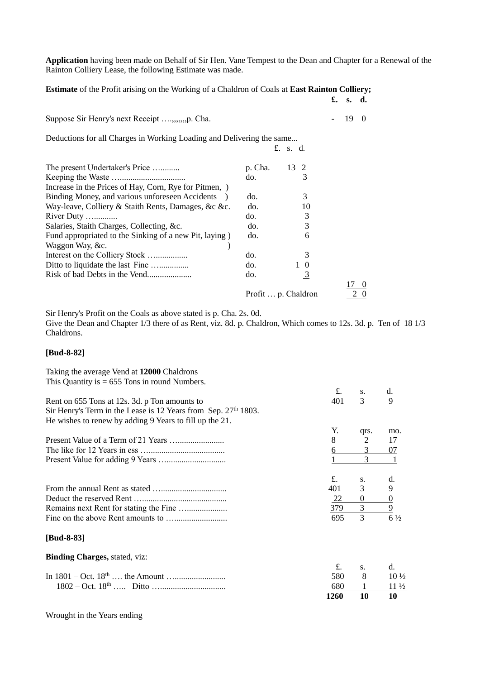**Application** having been made on Behalf of Sir Hen. Vane Tempest to the Dean and Chapter for a Renewal of the Rainton Colliery Lease, the following Estimate was made.

**Estimate** of the Profit arising on the Working of a Chaldron of Coals at **East Rainton Colliery; £. s. d.**

| Suppose Sir Henry's next Receipt ,,,,,,p. Cha. | $-190$ |  |
|------------------------------------------------|--------|--|

Deductions for all Charges in Working Loading and Delivering the same... £. s. d.

| The present Undertaker's Price                         | p. Cha. | 13 2                |          |
|--------------------------------------------------------|---------|---------------------|----------|
|                                                        | do.     | 3                   |          |
| Increase in the Prices of Hay, Corn, Rye for Pitmen, ) |         |                     |          |
| Binding Money, and various unforeseen Accidents )      | do.     | 3                   |          |
| Way-leave, Colliery & Staith Rents, Damages, &c &c.    | do.     | 10                  |          |
| River Duty                                             | do.     | 3                   |          |
| Salaries, Staith Charges, Collecting, &c.              | do.     | 3                   |          |
| Fund appropriated to the Sinking of a new Pit, laying) | do.     | 6                   |          |
| Waggon Way, &c.                                        |         |                     |          |
| Interest on the Colliery Stock                         | do.     | 3                   |          |
|                                                        | do.     | $1\quad$            |          |
|                                                        | do.     | $\overline{3}$      |          |
|                                                        |         |                     | $\theta$ |
|                                                        |         | Profit  p. Chaldron | 2 0      |
|                                                        |         |                     |          |

Sir Henry's Profit on the Coals as above stated is p. Cha. 2s. 0d. Give the Dean and Chapter 1/3 there of as Rent, viz. 8d. p. Chaldron, Which comes to 12s. 3d. p. Ten of 18 1/3 Chaldrons.

#### **[Bud-8-82]**

|                                                                            | <b>1260</b> | 10           | 10              |
|----------------------------------------------------------------------------|-------------|--------------|-----------------|
|                                                                            | 680         | 1            | $11\frac{1}{2}$ |
|                                                                            | 580         | 8            | $10\frac{1}{2}$ |
|                                                                            | £.          | S.           | d.              |
| <b>Binding Charges, stated, viz:</b>                                       |             |              |                 |
| $[Bud-8-83]$                                                               |             |              |                 |
|                                                                            | 695         | 3            | $6\frac{1}{2}$  |
|                                                                            | 379         | 3            |                 |
|                                                                            | <u>22</u>   | $\mathbf{0}$ | $\frac{0}{9}$   |
|                                                                            | 401         | 3            | 9               |
|                                                                            | £.          | S.           | d.              |
|                                                                            |             | 3            |                 |
|                                                                            | <u>6</u>    | 3            | 07              |
|                                                                            | Y.<br>8     | qrs.<br>2    | mo.<br>17       |
| He wishes to renew by adding 9 Years to fill up the 21.                    |             |              |                 |
| Sir Henry's Term in the Lease is 12 Years from Sep. 27 <sup>th</sup> 1803. |             |              |                 |
| Rent on 655 Tons at 12s. 3d. p Ton amounts to                              | 401         | S.<br>3      | d.<br>9         |
| This Quantity is $= 655$ Tons in round Numbers.                            | £.          |              |                 |
| Taking the average Vend at 12000 Chaldrons                                 |             |              |                 |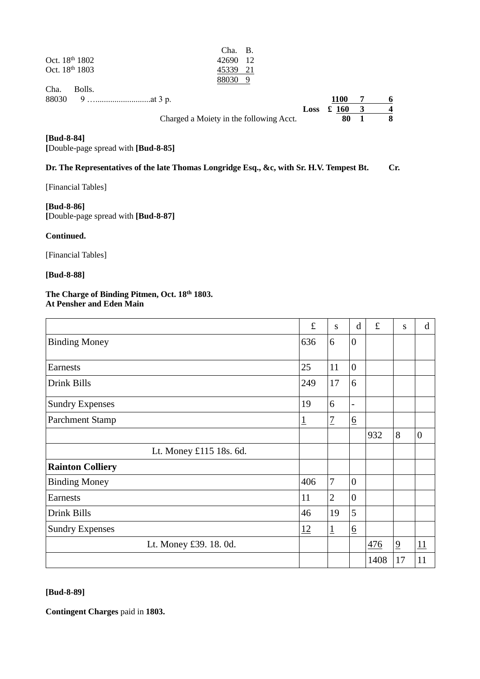|                            | Cha. B.  |  |
|----------------------------|----------|--|
| Oct. 18 <sup>th</sup> 1802 | 42690 12 |  |
| Oct. 18th 1803             | 45339 21 |  |
|                            | 88030 9  |  |

| Cha. | Bolls.                                  |               |                         |  |
|------|-----------------------------------------|---------------|-------------------------|--|
|      |                                         | 1100          | 7                       |  |
|      |                                         | $Loss \& 160$ | $\overline{\mathbf{3}}$ |  |
|      | Charged a Moiety in the following Acct. | 80            |                         |  |

### **[Bud-8-84]**

**[**Double-page spread with **[Bud-8-85]**

#### **Dr. The Representatives of the late Thomas Longridge Esq., &c, with Sr. H.V. Tempest Bt. Cr.**

[Financial Tables]

#### **[Bud-8-86]**

**[**Double-page spread with **[Bud-8-87]**

### **Continued.**

[Financial Tables]

#### **[Bud-8-88]**

### **The Charge of Binding Pitmen, Oct. 18th 1803. At Pensher and Eden Main**

|                         | $\pounds$ | S              | $\mathbf d$              | £    | S              | d              |
|-------------------------|-----------|----------------|--------------------------|------|----------------|----------------|
| <b>Binding Money</b>    | 636       | 6              | $\overline{0}$           |      |                |                |
| Earnests                | 25        | 11             | $\overline{0}$           |      |                |                |
| Drink Bills             | 249       | 17             | 6                        |      |                |                |
| <b>Sundry Expenses</b>  | 19        | 6              | $\overline{\phantom{a}}$ |      |                |                |
| <b>Parchment Stamp</b>  | <u>1</u>  | $\overline{1}$ | $\underline{6}$          |      |                |                |
|                         |           |                |                          | 932  | 8              | $\overline{0}$ |
| Lt. Money £115 18s. 6d. |           |                |                          |      |                |                |
| <b>Rainton Colliery</b> |           |                |                          |      |                |                |
| <b>Binding Money</b>    | 406       | 7              | $\Omega$                 |      |                |                |
| Earnests                | 11        | $\overline{2}$ | $\overline{0}$           |      |                |                |
| Drink Bills             | 46        | 19             | 5                        |      |                |                |
| <b>Sundry Expenses</b>  | 12        | $\overline{1}$ | $\underline{6}$          |      |                |                |
| Lt. Money £39. 18. 0d.  |           |                |                          | 476  | $\overline{9}$ | 11             |
|                         |           |                |                          | 1408 | 17             | 11             |

#### **[Bud-8-89]**

**Contingent Charges** paid in **1803.**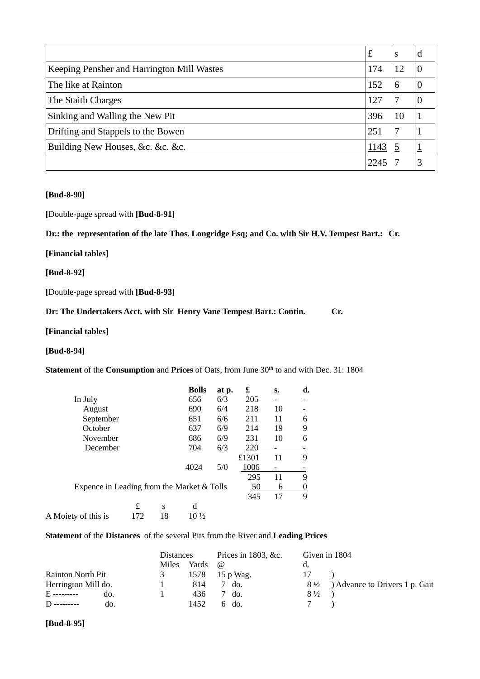|                                            | $\mathbf f$ | S  | d        |
|--------------------------------------------|-------------|----|----------|
| Keeping Pensher and Harrington Mill Wastes | 174         | 12 | $\theta$ |
| The like at Rainton                        | 152         | 6  | O        |
| The Staith Charges                         | 127         | 7  |          |
| Sinking and Walling the New Pit            | 396         | 10 |          |
| Drifting and Stappels to the Bowen         | 251         | 7  |          |
| Building New Houses, &c. &c. &c.           | 1143        | 5  |          |
|                                            | 2245        |    | 3        |

### **[Bud-8-90]**

**[**Double-page spread with **[Bud-8-91]**

**Dr.: the representation of the late Thos. Longridge Esq; and Co. with Sir H.V. Tempest Bart.: Cr.**

**[Financial tables]**

**[Bud-8-92]**

**[**Double-page spread with **[Bud-8-93]**

**Dr: The Undertakers Acct. with Sir Henry Vane Tempest Bart.: Contin. Cr.**

**[Financial tables]**

#### **[Bud-8-94]**

**Statement** of the **Consumption** and **Prices** of Oats, from June 30<sup>th</sup> to and with Dec. 31: 1804

|                                            |     |    | <b>Bolls</b>    | at p. | £     | s. | d.       |
|--------------------------------------------|-----|----|-----------------|-------|-------|----|----------|
| In July                                    |     |    | 656             | 6/3   | 205   |    |          |
| August                                     |     |    | 690             | 6/4   | 218   | 10 |          |
| September                                  |     |    | 651             | 6/6   | 211   | 11 | 6        |
| October                                    |     |    | 637             | 6/9   | 214   | 19 | 9        |
| November                                   |     |    | 686             | 6/9   | 231   | 10 | 6        |
| December                                   |     |    | 704             | 6/3   | 220   |    |          |
|                                            |     |    |                 |       | £1301 | 11 | 9        |
|                                            |     |    | 4024            | 5/0   | 1006  |    |          |
|                                            |     |    |                 |       | 295   | 11 | 9        |
| Expence in Leading from the Market & Tolls |     |    |                 |       | 50    | 6  | $\theta$ |
|                                            |     |    |                 |       | 345   | 17 | 9        |
|                                            | £   | S  | d               |       |       |    |          |
| A Moiety of this is                        | 172 | 18 | $10\frac{1}{2}$ |       |       |    |          |

### **Statement** of the **Distances** of the several Pits from the River and **Leading Prices**

|                          |     | <b>Distances</b> |       | Prices in $1803$ , &c. | Given in 1804  |                                               |  |  |
|--------------------------|-----|------------------|-------|------------------------|----------------|-----------------------------------------------|--|--|
|                          |     | Miles            | Yards | $\omega$               |                |                                               |  |  |
| <b>Rainton North Pit</b> |     | 3                | 1578  | 15 p Wag.              | 17             |                                               |  |  |
| Herrington Mill do.      |     |                  | 814   | do.                    |                | $8\frac{1}{2}$ ) Advance to Drivers 1 p. Gait |  |  |
| E ---------              | do. |                  | 436   | do.                    | $8\frac{1}{2}$ |                                               |  |  |
| $D$ ---------            | do. |                  | 1452  | - do.<br>h.            |                |                                               |  |  |

### **[Bud-8-95]**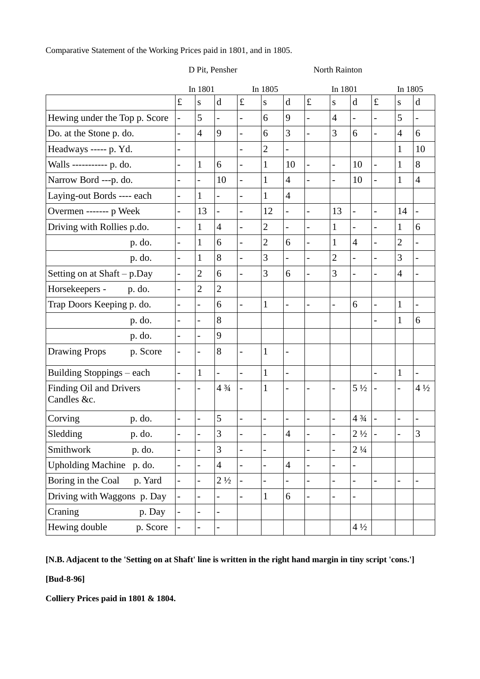Comparative Statement of the Working Prices paid in 1801, and in 1805.

|                                        |                | In 1801                  |                          |                          | In 1805                  |                              |                          | In 1801        |                          |                          | In 1805        |                          |
|----------------------------------------|----------------|--------------------------|--------------------------|--------------------------|--------------------------|------------------------------|--------------------------|----------------|--------------------------|--------------------------|----------------|--------------------------|
|                                        | $\pounds$      | S                        | d                        | $\pounds$                | S                        | $\mathbf d$                  | $\pounds$                | S              | d                        | $\mathbf f$              | S              | d                        |
| Hewing under the Top p. Score          |                | 5                        | $\overline{a}$           | $\overline{a}$           | 6                        | 9                            | $\frac{1}{2}$            | $\overline{4}$ |                          |                          | 5              |                          |
| Do. at the Stone p. do.                | $\overline{a}$ | $\overline{4}$           | 9                        | $\overline{a}$           | 6                        | 3                            | $\overline{a}$           | 3              | 6                        | $\overline{a}$           | $\overline{4}$ | 6                        |
| Headways ----- p. Yd.                  | $\overline{a}$ |                          |                          | $\overline{a}$           | $\overline{2}$           | $\frac{1}{2}$                |                          |                |                          |                          | $\mathbf{1}$   | 10                       |
| Walls ----------- p. do.               | $\overline{a}$ | $\mathbf{1}$             | 6                        | $\overline{a}$           | $\mathbf{1}$             | 10                           | $\blacksquare$           | $\overline{a}$ | 10                       |                          | $\mathbf{1}$   | 8                        |
| Narrow Bord ---p. do.                  | $\frac{1}{2}$  | $\overline{\phantom{0}}$ | 10                       | $\overline{a}$           | $\mathbf{1}$             | $\overline{4}$               | $\frac{1}{2}$            | $\overline{a}$ | 10                       |                          | $\mathbf{1}$   | $\overline{4}$           |
| Laying-out Bords ---- each             | $\overline{a}$ | $\mathbf{1}$             | $\overline{\phantom{0}}$ | $\overline{a}$           | $\mathbf{1}$             | $\overline{4}$               |                          |                |                          |                          |                |                          |
| Overmen ------- p Week                 | $\overline{a}$ | 13                       | $\overline{a}$           | $\overline{a}$           | 12                       | $\frac{1}{2}$                | $\blacksquare$           | 13             | $\overline{a}$           | $\overline{\phantom{0}}$ | 14             | $\frac{1}{2}$            |
| Driving with Rollies p.do.             | $\overline{a}$ | $\mathbf{1}$             | $\overline{4}$           | $\overline{a}$           | $\mathbf{2}$             | $\qquad \qquad -$            | $\frac{1}{2}$            | 1              | $\overline{a}$           | $\overline{a}$           | $\mathbf{1}$   | 6                        |
| p. do.                                 | $\overline{a}$ | $\mathbf{1}$             | 6                        | $\overline{a}$           | $\overline{2}$           | 6                            | $\overline{a}$           | $\mathbf{1}$   | $\overline{4}$           |                          | $\overline{2}$ |                          |
| p. do.                                 | $\overline{a}$ | 1                        | 8                        | $\overline{a}$           | 3                        | $\frac{1}{2}$                | $\frac{1}{2}$            | $\overline{2}$ | $\overline{a}$           | $\overline{a}$           | 3              | $\overline{\phantom{0}}$ |
| Setting on at Shaft - p.Day            | $\frac{1}{2}$  | $\overline{2}$           | 6                        | $\overline{a}$           | $\overline{3}$           | 6                            | $\blacksquare$           | 3              | $\overline{a}$           | $\overline{a}$           | $\overline{4}$ | $\overline{\phantom{0}}$ |
| Horsekeepers -<br>p. do.               | $\overline{a}$ | $\overline{2}$           | $\overline{2}$           |                          |                          |                              |                          |                |                          |                          |                |                          |
| Trap Doors Keeping p. do.              | $\overline{a}$ | $\overline{a}$           | 6                        | $\overline{a}$           | $\mathbf{1}$             | $\frac{1}{2}$                | $\overline{a}$           | $\overline{a}$ | 6                        |                          | $\mathbf{1}$   | $\overline{a}$           |
| p. do.                                 | $\blacksquare$ | $\overline{a}$           | 8                        |                          |                          |                              |                          |                |                          |                          | $\mathbf{1}$   | 6                        |
| p. do.                                 | $\overline{a}$ | $\overline{a}$           | 9                        |                          |                          |                              |                          |                |                          |                          |                |                          |
| <b>Drawing Props</b><br>p. Score       | $\blacksquare$ | $\overline{a}$           | 8                        | $\overline{\phantom{0}}$ | $\mathbf{1}$             | $\overline{\phantom{0}}$     |                          |                |                          |                          |                |                          |
| Building Stoppings – each              | $\overline{a}$ | $\mathbf{1}$             | $\overline{\phantom{0}}$ | $\overline{a}$           | $\mathbf{1}$             | $\overline{\phantom{m}}$     |                          |                |                          |                          | $\mathbf{1}$   | $\overline{\phantom{0}}$ |
| Finding Oil and Drivers<br>Candles &c. | $\overline{a}$ | $\overline{a}$           | $4\frac{3}{4}$           | $\overline{a}$           | $\mathbf{1}$             | $\overline{\phantom{0}}$     | $\overline{\phantom{0}}$ | $\overline{a}$ | $5\frac{1}{2}$           |                          | $\overline{a}$ | $4\frac{1}{2}$           |
| Corving<br>p. do.                      | $\blacksquare$ | $\overline{a}$           | 5                        | $\overline{a}$           | $\overline{\phantom{0}}$ | $\qquad \qquad \blacksquare$ | $\qquad \qquad -$        | -              | $4\frac{3}{4}$           | $\overline{\phantom{0}}$ | -              |                          |
| Sledding<br>p. do.                     |                |                          | 3                        |                          |                          | $\overline{4}$               |                          |                | $2 \frac{1}{2}$          |                          |                | 3                        |
| Smithwork<br>p. do.                    | $\overline{a}$ | $\overline{a}$           | 3                        | $\overline{a}$           | $\overline{\phantom{0}}$ |                              | $\qquad \qquad -$        |                | $2\frac{1}{4}$           |                          |                |                          |
| Upholding Machine p. do.               | $\frac{1}{2}$  | $\overline{\phantom{0}}$ | $\overline{4}$           | $\overline{a}$           | $\overline{\phantom{0}}$ | $\overline{4}$               | $\blacksquare$           |                |                          |                          |                |                          |
| Boring in the Coal<br>p. Yard          | $\blacksquare$ |                          | $2\frac{1}{2}$           |                          | $\overline{\phantom{0}}$ | $\overline{a}$               | $\overline{a}$           |                |                          |                          | $\overline{a}$ |                          |
| Driving with Waggons p. Day            | $\overline{a}$ | $\overline{a}$           | $\overline{a}$           | $\frac{1}{2}$            | $\mathbf{1}$             | 6                            | $\frac{1}{2}$            |                | $\overline{\phantom{0}}$ |                          |                |                          |
| Craning<br>p. Day                      | $\overline{a}$ |                          |                          |                          |                          |                              |                          |                |                          |                          |                |                          |
| Hewing double<br>p. Score              |                |                          |                          |                          |                          |                              |                          |                | $4\frac{1}{2}$           |                          |                |                          |

D Pit, Pensher North Rainton

**[N.B. Adjacent to the 'Setting on at Shaft' line is written in the right hand margin in tiny script 'cons.']**

**[Bud-8-96]**

**Colliery Prices paid in 1801 & 1804.**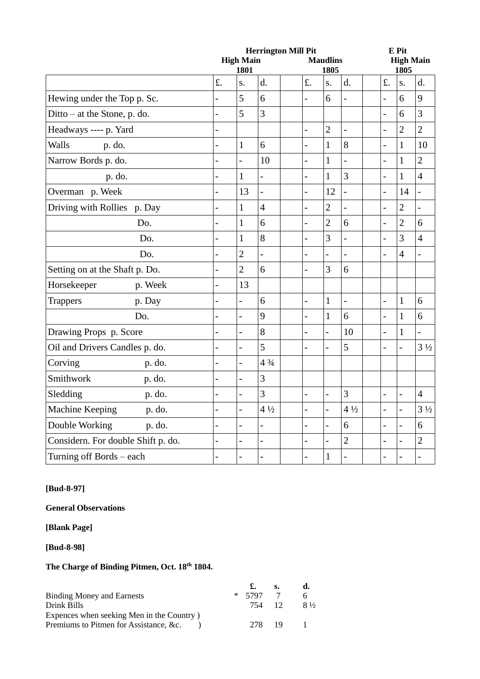|                                    |         |                          | 1801           |                | <b>Herrington Mill Pit</b><br><b>High Main</b><br><b>Maudlins</b><br>1805 |                          |                |                | E Pit<br><b>High Main</b><br>1805 |                |                |                          |
|------------------------------------|---------|--------------------------|----------------|----------------|---------------------------------------------------------------------------|--------------------------|----------------|----------------|-----------------------------------|----------------|----------------|--------------------------|
|                                    |         | £.                       | S.             | d.             |                                                                           | £.                       | S.             | d.             |                                   | £.             | S.             | d.                       |
| Hewing under the Top p. Sc.        |         | $\overline{a}$           | 5              | 6              |                                                                           | $\overline{a}$           | 6              | $\overline{a}$ |                                   | $\overline{a}$ | 6              | 9                        |
| Ditto – at the Stone, p. do.       |         | $\overline{a}$           | 5              | $\overline{3}$ |                                                                           |                          |                |                |                                   | $\overline{a}$ | 6              | 3                        |
| Headways ---- p. Yard              |         | $\overline{\phantom{0}}$ |                |                |                                                                           | -                        | $\overline{2}$ | $\overline{a}$ |                                   | -              | $\overline{2}$ | $\overline{2}$           |
| Walls<br>p. do.                    |         | $\overline{a}$           | $\mathbf{1}$   | 6              |                                                                           | $\overline{a}$           | $\mathbf{1}$   | 8              |                                   | $\overline{a}$ | $\mathbf{1}$   | 10                       |
| Narrow Bords p. do.                |         | $\overline{a}$           | $\overline{a}$ | 10             |                                                                           | $\overline{a}$           | $\mathbf{1}$   | $\overline{a}$ |                                   | $\overline{a}$ | $\mathbf{1}$   | $\overline{2}$           |
| $p.$ do.                           |         | $\overline{a}$           | $\mathbf{1}$   | $\overline{a}$ |                                                                           | $\overline{\phantom{0}}$ | $\mathbf{1}$   | 3              |                                   | $\overline{a}$ | $\mathbf{1}$   | $\overline{4}$           |
| Overman p. Week                    |         | $\overline{a}$           | 13             | $\overline{a}$ |                                                                           | $\overline{a}$           | 12             | $\overline{a}$ |                                   | $\overline{a}$ | 14             | $\overline{\phantom{0}}$ |
| Driving with Rollies p. Day        |         | $\overline{a}$           | $\mathbf{1}$   | $\overline{4}$ |                                                                           | $\overline{a}$           | $\overline{2}$ | $\overline{a}$ |                                   | $\overline{a}$ | $\overline{2}$ | $\overline{a}$           |
|                                    | Do.     | $\overline{a}$           | $\mathbf{1}$   | 6              |                                                                           | $\overline{a}$           | $\overline{2}$ | 6              |                                   | $\overline{a}$ | $\overline{2}$ | 6                        |
|                                    | Do.     | $\overline{a}$           | $\mathbf{1}$   | 8              |                                                                           | $\overline{\phantom{0}}$ | $\overline{3}$ | $\overline{a}$ |                                   | $\overline{a}$ | $\overline{3}$ | $\overline{4}$           |
|                                    | Do.     | $\overline{\phantom{0}}$ | $\overline{2}$ |                |                                                                           | -                        | $\overline{a}$ | $\overline{a}$ |                                   | $\overline{a}$ | $\overline{4}$ | $\overline{\phantom{0}}$ |
| Setting on at the Shaft p. Do.     |         |                          | $\overline{2}$ | 6              |                                                                           | $\overline{a}$           | 3              | 6              |                                   |                |                |                          |
| Horsekeeper                        | p. Week |                          | 13             |                |                                                                           |                          |                |                |                                   |                |                |                          |
| <b>Trappers</b>                    | p. Day  | $\overline{a}$           | $\overline{a}$ | 6              |                                                                           | $\overline{\phantom{0}}$ | $\mathbf{1}$   | $\overline{a}$ |                                   | $\overline{a}$ | $\mathbf{1}$   | 6                        |
|                                    | Do.     | $\overline{a}$           | $\overline{a}$ | 9              |                                                                           | $\overline{\phantom{0}}$ | $\mathbf{1}$   | 6              |                                   | $\overline{a}$ | $\mathbf{1}$   | 6                        |
| Drawing Props p. Score             |         |                          | $\overline{a}$ | 8              |                                                                           | $\overline{a}$           | $\overline{a}$ | 10             |                                   | $\overline{a}$ | $\mathbf{1}$   | $\overline{a}$           |
| Oil and Drivers Candles p. do.     |         | $\overline{\phantom{a}}$ | $\overline{a}$ | 5              |                                                                           | $\overline{a}$           | $\overline{a}$ | 5              |                                   | $\overline{a}$ | $\overline{a}$ | $3\frac{1}{2}$           |
| Corving                            | p. do.  |                          | $\overline{a}$ | $4\frac{3}{4}$ |                                                                           |                          |                |                |                                   |                |                |                          |
| Smithwork                          | p. do.  | $\overline{a}$           | $\overline{a}$ | 3              |                                                                           |                          |                |                |                                   |                |                |                          |
| Sledding                           | p. do.  |                          | $\overline{a}$ | 3              |                                                                           | $\overline{a}$           | $\overline{a}$ | 3              |                                   | $\overline{a}$ | $\overline{a}$ | $\overline{4}$           |
| Machine Keeping                    | p. do.  |                          | $\overline{a}$ | $4\frac{1}{2}$ |                                                                           | $\overline{a}$           | $\overline{a}$ | $4\frac{1}{2}$ |                                   | $\overline{a}$ | $\overline{a}$ | $3\frac{1}{2}$           |
| Double Working                     | p. do.  |                          | $\overline{a}$ | $\overline{a}$ |                                                                           | $\overline{a}$           | $\overline{a}$ | 6              |                                   | $\overline{a}$ | $\overline{a}$ | 6                        |
| Considern. For double Shift p. do. |         |                          | $\overline{a}$ | $\overline{a}$ |                                                                           | $\overline{a}$           | $\overline{a}$ | $\overline{2}$ |                                   | $\overline{a}$ | $\overline{a}$ | $\overline{c}$           |
| Turning off Bords - each           |         | $\overline{a}$           | $\overline{a}$ | $\overline{a}$ |                                                                           | $\overline{a}$           | $\mathbf{1}$   | $\overline{a}$ |                                   | $\overline{a}$ | $\overline{a}$ | $\overline{a}$           |

# **[Bud-8-97]**

**General Observations**

**[Blank Page]**

**[Bud-8-98]**

**The Charge of Binding Pitmen, Oct. 18th 1804.**

|                                           |            |        | d.             |
|-------------------------------------------|------------|--------|----------------|
| <b>Binding Money and Earnests</b>         | $*$ 5797 7 |        | 6              |
| Drink Bills                               |            | 754 12 | $8\frac{1}{2}$ |
| Expences when seeking Men in the Country) |            |        |                |
| Premiums to Pitmen for Assistance, &c.    | 278 19     |        | - 11           |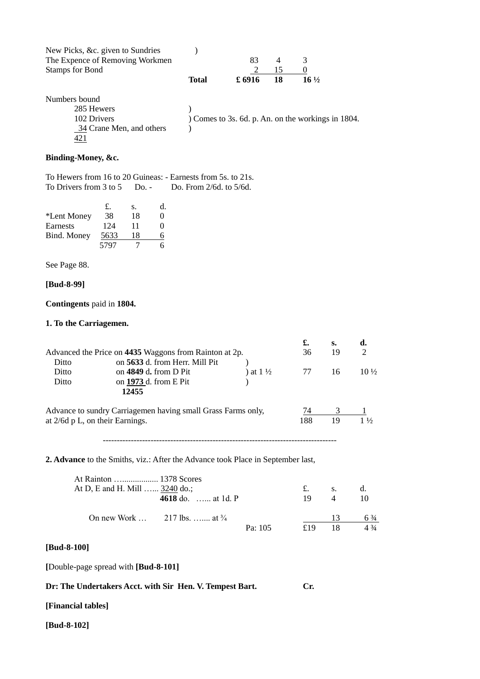| New Picks, &c. given to Sundries |              |       |    |                                                  |
|----------------------------------|--------------|-------|----|--------------------------------------------------|
| The Expence of Removing Workmen  |              | 83    | 4  | 3                                                |
| Stamps for Bond                  |              |       | 15 |                                                  |
|                                  | <b>Total</b> | £6916 | 18 | $16\frac{1}{2}$                                  |
| Numbers bound                    |              |       |    |                                                  |
| 285 Hewers                       |              |       |    |                                                  |
| 102 Drivers                      |              |       |    | Comes to 3s. 6d. p. An. on the workings in 1804. |
| 34 Crane Men, and others         |              |       |    |                                                  |
| 421                              |              |       |    |                                                  |

### **Binding-Money, &c.**

To Hewers from 16 to 20 Guineas: - Earnests from 5s. to 21s. To Drivers from 3 to 5 Do. - Do. From 2/6d. to 5/6d.

|             | £.   | S. | d.                |
|-------------|------|----|-------------------|
| *Lent Money | 38   | 18 | $\mathbf{\Omega}$ |
| Earnests    | 124  | 11 | $\mathbf{\Omega}$ |
| Bind. Money | 5633 | 18 | 6                 |
|             | 5797 | 7  | 6.                |

See Page 88.

#### **[Bud-8-99]**

**Contingents** paid in **1804.**

#### **1. To the Carriagemen.**

|                                   |                                                              |                     | £.  | s.  | d.              |
|-----------------------------------|--------------------------------------------------------------|---------------------|-----|-----|-----------------|
|                                   | Advanced the Price on 4435 Waggons from Rainton at 2p.       |                     | 36  | 19  | 2               |
| Ditto                             | on 5633 d. from Herr. Mill Pit                               |                     |     |     |                 |
| Ditto                             | on $4849$ d. from D Pit                                      | ) at $1\frac{1}{2}$ | 77  | 16. | $10\frac{1}{2}$ |
| Ditto                             | on $1973$ d. from E Pit                                      |                     |     |     |                 |
|                                   | 12455                                                        |                     |     |     |                 |
|                                   | Advance to sundry Carriagemen having small Grass Farms only, |                     | 74  | 3   |                 |
| at $2/6d$ p L, on their Earnings. |                                                              |                     | 188 | 19  | $1\frac{1}{2}$  |

-----------------------------------------------------------------------------------

**2. Advance** to the Smiths, viz.: After the Advance took Place in September last,

| At Rainton  1378 Scores        |                                                 |         |           |                |                |
|--------------------------------|-------------------------------------------------|---------|-----------|----------------|----------------|
| At D, E and H. Mill  3240 do.; |                                                 |         | $f(x)$ s. |                | d.             |
|                                | 4618 do.  at 1d. P                              |         | 19        | $\overline{4}$ | -10            |
|                                | On new Work $217 \text{ lbs.}$ at $\frac{3}{4}$ |         |           | 13             | $6\frac{3}{4}$ |
|                                |                                                 | Pa: 105 | £19       | -18            | $4\frac{3}{4}$ |

#### **[Bud-8-100]**

**[**Double-page spread with **[Bud-8-101]**

#### **Dr: The Undertakers Acct. with Sir Hen. V. Tempest Bart. Cr.**

### **[Financial tables]**

**[Bud-8-102]**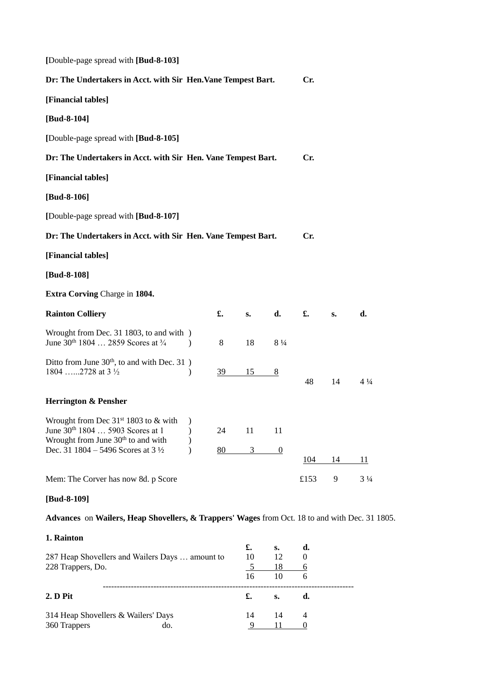| [Double-page spread with [Bud-8-103]                                                                                                                                                               |               |          |                                  |                                 |                                         |               |                |
|----------------------------------------------------------------------------------------------------------------------------------------------------------------------------------------------------|---------------|----------|----------------------------------|---------------------------------|-----------------------------------------|---------------|----------------|
| Dr: The Undertakers in Acct. with Sir Hen. Vane Tempest Bart.                                                                                                                                      |               |          |                                  |                                 | Cr.                                     |               |                |
| [Financial tables]                                                                                                                                                                                 |               |          |                                  |                                 |                                         |               |                |
| $[Bud-8-104]$                                                                                                                                                                                      |               |          |                                  |                                 |                                         |               |                |
| [Double-page spread with [Bud-8-105]                                                                                                                                                               |               |          |                                  |                                 |                                         |               |                |
| Dr: The Undertakers in Acct. with Sir Hen. Vane Tempest Bart.                                                                                                                                      |               |          |                                  |                                 | Cr.                                     |               |                |
| [Financial tables]                                                                                                                                                                                 |               |          |                                  |                                 |                                         |               |                |
| $[Bud-8-106]$                                                                                                                                                                                      |               |          |                                  |                                 |                                         |               |                |
| [Double-page spread with [Bud-8-107]                                                                                                                                                               |               |          |                                  |                                 |                                         |               |                |
| Dr: The Undertakers in Acct. with Sir Hen. Vane Tempest Bart.                                                                                                                                      |               |          |                                  |                                 | Cr.                                     |               |                |
| [Financial tables]                                                                                                                                                                                 |               |          |                                  |                                 |                                         |               |                |
| $[Bud-8-108]$                                                                                                                                                                                      |               |          |                                  |                                 |                                         |               |                |
| <b>Extra Corving Charge in 1804.</b>                                                                                                                                                               |               |          |                                  |                                 |                                         |               |                |
| <b>Rainton Colliery</b>                                                                                                                                                                            |               | £.       | $S_{\bullet}$                    | d.                              | £.                                      | $S_{\bullet}$ | d.             |
| Wrought from Dec. 31 1803, to and with )<br>June 30th 1804  2859 Scores at 3/4                                                                                                                     | $\lambda$     | 8        | 18                               | $8\frac{1}{4}$                  |                                         |               |                |
| Ditto from June 30 <sup>th</sup> , to and with Dec. 31)<br>1804 2728 at 3 1/2                                                                                                                      | $\mathcal{Y}$ | 39       | 15                               | 8                               | 48                                      | 14            | $4\frac{1}{4}$ |
| <b>Herrington &amp; Pensher</b>                                                                                                                                                                    |               |          |                                  |                                 |                                         |               |                |
| Wrought from Dec 31 <sup>st</sup> 1803 to & with<br>June 30 <sup>th</sup> 1804  5903 Scores at 1<br>Wrought from June 30 <sup>th</sup> to and with<br>Dec. 31 1804 – 5496 Scores at $3\frac{1}{2}$ | $\lambda$     | 24<br>80 | 11<br>3                          | 11<br>$\boldsymbol{0}$          | 104                                     | 14            | 11             |
| Mem: The Corver has now 8d. p Score                                                                                                                                                                |               |          |                                  |                                 | £153                                    | 9             | $3\frac{1}{4}$ |
| $[Bud-8-109]$                                                                                                                                                                                      |               |          |                                  |                                 |                                         |               |                |
| Advances on Wailers, Heap Shovellers, & Trappers' Wages from Oct. 18 to and with Dec. 31 1805.                                                                                                     |               |          |                                  |                                 |                                         |               |                |
| 1. Rainton                                                                                                                                                                                         |               |          |                                  |                                 |                                         |               |                |
| 287 Heap Shovellers and Wailers Days  amount to<br>228 Trappers, Do.                                                                                                                               |               |          | £.<br>10<br>$\overline{5}$<br>16 | $S_{\bullet}$<br>12<br>18<br>10 | d.<br>$\boldsymbol{0}$<br><u>6</u><br>6 |               |                |
| 2. D Pit                                                                                                                                                                                           |               |          | £.                               | S.                              | d.                                      |               |                |
| 314 Heap Shovellers & Wailers' Days<br>360 Trappers<br>do.                                                                                                                                         |               |          | 14<br>9                          | 14<br>11                        | 4<br>0                                  |               |                |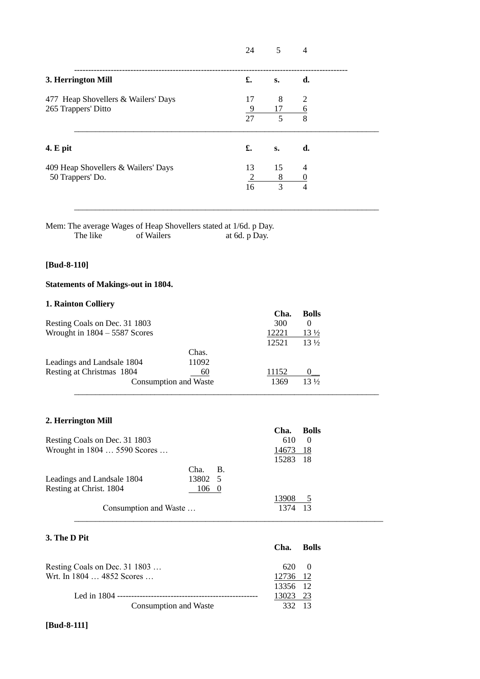|                                                            | 24                         | 5             | $\overline{4}$                               |  |
|------------------------------------------------------------|----------------------------|---------------|----------------------------------------------|--|
| 3. Herrington Mill                                         | £.                         | $S_{\bullet}$ | d.                                           |  |
| 477 Heap Shovellers & Wailers' Days<br>265 Trappers' Ditto | 17<br>$\frac{9}{2}$<br>27  | 8<br>17<br>5  | 2<br><u>6</u><br>8                           |  |
| $4. E$ pit                                                 | £.                         | $S_{\bullet}$ | d.                                           |  |
| 409 Heap Shovellers & Wailers' Days<br>50 Trappers' Do.    | 13<br>$\overline{2}$<br>16 | 15<br>8<br>3  | $\overline{4}$<br>$\theta$<br>$\overline{4}$ |  |

\_\_\_\_\_\_\_\_\_\_\_\_\_\_\_\_\_\_\_\_\_\_\_\_\_\_\_\_\_\_\_\_\_\_\_\_\_\_\_\_\_\_\_\_\_\_\_\_\_\_\_\_\_\_\_\_\_\_\_\_\_\_\_\_\_\_\_\_\_\_\_\_

Mem: The average Wages of Heap Shovellers stated at 1/6d. p Day. The like of Wailers at 6d. p Day.

# **[Bud-8-110]**

# **Statements of Makings-out in 1804.**

#### **1. Rainton Colliery**

| <b>The Transport Council</b>    |                       | Cha.  | <b>Bolls</b>    |
|---------------------------------|-----------------------|-------|-----------------|
| Resting Coals on Dec. 31 1803   |                       | 300   | $\theta$        |
| Wrought in $1804 - 5587$ Scores |                       | 12221 | $13\frac{1}{2}$ |
|                                 |                       | 12521 | $13\frac{1}{2}$ |
|                                 | Chas.                 |       |                 |
| Leadings and Landsale 1804      | 11092                 |       |                 |
| Resting at Christmas 1804       | 60                    | 11152 |                 |
|                                 | Consumption and Waste | 1369  | $13\frac{1}{2}$ |

### **2. Herrington Mill**

|                               |            | Cha.  | <b>Bolls</b> |
|-------------------------------|------------|-------|--------------|
| Resting Coals on Dec. 31 1803 |            | 610   | $\theta$     |
| Wrought in 1804  5590 Scores  |            | 14673 | -18          |
|                               |            | 15283 | - 18         |
|                               | Cha.<br>Ε. |       |              |
| Leadings and Landsale 1804    | 13802 5    |       |              |
| Resting at Christ. 1804       | 106 0      |       |              |
|                               |            | 13908 | $5^{\circ}$  |
| Consumption and Waste         |            | 1374  | -13          |
|                               |            |       |              |

### **3. The D Pit**

|                               | Cha.          | <b>Bolls</b> |
|-------------------------------|---------------|--------------|
| Resting Coals on Dec. 31 1803 | $620 \quad 0$ |              |
| Wrt. In 1804  4852 Scores     | 12736 12      |              |
|                               | 13356 12      |              |
|                               | 13023 23      |              |
| <b>Consumption and Waste</b>  | 332 13        |              |

### **[Bud-8-111]**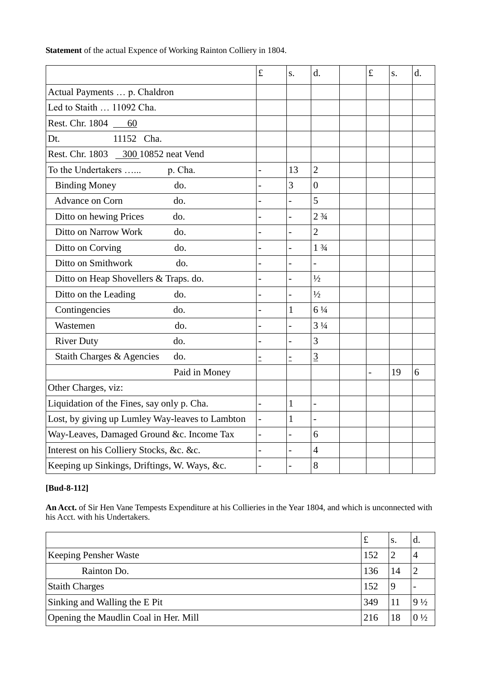|                                                 | $\mathbf f$    | S.             | d.                            | £ | S. | d. |
|-------------------------------------------------|----------------|----------------|-------------------------------|---|----|----|
| Actual Payments  p. Chaldron                    |                |                |                               |   |    |    |
| Led to Staith  11092 Cha.                       |                |                |                               |   |    |    |
| Rest. Chr. 1804 60                              |                |                |                               |   |    |    |
| 11152 Cha.<br>Dt.                               |                |                |                               |   |    |    |
| Rest. Chr. 1803 300 10852 neat Vend             |                |                |                               |   |    |    |
| To the Undertakers<br>p. Cha.                   | $\overline{a}$ | 13             | $\overline{2}$                |   |    |    |
| <b>Binding Money</b><br>do.                     |                | 3              | $\boldsymbol{0}$              |   |    |    |
| Advance on Corn<br>do.                          |                | $\overline{a}$ | 5                             |   |    |    |
| Ditto on hewing Prices<br>do.                   |                | $\overline{a}$ | 2 <sup>3</sup> / <sub>4</sub> |   |    |    |
| Ditto on Narrow Work<br>do.                     |                |                | $\overline{2}$                |   |    |    |
| Ditto on Corving<br>do.                         |                | $\overline{a}$ | $1 \frac{3}{4}$               |   |    |    |
| Ditto on Smithwork<br>do.                       | $\overline{a}$ | $\overline{a}$ | $\overline{a}$                |   |    |    |
| Ditto on Heap Shovellers & Traps. do.           |                | $\overline{a}$ | $\frac{1}{2}$                 |   |    |    |
| Ditto on the Leading<br>do.                     |                | $\overline{a}$ | $\frac{1}{2}$                 |   |    |    |
| Contingencies<br>do.                            |                | $\mathbf{1}$   | $6\frac{1}{4}$                |   |    |    |
| Wastemen<br>do.                                 |                |                | $3\frac{1}{4}$                |   |    |    |
| <b>River Duty</b><br>do.                        |                | $\overline{a}$ | 3                             |   |    |    |
| Staith Charges & Agencies<br>do.                |                | $\equiv$       | $\overline{3}$                |   |    |    |
| Paid in Money                                   |                |                |                               |   | 19 | 6  |
| Other Charges, viz:                             |                |                |                               |   |    |    |
| Liquidation of the Fines, say only p. Cha.      | $\overline{a}$ | $\mathbf{1}$   | $\overline{a}$                |   |    |    |
| Lost, by giving up Lumley Way-leaves to Lambton |                | $\mathbf{1}$   |                               |   |    |    |
| Way-Leaves, Damaged Ground &c. Income Tax       |                | $\overline{a}$ | 6                             |   |    |    |
| Interest on his Colliery Stocks, &c. &c.        | $\overline{a}$ | $\overline{a}$ | $\overline{4}$                |   |    |    |
| Keeping up Sinkings, Driftings, W. Ways, &c.    | $\overline{a}$ |                | 8                             |   |    |    |

**Statement** of the actual Expence of Working Rainton Colliery in 1804.

# **[Bud-8-112]**

**An Acct.** of Sir Hen Vane Tempests Expenditure at his Collieries in the Year 1804, and which is unconnected with his Acct. with his Undertakers.

|                                       | £   | S. | α.             |
|---------------------------------------|-----|----|----------------|
| Keeping Pensher Waste                 | 152 |    |                |
| Rainton Do.                           | 136 | 14 |                |
| <b>Staith Charges</b>                 | 152 |    |                |
| Sinking and Walling the E Pit         | 349 |    | $9\frac{1}{2}$ |
| Opening the Maudlin Coal in Her. Mill | 216 | 18 | $0\frac{1}{2}$ |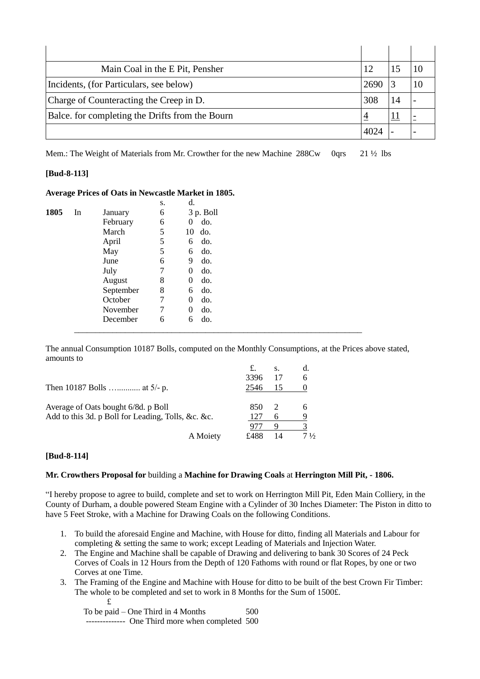| Main Coal in the E Pit, Pensher                 | 12   |  |
|-------------------------------------------------|------|--|
| Incidents, (for Particulars, see below)         | 2690 |  |
| Charge of Counteracting the Creep in D.         | 308  |  |
| Balce. for completing the Drifts from the Bourn |      |  |
|                                                 |      |  |

Mem.: The Weight of Materials from Mr. Crowther for the new Machine 288Cw 0qrs 21 ½ lbs

#### **[Bud-8-113]**

| <b>Average Prices of Oats in Newcastle Market in 1805.</b> |  |  |  |  |
|------------------------------------------------------------|--|--|--|--|
|                                                            |  |  |  |  |

|      |       |           | s.        | u.        |
|------|-------|-----------|-----------|-----------|
| 1805 | In    | January   | 6         | 3 p. Boll |
|      |       | February  | 6         | do.<br>0  |
|      | March | 5         | 10<br>do. |           |
|      | April | 5         | do.<br>6  |           |
|      |       | May       | 5         | do.<br>6  |
|      |       | June      | 6         | 9<br>do.  |
|      |       | July      | 7         | do.<br>0  |
|      |       | August    | 8         | do.<br>0  |
|      |       | September | 8         | do.<br>6  |
|      |       | October   | 7         | do.<br>0  |
|      |       | November  | 7         | do.<br>0  |
|      |       | December  | 6         | do.<br>6  |
|      |       |           |           |           |

The annual Consumption 10187 Bolls, computed on the Monthly Consumptions, at the Prices above stated, amounts to

|                                                    |      | S. | d.            |
|----------------------------------------------------|------|----|---------------|
|                                                    | 3396 | 17 | 6             |
| Then 10187 Bolls  at 5/- p.                        | 2546 |    |               |
|                                                    | 850  |    |               |
| Average of Oats bought 6/8d. p Boll                |      |    | <sub>6</sub>  |
| Add to this 3d. p Boll for Leading, Tolls, &c. &c. | 127  | h  |               |
|                                                    |      |    |               |
| A Moiety                                           | f488 | 14 | $\frac{1}{2}$ |

#### **[Bud-8-114]**

#### **Mr. Crowthers Proposal for** building a **Machine for Drawing Coals** at **Herrington Mill Pit, - 1806.**

"I hereby propose to agree to build, complete and set to work on Herrington Mill Pit, Eden Main Colliery, in the County of Durham, a double powered Steam Engine with a Cylinder of 30 Inches Diameter: The Piston in ditto to have 5 Feet Stroke, with a Machine for Drawing Coals on the following Conditions.

- 1. To build the aforesaid Engine and Machine, with House for ditto, finding all Materials and Labour for completing & setting the same to work; except Leading of Materials and Injection Water.
- 2. The Engine and Machine shall be capable of Drawing and delivering to bank 30 Scores of 24 Peck Corves of Coals in 12 Hours from the Depth of 120 Fathoms with round or flat Ropes, by one or two Corves at one Time.
- 3. The Framing of the Engine and Machine with House for ditto to be built of the best Crown Fir Timber: The whole to be completed and set to work in 8 Months for the Sum of 1500£. £

To be paid – One Third in  $4$  Months  $500$ 

-------------- One Third more when completed 500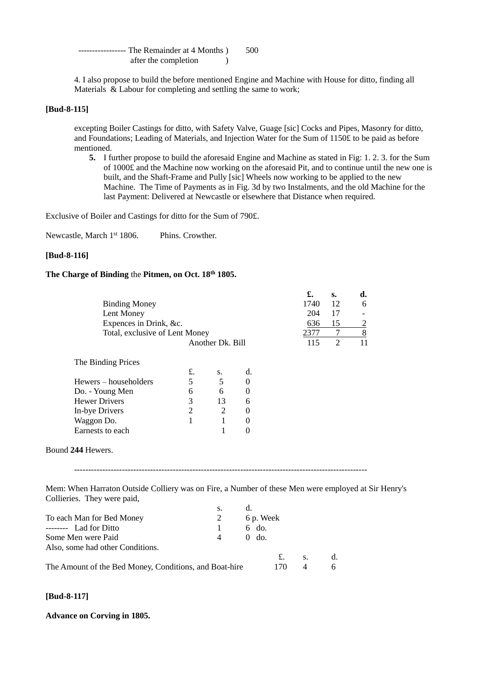| ----------------- The Remainder at 4 Months) | 500 |
|----------------------------------------------|-----|
| after the completion                         |     |

 4. I also propose to build the before mentioned Engine and Machine with House for ditto, finding all Materials & Labour for completing and settling the same to work;

#### **[Bud-8-115]**

excepting Boiler Castings for ditto, with Safety Valve, Guage [sic] Cocks and Pipes, Masonry for ditto, and Foundations; Leading of Materials, and Injection Water for the Sum of 1150£ to be paid as before mentioned.

**5.** I further propose to build the aforesaid Engine and Machine as stated in Fig: 1. 2. 3. for the Sum of 1000£ and the Machine now working on the aforesaid Pit, and to continue until the new one is built, and the Shaft-Frame and Pully [sic] Wheels now working to be applied to the new Machine. The Time of Payments as in Fig. 3d by two Instalments, and the old Machine for the last Payment: Delivered at Newcastle or elsewhere that Distance when required.

Exclusive of Boiler and Castings for ditto for the Sum of 790£.

Newcastle, March 1<sup>st</sup> 1806. Phins. Crowther.

#### **[Bud-8-116]**

### **The Charge of Binding** the **Pitmen, on Oct. 18th 1805.**

|                                                                                                                                    |                |                  |                  |           |     | £.   | $S_{\bullet}$  | d.             |  |
|------------------------------------------------------------------------------------------------------------------------------------|----------------|------------------|------------------|-----------|-----|------|----------------|----------------|--|
| <b>Binding Money</b>                                                                                                               |                |                  |                  |           |     | 1740 | 12             | 6              |  |
| Lent Money                                                                                                                         |                |                  |                  |           |     | 204  | 17             |                |  |
| Expences in Drink, &c.                                                                                                             |                |                  |                  |           |     | 636  | 15             | $\overline{2}$ |  |
| Total, exclusive of Lent Money                                                                                                     |                |                  |                  |           |     | 2377 | $\tau$         | 8              |  |
|                                                                                                                                    |                | Another Dk. Bill |                  |           |     | 115  | $\overline{2}$ | 11             |  |
| The Binding Prices                                                                                                                 |                |                  |                  |           |     |      |                |                |  |
|                                                                                                                                    | £.             | S.               | d.               |           |     |      |                |                |  |
| Hewers – householders                                                                                                              | 5              | 5                | $\boldsymbol{0}$ |           |     |      |                |                |  |
| Do. - Young Men                                                                                                                    | 6              | 6                | $\boldsymbol{0}$ |           |     |      |                |                |  |
| <b>Hewer Drivers</b>                                                                                                               | 3              | 13               | 6                |           |     |      |                |                |  |
| In-bye Drivers                                                                                                                     | $\overline{2}$ | 2                | $\boldsymbol{0}$ |           |     |      |                |                |  |
| Waggon Do.                                                                                                                         | $\mathbf{1}$   | $\mathbf{1}$     | $\theta$         |           |     |      |                |                |  |
| Earnests to each                                                                                                                   |                | 1                | $\overline{0}$   |           |     |      |                |                |  |
| Bound 244 Hewers.                                                                                                                  |                |                  |                  |           |     |      |                |                |  |
| Mem: When Harraton Outside Colliery was on Fire, a Number of these Men were employed at Sir Henry's<br>Collieries. They were paid, |                |                  |                  |           |     |      |                |                |  |
|                                                                                                                                    |                | S.               | d.               |           |     |      |                |                |  |
| To each Man for Bed Money                                                                                                          |                | 2                |                  | 6 p. Week |     |      |                |                |  |
| -------- Lad for Ditto                                                                                                             |                | $\mathbf{1}$     |                  | 6 do.     |     |      |                |                |  |
| Some Men were Paid                                                                                                                 |                | 4                | $\Omega$         | do.       |     |      |                |                |  |
| Also, some had other Conditions.                                                                                                   |                |                  |                  |           |     |      |                |                |  |
|                                                                                                                                    |                |                  |                  |           | £.  | S.   | d.             |                |  |
| The Amount of the Bed Money, Conditions, and Boat-hire                                                                             |                |                  |                  |           | 170 | 4    | 6              |                |  |
|                                                                                                                                    |                |                  |                  |           |     |      |                |                |  |

### **[Bud-8-117]**

#### **Advance on Corving in 1805.**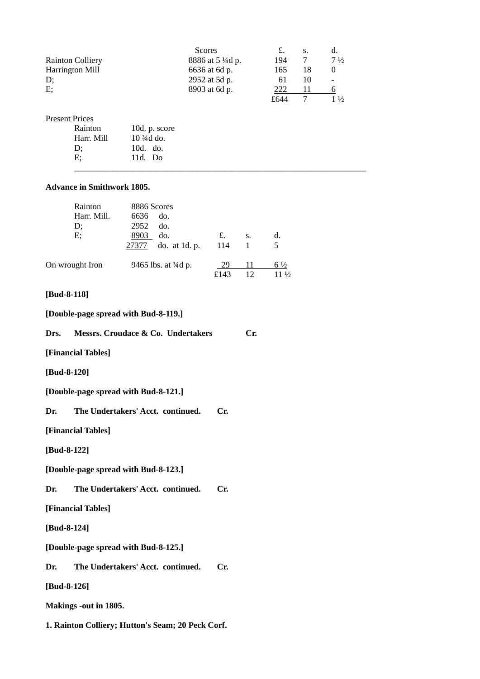|                         | <b>Scores</b>   |      |    |                          |
|-------------------------|-----------------|------|----|--------------------------|
| <b>Rainton Colliery</b> | 8886 at 5 ¼d p. | 194  |    | $7\frac{1}{2}$           |
| <b>Harrington Mill</b>  | 6636 at 6d p.   | 165  | 18 |                          |
| D:                      | 2952 at 5d p.   | 6 I  | 10 | $\overline{\phantom{a}}$ |
| E                       | 8903 at 6d p.   | 222  |    |                          |
|                         |                 | £644 |    | $1\frac{1}{2}$           |

\_\_\_\_\_\_\_\_\_\_\_\_\_\_\_\_\_\_\_\_\_\_\_\_\_\_\_\_\_\_\_\_\_\_\_\_\_\_\_\_\_\_\_\_\_\_\_\_\_\_\_\_\_\_\_\_\_\_\_\_\_\_\_\_\_\_\_\_\_

Present Prices

| Rainton    | 10d. $p.$ score       |
|------------|-----------------------|
| Harr. Mill | $10\frac{3}{4}$ d do. |
| D:         | 10d. do.              |
| E:         | 11d. Do               |

#### **Advance in Smithwork 1805.**

| Rainton<br>Harr. Mill.<br>D:<br>E; | 8886 Scores<br>6636<br>do.<br>2952<br>do.<br>8903<br>do. | £.   | S. | d.             |
|------------------------------------|----------------------------------------------------------|------|----|----------------|
|                                    | $do.$ at 1 $d.$ p.<br>27377                              | 114  |    | 5              |
| On wrought Iron                    | 9465 lbs. at 3/4d p.                                     | 29   | 11 | $6\frac{1}{2}$ |
|                                    |                                                          | £143 |    | $\frac{1}{2}$  |

#### **[Bud-8-118]**

**[Double-page spread with Bud-8-119.]**

**Drs. Messrs. Croudace & Co. Undertakers Cr.**

**[Financial Tables]**

**[Bud-8-120]**

**[Double-page spread with Bud-8-121.]**

**Dr. The Undertakers' Acct. continued. Cr.**

**[Financial Tables]**

**[Bud-8-122]**

**[Double-page spread with Bud-8-123.]**

**Dr. The Undertakers' Acct. continued. Cr.**

**[Financial Tables]**

**[Bud-8-124]**

**[Double-page spread with Bud-8-125.]**

**Dr. The Undertakers' Acct. continued. Cr.**

**[Bud-8-126]**

**Makings -out in 1805.**

**1. Rainton Colliery; Hutton's Seam; 20 Peck Corf.**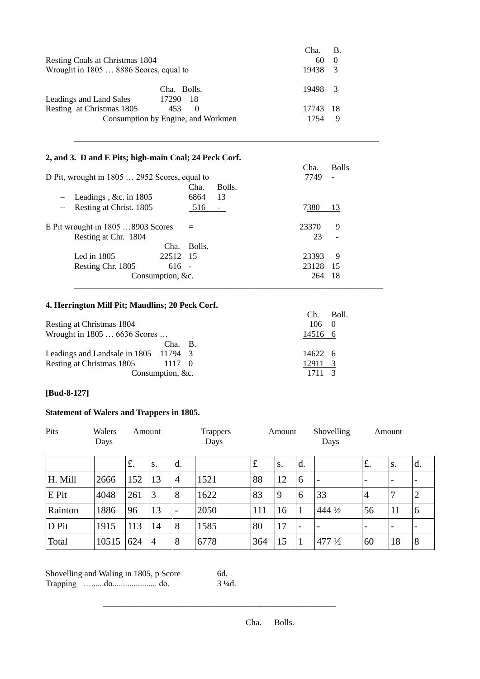|                                        |             | Cha.    | В.       |
|----------------------------------------|-------------|---------|----------|
| Resting Coals at Christmas 1804        |             | 60      | $\theta$ |
| Wrought in 1805  8886 Scores, equal to |             |         | - 3      |
|                                        | Cha. Bolls. | 19498 3 |          |
| Leadings and Land Sales<br>17290       | - 18        |         |          |
| Resting at Christmas 1805<br>453       | $\theta$    | 17743   | -18      |
| Consumption by Engine, and Workmen     |             | 9       |          |

\_\_\_\_\_\_\_\_\_\_\_\_\_\_\_\_\_\_\_\_\_\_\_\_\_\_\_\_\_\_\_\_\_\_\_\_\_\_\_\_\_\_\_\_\_\_\_\_\_\_\_\_\_\_\_\_\_\_\_\_\_\_\_\_\_\_\_\_\_\_\_\_

# **2, and 3. D and E Pits; high-main Coal; 24 Peck Corf.**

| $\rightarrow$ , and $\sigma$ , $\sigma$ and $\sigma$ into $\sigma$ , in the main $\sigma$ and $\sigma$ is a contract of $\sigma$ |                  |                          |       |              |
|----------------------------------------------------------------------------------------------------------------------------------|------------------|--------------------------|-------|--------------|
|                                                                                                                                  |                  |                          | Cha.  | <b>Bolls</b> |
| D Pit, wrought in 1805  2952 Scores, equal to                                                                                    | 7749             | $\overline{\phantom{a}}$ |       |              |
|                                                                                                                                  | Cha.             | Bolls.                   |       |              |
| Leadings, &c. in 1805<br>$\overline{\phantom{m}}$                                                                                | 6864             | -13                      |       |              |
| Resting at Christ. 1805                                                                                                          | 516              | $\overline{\phantom{a}}$ | 7380  | 13           |
| E Pit wrought in 1805 8903 Scores                                                                                                | 23370            | 9                        |       |              |
| Resting at Chr. 1804                                                                                                             |                  |                          | 23    |              |
|                                                                                                                                  | Bolls.<br>Cha.   |                          |       |              |
| Led in $1805$                                                                                                                    | 22512 15         |                          | 23393 | 9            |
| Resting Chr. 1805                                                                                                                | 616 -            |                          | 23128 | - 15         |
|                                                                                                                                  | Consumption, &c. |                          | 264   | -18          |
|                                                                                                                                  |                  |                          |       |              |

# **4. Herrington Mill Pit; Maudlins; 20 Peck Corf.**

|                                       |         |  | Ch.     | Boll.      |
|---------------------------------------|---------|--|---------|------------|
| Resting at Christmas 1804             |         |  | 106     |            |
| Wrought in 1805  6636 Scores          |         |  | 14516 6 |            |
|                                       | Cha. B. |  |         |            |
| Leadings and Landsale in 1805 11794 3 |         |  | 14622 6 |            |
| Resting at Christmas 1805             | 1117 0  |  | 12911 3 |            |
| Consumption, &c.                      |         |  |         | $1711 - 3$ |
|                                       |         |  |         |            |

### **[Bud-8-127]**

### **Statement of Walers and Trappers in 1805.**

| Pits    | Walers<br>Days |     | Amount         |                          | <b>Trappers</b><br>Days |     | Amount |                          | Shovelling<br>Days       |                          | Amount                   |                          |
|---------|----------------|-----|----------------|--------------------------|-------------------------|-----|--------|--------------------------|--------------------------|--------------------------|--------------------------|--------------------------|
|         |                | £.  | S.             | d.                       |                         | £   | S.     | d.                       |                          | £.                       | S.                       | d.                       |
| H. Mill | 2666           | 152 | 13             | $\overline{4}$           | 1521                    | 88  | 12     | 6                        | $\overline{\phantom{a}}$ | $\overline{\phantom{a}}$ | $\overline{\phantom{0}}$ |                          |
| E Pit   | 4048           | 261 | 3              | 8                        | 1622                    | 83  | 9      | 6                        | 33                       | $\overline{4}$           | 7                        | $\overline{2}$           |
| Rainton | 1886           | 96  | 13             | $\overline{\phantom{a}}$ | 2050                    | 111 | 16     |                          | $444\frac{1}{2}$         | 56                       | 11                       | 6                        |
| D Pit   | 1915           | 113 | 14             | 8                        | 1585                    | 80  | 17     | $\overline{\phantom{0}}$ | $\overline{\phantom{0}}$ | $\overline{\phantom{a}}$ | $\overline{\phantom{0}}$ | $\overline{\phantom{0}}$ |
| Total   | 10515          | 624 | $\overline{4}$ | 8                        | 6778                    | 364 | 15     |                          | $477\frac{1}{2}$         | 60                       | 18                       | 8                        |

\_\_\_\_\_\_\_\_\_\_\_\_\_\_\_\_\_\_\_\_\_\_\_\_\_\_\_\_\_\_\_\_\_\_\_\_\_\_\_\_\_\_\_\_\_\_\_\_\_\_\_\_\_\_\_

|  | Shovelling and Waling in 1805, p Score | 6d.               |
|--|----------------------------------------|-------------------|
|  |                                        | $3\frac{1}{4}$ d. |